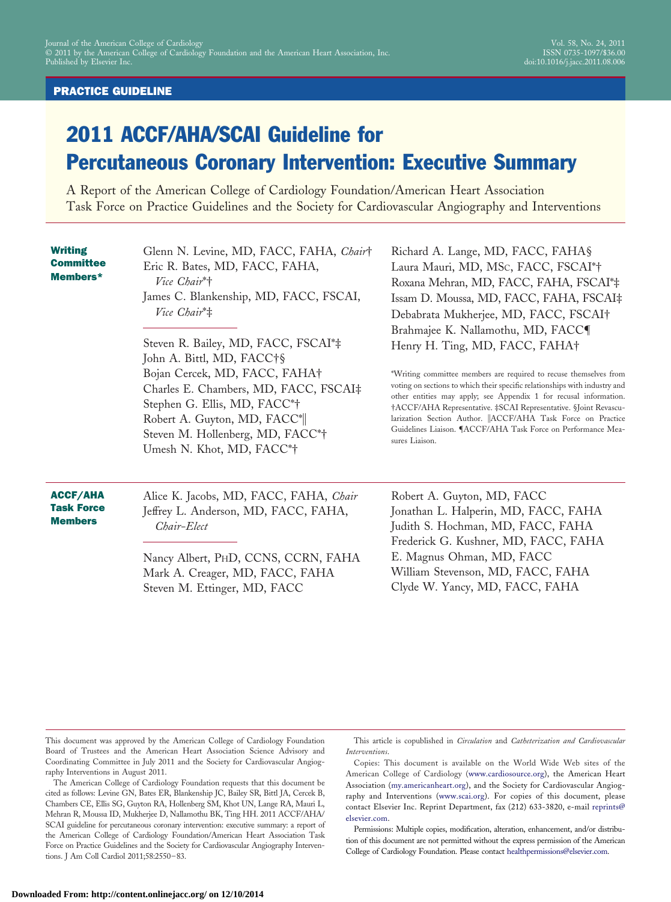### PRACTICE GUIDELINE

# 2011 ACCF/AHA/SCAI Guideline for Percutaneous Coronary Intervention: Executive Summary

A Report of the American College of Cardiology Foundation/American Heart Association Task Force on Practice Guidelines and the Society for Cardiovascular Angiography and Interventions

| <b>Writing</b><br>Committee<br>Members*                | Glenn N. Levine, MD, FACC, FAHA, Chairt<br>Eric R. Bates, MD, FACC, FAHA,<br>Vice Chair*†<br>James C. Blankenship, MD, FACC, FSCAI,<br>Vice Chair*‡                                                                                                                          | Richard A. Lange, MD, FACC, FAHA§<br>Laura Mauri, MD, MSc, FACC, FSCAI*+<br>Roxana Mehran, MD, FACC, FAHA, FSCAI*‡<br>Issam D. Moussa, MD, FACC, FAHA, FSCAI‡<br>Debabrata Mukherjee, MD, FACC, FSCAI†<br>Brahmajee K. Nallamothu, MD, FACC¶                                                                                                                                                                                                                                |  |  |  |
|--------------------------------------------------------|------------------------------------------------------------------------------------------------------------------------------------------------------------------------------------------------------------------------------------------------------------------------------|-----------------------------------------------------------------------------------------------------------------------------------------------------------------------------------------------------------------------------------------------------------------------------------------------------------------------------------------------------------------------------------------------------------------------------------------------------------------------------|--|--|--|
|                                                        | Steven R. Bailey, MD, FACC, FSCAI*‡<br>John A. Bittl, MD, FACC†§<br>Bojan Cercek, MD, FACC, FAHA+<br>Charles E. Chambers, MD, FACC, FSCAI‡<br>Stephen G. Ellis, MD, FACC*†<br>Robert A. Guyton, MD, FACC*  <br>Steven M. Hollenberg, MD, FACC*†<br>Umesh N. Khot, MD, FACC*† | Henry H. Ting, MD, FACC, FAHA†<br>*Writing committee members are required to recuse themselves from<br>voting on sections to which their specific relationships with industry and<br>other entities may apply; see Appendix 1 for recusal information.<br>†ACCF/AHA Representative. ‡SCAI Representative. §Joint Revascu-<br>larization Section Author.   ACCF/AHA Task Force on Practice<br>Guidelines Liaison. ¶ACCF/AHA Task Force on Performance Mea-<br>sures Liaison. |  |  |  |
| <b>ACCF/AHA</b><br><b>Task Force</b><br><b>Members</b> | Alice K. Jacobs, MD, FACC, FAHA, Chair<br>Jeffrey L. Anderson, MD, FACC, FAHA,<br>Chair-Elect<br>Nancy Albert, PHD, CCNS, CCRN, FAHA<br>Mark A. Creager, MD, FACC, FAHA<br>Steven M. Ettinger, MD, FACC                                                                      | Robert A. Guyton, MD, FACC<br>Jonathan L. Halperin, MD, FACC, FAHA<br>Judith S. Hochman, MD, FACC, FAHA<br>Frederick G. Kushner, MD, FACC, FAHA<br>E. Magnus Ohman, MD, FACC<br>William Stevenson, MD, FACC, FAHA<br>Clyde W. Yancy, MD, FACC, FAHA                                                                                                                                                                                                                         |  |  |  |

This article is copublished in *Circulation* and *Catheterization and Cardiovascular Interventions*.

This document was approved by the American College of Cardiology Foundation Board of Trustees and the American Heart Association Science Advisory and Coordinating Committee in July 2011 and the Society for Cardiovascular Angiography Interventions in August 2011.

The American College of Cardiology Foundation requests that this document be cited as follows: Levine GN, Bates ER, Blankenship JC, Bailey SR, Bittl JA, Cercek B, Chambers CE, Ellis SG, Guyton RA, Hollenberg SM, Khot UN, Lange RA, Mauri L, Mehran R, Moussa ID, Mukherjee D, Nallamothu BK, Ting HH. 2011 ACCF/AHA/ SCAI guideline for percutaneous coronary intervention: executive summary: a report of the American College of Cardiology Foundation/American Heart Association Task Force on Practice Guidelines and the Society for Cardiovascular Angiography Interventions. J Am Coll Cardiol 2011;58:2550–83.

Copies: This document is available on the World Wide Web sites of the American College of Cardiology [\(www.cardiosource.org\)](http://www.cardiosource.org), the American Heart Association [\(my.americanheart.org\)](http://my.americanheart.org), and the Society for Cardiovascular Angiography and Interventions [\(www.scai.org\)](http://www.scai.org). For copies of this document, please contact Elsevier Inc. Reprint Department, fax (212) 633-3820, e-mail [reprints@](mailto:reprints@elsevier.com) [elsevier.com.](mailto:reprints@elsevier.com)

Permissions: Multiple copies, modification, alteration, enhancement, and/or distribution of this document are not permitted without the express permission of the American College of Cardiology Foundation. Please contact [healthpermissions@elsevier.com.](mailto:healthpermissions@elsevier.com)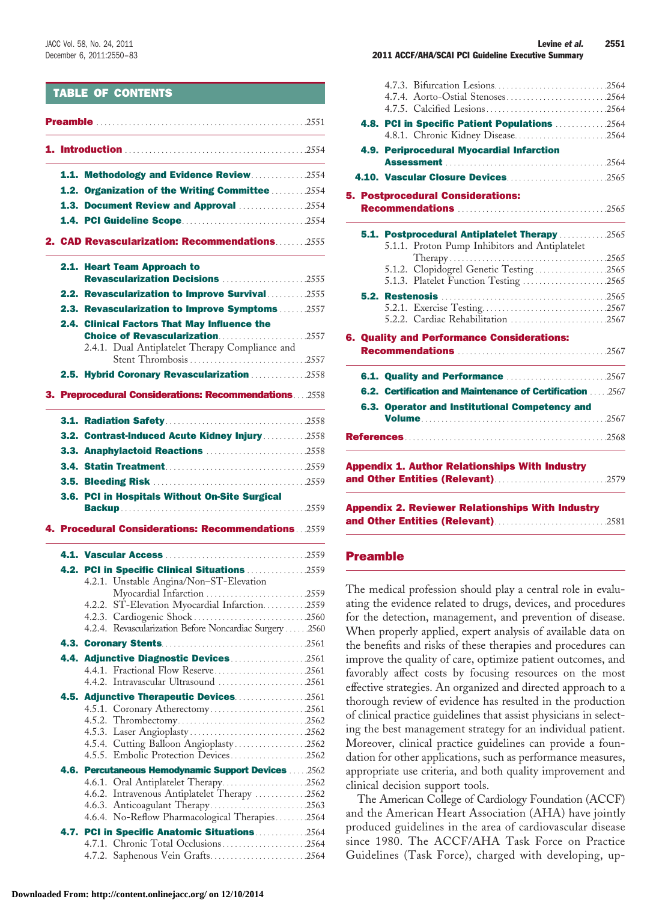### TABLE OF CONTENTS

|  | <u> 1989 - Johann Stein, marwolaethau a bhann an t-Amhain an t-Amhain an t-Amhain an t-Amhain an t-Amhain an t-A</u> |
|--|----------------------------------------------------------------------------------------------------------------------|
|  |                                                                                                                      |
|  | 1.1. Methodology and Evidence Review2554                                                                             |
|  | 1.2. Organization of the Writing Committee 2554                                                                      |
|  | 1.3. Document Review and Approval 2554                                                                               |
|  |                                                                                                                      |
|  | <b>2. CAD Revascularization: Recommendations2555</b>                                                                 |
|  | 2.1. Heart Team Approach to<br><b>Revascularization Decisions</b> 2555                                               |
|  | 2.2. Revascularization to Improve Survival2555                                                                       |
|  | 2.3. Revascularization to Improve Symptoms  2557                                                                     |
|  | 2.4. Clinical Factors That May Influence the                                                                         |
|  | <b>Choice of Revascularization2557</b><br>2.4.1. Dual Antiplatelet Therapy Compliance and                            |
|  |                                                                                                                      |
|  | 2.5. Hybrid Coronary Revascularization 2558                                                                          |
|  | <b>3. Preprocedural Considerations: Recommendations .2558</b>                                                        |
|  |                                                                                                                      |
|  | 3.2. Contrast-Induced Acute Kidney Injury  2558                                                                      |
|  | <b>3.3. Anaphylactoid Reactions 2558</b>                                                                             |
|  |                                                                                                                      |
|  |                                                                                                                      |
|  | 3.6. PCI in Hospitals Without On-Site Surgical                                                                       |
|  | <b>4. Procedural Considerations: Recommendations 2559</b>                                                            |
|  |                                                                                                                      |
|  | 4.2. PCI in Specific Clinical Situations 2559                                                                        |
|  | 4.2.1. Unstable Angina/Non-ST-Elevation                                                                              |
|  | Myocardial Infarction 2559                                                                                           |
|  | 4.2.2. ST-Elevation Myocardial Infarction2559                                                                        |
|  | 4.2.4. Revascularization Before Noncardiac Surgery  2560                                                             |
|  |                                                                                                                      |
|  |                                                                                                                      |
|  | 4.4. Adjunctive Diagnostic Devices2561<br>4.4.1. Fractional Flow Reserve2561<br>4.4.2. Intravascular Ultrasound 2561 |
|  | 4.5. Adjunctive Therapeutic Devices2561                                                                              |
|  | 4.5.1. Coronary Atherectomy2561                                                                                      |
|  |                                                                                                                      |
|  |                                                                                                                      |
|  | 4.5.4. Cutting Balloon Angioplasty2562<br>4.5.5. Embolic Protection Devices2562                                      |
|  | 4.6. Percutaneous Hemodynamic Support Devices  .2562                                                                 |
|  | 4.6.1. Oral Antiplatelet Therapy2562                                                                                 |
|  | 4.6.2. Intravenous Antiplatelet Therapy 2562                                                                         |
|  | 4.6.3. Anticoagulant Therapy2563                                                                                     |
|  | 4.6.4. No-Reflow Pharmacological Therapies 2564                                                                      |
|  |                                                                                                                      |
|  | 4.7. PCI in Specific Anatomic Situations2564                                                                         |
|  | 4.7.1. Chronic Total Occlusions 2564<br>4.7.2. Saphenous Vein Grafts2564                                             |

 $JACC$  Vol. 58, No. 24, 2011 **Levine et al. 2551** December 6, 2011:2550–83 2011 ACCF/AHA/SCAI PCI Guideline Executive Summary

|  | 4.8. PCI in Specific Patient Populations 2564                                                   |
|--|-------------------------------------------------------------------------------------------------|
|  | 4.9. Periprocedural Myocardial Infarction                                                       |
|  | <b>4.10. Vascular Closure Devices2565</b>                                                       |
|  | <b>5. Postprocedural Considerations:</b>                                                        |
|  | 5.1. Postprocedural Antiplatelet Therapy 2565<br>5.1.1. Proton Pump Inhibitors and Antiplatelet |
|  |                                                                                                 |
|  | 5.1.2. Clopidogrel Genetic Testing2565<br>5.1.3. Platelet Function Testing 2565                 |
|  |                                                                                                 |
|  |                                                                                                 |
|  | 5.2.2. Cardiac Rehabilitation 2567                                                              |
|  | <b>6. Quality and Performance Considerations:</b>                                               |
|  |                                                                                                 |
|  | <b>6.2. Certification and Maintenance of Certification 2567</b>                                 |
|  | 6.3. Operator and Institutional Competency and                                                  |
|  |                                                                                                 |
|  | <b>Appendix 1. Author Relationships With Industry</b>                                           |
|  | <b>Appendix 2. Reviewer Relationships With Industry</b>                                         |

### Preamble

The medical profession should play a central role in evaluating the evidence related to drugs, devices, and procedures for the detection, management, and prevention of disease. When properly applied, expert analysis of available data on the benefits and risks of these therapies and procedures can improve the quality of care, optimize patient outcomes, and favorably affect costs by focusing resources on the most effective strategies. An organized and directed approach to a thorough review of evidence has resulted in the production of clinical practice guidelines that assist physicians in selecting the best management strategy for an individual patient. Moreover, clinical practice guidelines can provide a foundation for other applications, such as performance measures, appropriate use criteria, and both quality improvement and clinical decision support tools.

and Other Entities (Relevant)............................2581

The American College of Cardiology Foundation (ACCF) and the American Heart Association (AHA) have jointly produced guidelines in the area of cardiovascular disease since 1980. The ACCF/AHA Task Force on Practice Guidelines (Task Force), charged with developing, up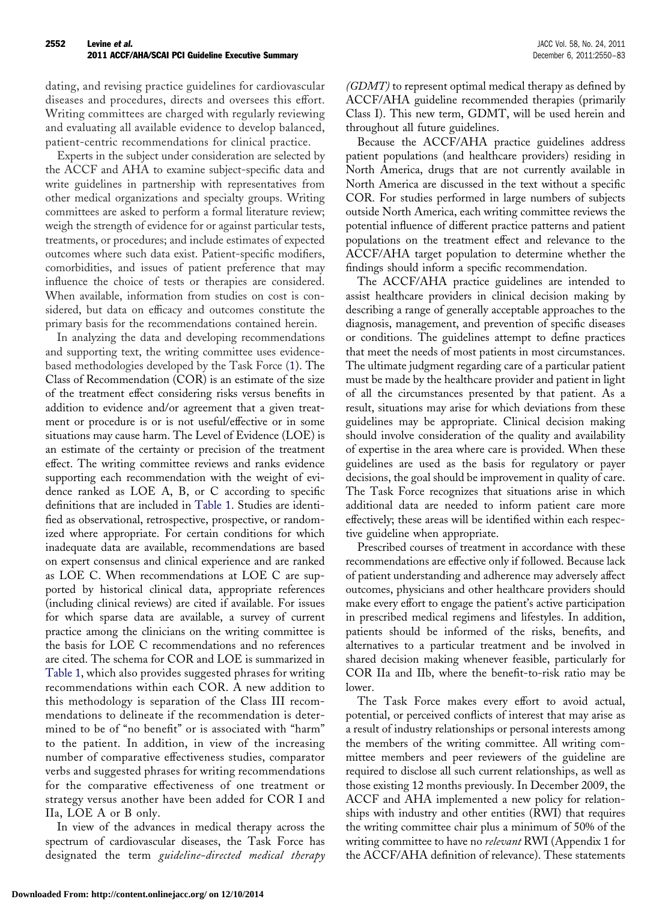dating, and revising practice guidelines for cardiovascular diseases and procedures, directs and oversees this effort. Writing committees are charged with regularly reviewing and evaluating all available evidence to develop balanced, patient-centric recommendations for clinical practice.

Experts in the subject under consideration are selected by the ACCF and AHA to examine subject-specific data and write guidelines in partnership with representatives from other medical organizations and specialty groups. Writing committees are asked to perform a formal literature review; weigh the strength of evidence for or against particular tests, treatments, or procedures; and include estimates of expected outcomes where such data exist. Patient-specific modifiers, comorbidities, and issues of patient preference that may influence the choice of tests or therapies are considered. When available, information from studies on cost is considered, but data on efficacy and outcomes constitute the primary basis for the recommendations contained herein.

In analyzing the data and developing recommendations and supporting text, the writing committee uses evidencebased methodologies developed by the Task Force [\(1\)](#page-18-0). The Class of Recommendation (COR) is an estimate of the size of the treatment effect considering risks versus benefits in addition to evidence and/or agreement that a given treatment or procedure is or is not useful/effective or in some situations may cause harm. The Level of Evidence (LOE) is an estimate of the certainty or precision of the treatment effect. The writing committee reviews and ranks evidence supporting each recommendation with the weight of evidence ranked as LOE A, B, or C according to specific definitions that are included in [Table 1.](#page-3-0) Studies are identified as observational, retrospective, prospective, or randomized where appropriate. For certain conditions for which inadequate data are available, recommendations are based on expert consensus and clinical experience and are ranked as LOE C. When recommendations at LOE C are supported by historical clinical data, appropriate references (including clinical reviews) are cited if available. For issues for which sparse data are available, a survey of current practice among the clinicians on the writing committee is the basis for LOE C recommendations and no references are cited. The schema for COR and LOE is summarized in [Table 1,](#page-3-0) which also provides suggested phrases for writing recommendations within each COR. A new addition to this methodology is separation of the Class III recommendations to delineate if the recommendation is determined to be of "no benefit" or is associated with "harm" to the patient. In addition, in view of the increasing number of comparative effectiveness studies, comparator verbs and suggested phrases for writing recommendations for the comparative effectiveness of one treatment or strategy versus another have been added for COR I and IIa, LOE A or B only.

In view of the advances in medical therapy across the spectrum of cardiovascular diseases, the Task Force has designated the term *guideline-directed medical therapy* *(GDMT)* to represent optimal medical therapy as defined by ACCF/AHA guideline recommended therapies (primarily Class I). This new term, GDMT, will be used herein and throughout all future guidelines.

Because the ACCF/AHA practice guidelines address patient populations (and healthcare providers) residing in North America, drugs that are not currently available in North America are discussed in the text without a specific COR. For studies performed in large numbers of subjects outside North America, each writing committee reviews the potential influence of different practice patterns and patient populations on the treatment effect and relevance to the ACCF/AHA target population to determine whether the findings should inform a specific recommendation.

The ACCF/AHA practice guidelines are intended to assist healthcare providers in clinical decision making by describing a range of generally acceptable approaches to the diagnosis, management, and prevention of specific diseases or conditions. The guidelines attempt to define practices that meet the needs of most patients in most circumstances. The ultimate judgment regarding care of a particular patient must be made by the healthcare provider and patient in light of all the circumstances presented by that patient. As a result, situations may arise for which deviations from these guidelines may be appropriate. Clinical decision making should involve consideration of the quality and availability of expertise in the area where care is provided. When these guidelines are used as the basis for regulatory or payer decisions, the goal should be improvement in quality of care. The Task Force recognizes that situations arise in which additional data are needed to inform patient care more effectively; these areas will be identified within each respective guideline when appropriate.

Prescribed courses of treatment in accordance with these recommendations are effective only if followed. Because lack of patient understanding and adherence may adversely affect outcomes, physicians and other healthcare providers should make every effort to engage the patient's active participation in prescribed medical regimens and lifestyles. In addition, patients should be informed of the risks, benefits, and alternatives to a particular treatment and be involved in shared decision making whenever feasible, particularly for COR IIa and IIb, where the benefit-to-risk ratio may be lower.

The Task Force makes every effort to avoid actual, potential, or perceived conflicts of interest that may arise as a result of industry relationships or personal interests among the members of the writing committee. All writing committee members and peer reviewers of the guideline are required to disclose all such current relationships, as well as those existing 12 months previously. In December 2009, the ACCF and AHA implemented a new policy for relationships with industry and other entities (RWI) that requires the writing committee chair plus a minimum of 50% of the writing committee to have no *relevant* RWI (Appendix 1 for the ACCF/AHA definition of relevance). These statements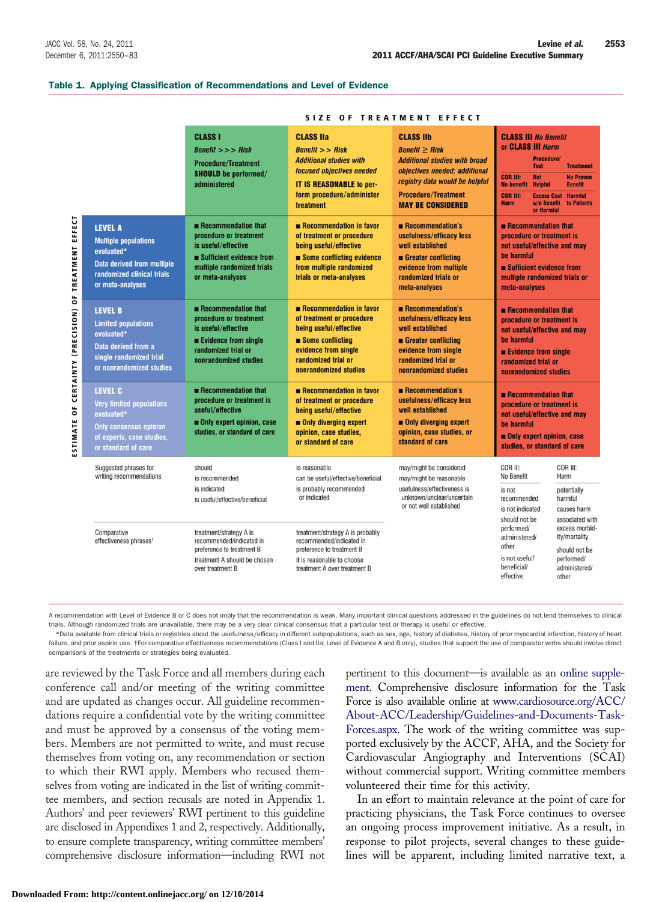#### <span id="page-3-0"></span>Table 1. Applying Classification of Recommendations and Level of Evidence

|                                                             |                                                                                                                                                                                                                                                                                                         | <b>CLASS I</b><br><b>Benefit</b> $>>$ Risk<br><b>Procedure/Treatment</b><br><b>SHOULD</b> be performed/<br>administered                                                  | <b>CLASS IIa</b><br>$Benefit$ >> $Risk$<br><b>Additional studies with</b><br>focused objectives needed<br><b>IT IS REASONABLE to per-</b><br>form procedure/administer<br>treatment                      | <b>CLASS IIb</b><br><b>Benefit <math>\geq</math> Risk</b><br><b>Additional studies with broad</b><br>objectives needed; additional<br>registry data would be helpful<br><b>Procedure/Treatment</b><br><b>MAY BE CONSIDERED</b> | <b>CLASS III No Benefit</b><br>or CLASS III Harm<br>Procedure/<br><b>Treatment</b><br><b>Test</b><br><b>COR III:</b><br><b>Not</b><br><b>No Proven</b><br><b>No benefit</b><br><b>Helpful</b><br><b>Benefit</b><br><b>COR III:</b><br><b>Excess Cost</b><br><b>Harmful</b><br><b>Harm</b><br>w/o Benefit<br>to Patients<br>or Harmful |
|-------------------------------------------------------------|---------------------------------------------------------------------------------------------------------------------------------------------------------------------------------------------------------------------------------------------------------------------------------------------------------|--------------------------------------------------------------------------------------------------------------------------------------------------------------------------|----------------------------------------------------------------------------------------------------------------------------------------------------------------------------------------------------------|--------------------------------------------------------------------------------------------------------------------------------------------------------------------------------------------------------------------------------|---------------------------------------------------------------------------------------------------------------------------------------------------------------------------------------------------------------------------------------------------------------------------------------------------------------------------------------|
| EFFEC<br>TREATMENT                                          | <b>LEVEL A</b><br><b>Multiple populations</b><br>evaluated*<br>Data derived from multiple<br>randomized clinical trials<br>or meta-analyses                                                                                                                                                             | <b>Recommendation that</b><br>procedure or treatment<br>is useful/effective<br>$\blacksquare$ Sufficient evidence from<br>multiple randomized trials<br>or meta-analyses | $\blacksquare$ Recommendation in favor<br>of treatment or procedure<br>being useful/effective<br>Some conflicting evidence<br>from multiple randomized<br>trials or meta-analyses                        | $\blacksquare$ Recommendation's<br>usefulness/efficacy less<br>well established<br>Greater conflicting<br>evidence from multiple<br>randomized trials or<br>meta-analyses                                                      | $\blacksquare$ Recommendation that<br>procedure or treatment is<br>not useful/effective and may<br>be harmful<br>Sufficient evidence from<br>multiple randomized trials or<br>meta-analyses                                                                                                                                           |
| ៉<br>(PRECISION)<br><b>CERTAINTY</b><br>້<br><b>STIMATE</b> | $\blacksquare$ Recommendation that<br><b>LEVEL B</b><br>procedure or treatment<br><b>Limited populations</b><br>is useful/effective<br>evaluated*<br>Evidence from single<br>Data derived from a<br>randomized trial or<br>single randomized trial<br>nonrandomized studies<br>or nonrandomized studies |                                                                                                                                                                          | $\blacksquare$ Recommendation in favor<br>of treatment or procedure<br>being useful/effective<br>$\blacksquare$ Some conflicting<br>evidence from single<br>randomized trial or<br>nonrandomized studies | $\blacksquare$ Recommendation's<br>usefulness/efficacy less<br>well established<br>Greater conflicting<br>evidence from single<br>randomized trial or<br>nonrandomized studies                                                 | $\blacksquare$ Recommendation that<br>procedure or treatment is<br>not useful/effective and may<br>be harmful<br><b>Evidence from single</b><br>randomized trial or<br>nonrandomized studies                                                                                                                                          |
|                                                             | <b>LEVEL C</b><br><b>Very limited populations</b><br>evaluated*<br><b>Only consensus opinion</b><br>of experts, case studies,<br>or standard of care                                                                                                                                                    | $\blacksquare$ Recommendation that<br>procedure or treatment is<br>useful/effective<br>Only expert opinion, case<br>studies, or standard of care                         | $\blacksquare$ Recommendation in favor<br>of treatment or procedure<br>being useful/effective<br>Only diverging expert<br>opinion, case studies,<br>or standard of care                                  | $\blacksquare$ Recommendation's<br>usefulness/efficacy less<br>well established<br>Only diverging expert<br>opinion, case studies, or<br>standard of care                                                                      | <b>Recommendation that</b><br>procedure or treatment is<br>not useful/effective and may<br>be harmful<br>Only expert opinion, case<br>studies, or standard of care                                                                                                                                                                    |
|                                                             | Suggested phrases for<br>writing recommendations                                                                                                                                                                                                                                                        | should<br>is recommended<br>is indicated<br>is useful/effective/beneficial                                                                                               | is reasonable<br>can be useful/effective/beneficial<br>is probably recommended<br>or indicated                                                                                                           | may/might be considered<br>may/might be reasonable<br>usefulness/effectiveness is<br>unknown/unclear/uncertain<br>or not well established                                                                                      | COR III:<br>COR III:<br>No Benefit<br>Harm<br>potentially<br>is not<br>recommended<br>harmful<br>is not indicated<br>causes harm<br>should not be<br>associated with                                                                                                                                                                  |
|                                                             | Comparative<br>effectiveness phrases <sup>+</sup>                                                                                                                                                                                                                                                       | treatment/strategy A is<br>recommended/indicated in<br>preference to treatment B<br>treatment A should be chosen<br>over treatment B                                     | treatment/strategy A is probably<br>recommended/indicated in<br>preference to treatment B<br>it is reasonable to choose<br>treatment A over treatment B                                                  |                                                                                                                                                                                                                                | excess morbid-<br>performed/<br>administered/<br>ity/mortality<br>other<br>should not be<br>is not useful/<br>performed/<br>beneficial/<br>administered/<br>effective<br>other                                                                                                                                                        |

SIZE OF TREATMENT EFFECT

A recommendation with Level of Evidence B or C does not imply that the recommendation is weak. Many important clinical questions addressed in the guidelines do not lend themselves to clinical trials. Although randomized trials are unavailable, there may be a very clear clinical consensus that a particular test or therapy is useful or effective.

\*Data available from clinical trials or registries about the usefulness/efficacy in different subpopulations, such as sex, age, history of diabetes, history of prior myocardial infarction, history of heart failure, and prior aspirin use. +For comparative effectiveness recommendations (Class I and IIa; Level of Evidence A and B only), studies that support the use of comparator verbs should involve direct comparisons of the treatments or strategies being evaluated.

are reviewed by the Task Force and all members during each conference call and/or meeting of the writing committee and are updated as changes occur. All guideline recommendations require a confidential vote by the writing committee and must be approved by a consensus of the voting members. Members are not permitted to write, and must recuse themselves from voting on, any recommendation or section to which their RWI apply. Members who recused themselves from voting are indicated in the list of writing committee members, and section recusals are noted in Appendix 1. Authors' and peer reviewers' RWI pertinent to this guideline are disclosed in Appendixes 1 and 2, respectively. Additionally, to ensure complete transparency, writing committee members' comprehensive disclosure information—including RWI not

pertinent to this document—is available as an [online supple](http://content.onlinejacc.org/cgi/content/full/j.jacc.2011.08.006/DC1)[ment.](http://content.onlinejacc.org/cgi/content/full/j.jacc.2011.08.006/DC1) Comprehensive disclosure information for the Task Force is also available online at [www.cardiosource.org/ACC/](http://www.cardiosource.org/ACC/About-ACC/Leadership/Guidelines-and-Documents-Task-Forces.aspx) [About-ACC/Leadership/Guidelines-and-Documents-Task-](http://www.cardiosource.org/ACC/About-ACC/Leadership/Guidelines-and-Documents-Task-Forces.aspx)[Forces.aspx.](http://www.cardiosource.org/ACC/About-ACC/Leadership/Guidelines-and-Documents-Task-Forces.aspx) The work of the writing committee was supported exclusively by the ACCF, AHA, and the Society for Cardiovascular Angiography and Interventions (SCAI) without commercial support. Writing committee members volunteered their time for this activity.

In an effort to maintain relevance at the point of care for practicing physicians, the Task Force continues to oversee an ongoing process improvement initiative. As a result, in response to pilot projects, several changes to these guidelines will be apparent, including limited narrative text, a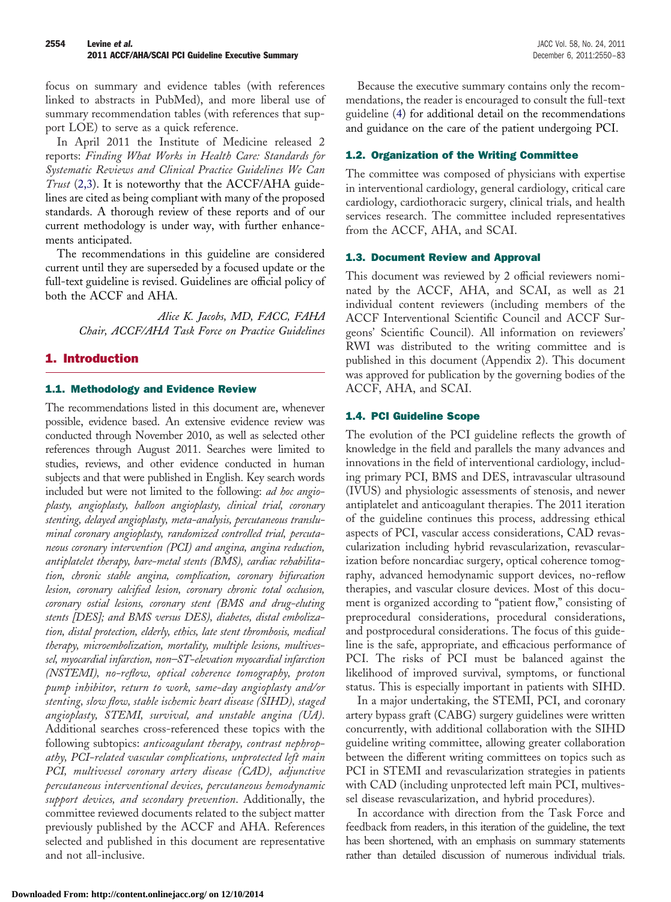focus on summary and evidence tables (with references linked to abstracts in PubMed), and more liberal use of summary recommendation tables (with references that support LOE) to serve as a quick reference.

In April 2011 the Institute of Medicine released 2 reports: *Finding What Works in Health Care: Standards for Systematic Reviews and Clinical Practice Guidelines We Can Trust* [\(2,3\)](#page-18-1). It is noteworthy that the ACCF/AHA guidelines are cited as being compliant with many of the proposed standards. A thorough review of these reports and of our current methodology is under way, with further enhancements anticipated.

The recommendations in this guideline are considered current until they are superseded by a focused update or the full-text guideline is revised. Guidelines are official policy of both the ACCF and AHA.

> *Alice K. Jacobs, MD, FACC, FAHA Chair, ACCF/AHA Task Force on Practice Guidelines*

# 1. Introduction

# 1.1. Methodology and Evidence Review

The recommendations listed in this document are, whenever possible, evidence based. An extensive evidence review was conducted through November 2010, as well as selected other references through August 2011. Searches were limited to studies, reviews, and other evidence conducted in human subjects and that were published in English. Key search words included but were not limited to the following: *ad hoc angioplasty, angioplasty, balloon angioplasty, clinical trial, coronary stenting, delayed angioplasty, meta-analysis, percutaneous transluminal coronary angioplasty, randomized controlled trial, percutaneous coronary intervention (PCI) and angina, angina reduction, antiplatelet therapy, bare-metal stents (BMS), cardiac rehabilitation, chronic stable angina, complication, coronary bifurcation lesion, coronary calcified lesion, coronary chronic total occlusion, coronary ostial lesions, coronary stent (BMS and drug-eluting stents [DES]; and BMS versus DES), diabetes, distal embolization, distal protection, elderly, ethics, late stent thrombosis, medical therapy, microembolization, mortality, multiple lesions, multivessel, myocardial infarction, non–ST-elevation myocardial infarction (NSTEMI), no-reflow, optical coherence tomography, proton pump inhibitor, return to work, same-day angioplasty and/or stenting, slow flow, stable ischemic heart disease (SIHD), staged angioplasty, STEMI, survival, and unstable angina (UA)*. Additional searches cross-referenced these topics with the following subtopics: *anticoagulant therapy, contrast nephropathy, PCI-related vascular complications, unprotected left main PCI, multivessel coronary artery disease (CAD), adjunctive percutaneous interventional devices, percutaneous hemodynamic support devices, and secondary prevention*. Additionally, the committee reviewed documents related to the subject matter previously published by the ACCF and AHA. References selected and published in this document are representative and not all-inclusive.

Because the executive summary contains only the recommendations, the reader is encouraged to consult the full-text guideline [\(4\)](#page-18-2) for additional detail on the recommendations and guidance on the care of the patient undergoing PCI.

# 1.2. Organization of the Writing Committee

The committee was composed of physicians with expertise in interventional cardiology, general cardiology, critical care cardiology, cardiothoracic surgery, clinical trials, and health services research. The committee included representatives from the ACCF, AHA, and SCAI.

# 1.3. Document Review and Approval

This document was reviewed by 2 official reviewers nominated by the ACCF, AHA, and SCAI, as well as 21 individual content reviewers (including members of the ACCF Interventional Scientific Council and ACCF Surgeons' Scientific Council). All information on reviewers' RWI was distributed to the writing committee and is published in this document (Appendix 2). This document was approved for publication by the governing bodies of the ACCF, AHA, and SCAI.

# 1.4. PCI Guideline Scope

The evolution of the PCI guideline reflects the growth of knowledge in the field and parallels the many advances and innovations in the field of interventional cardiology, including primary PCI, BMS and DES, intravascular ultrasound (IVUS) and physiologic assessments of stenosis, and newer antiplatelet and anticoagulant therapies. The 2011 iteration of the guideline continues this process, addressing ethical aspects of PCI, vascular access considerations, CAD revascularization including hybrid revascularization, revascularization before noncardiac surgery, optical coherence tomography, advanced hemodynamic support devices, no-reflow therapies, and vascular closure devices. Most of this document is organized according to "patient flow," consisting of preprocedural considerations, procedural considerations, and postprocedural considerations. The focus of this guideline is the safe, appropriate, and efficacious performance of PCI. The risks of PCI must be balanced against the likelihood of improved survival, symptoms, or functional status. This is especially important in patients with SIHD.

In a major undertaking, the STEMI, PCI, and coronary artery bypass graft (CABG) surgery guidelines were written concurrently, with additional collaboration with the SIHD guideline writing committee, allowing greater collaboration between the different writing committees on topics such as PCI in STEMI and revascularization strategies in patients with CAD (including unprotected left main PCI, multivessel disease revascularization, and hybrid procedures).

In accordance with direction from the Task Force and feedback from readers, in this iteration of the guideline, the text has been shortened, with an emphasis on summary statements rather than detailed discussion of numerous individual trials.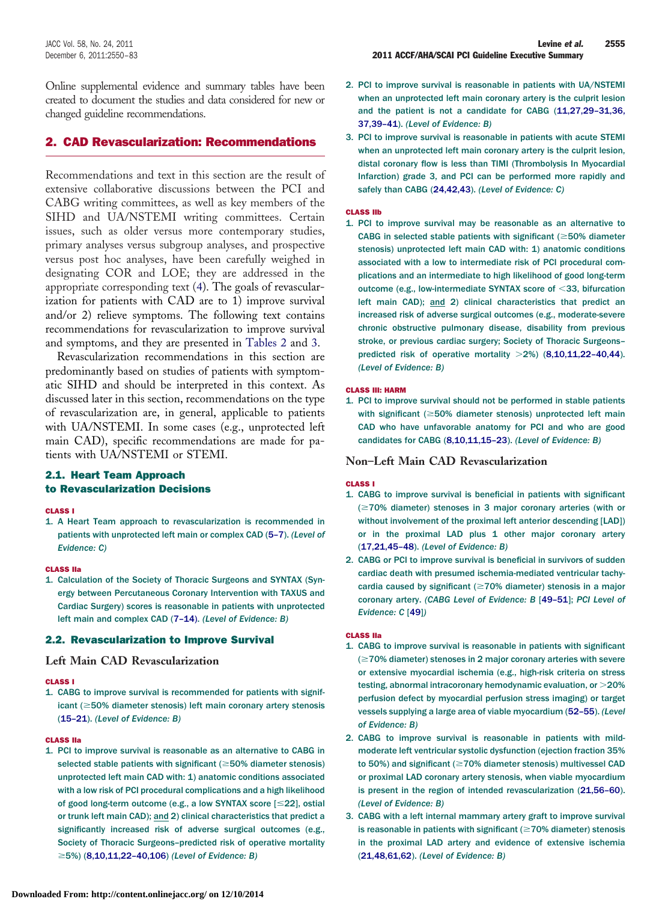Online supplemental evidence and summary tables have been created to document the studies and data considered for new or changed guideline recommendations.

# 2. CAD Revascularization: Recommendations

Recommendations and text in this section are the result of extensive collaborative discussions between the PCI and CABG writing committees, as well as key members of the SIHD and UA/NSTEMI writing committees. Certain issues, such as older versus more contemporary studies, primary analyses versus subgroup analyses, and prospective versus post hoc analyses, have been carefully weighed in designating COR and LOE; they are addressed in the appropriate corresponding text [\(4\)](#page-18-2). The goals of revascularization for patients with CAD are to 1) improve survival and/or 2) relieve symptoms. The following text contains recommendations for revascularization to improve survival and symptoms, and they are presented in [Tables 2](#page-6-0) and [3.](#page-7-0)

Revascularization recommendations in this section are predominantly based on studies of patients with symptomatic SIHD and should be interpreted in this context. As discussed later in this section, recommendations on the type of revascularization are, in general, applicable to patients with UA/NSTEMI. In some cases (e.g., unprotected left main CAD), specific recommendations are made for patients with UA/NSTEMI or STEMI.

# 2.1. Heart Team Approach to Revascularization Decisions

#### CLASS I

1. A Heart Team approach to revascularization is recommended in patients with unprotected left main or complex CAD [\(5–7\)](#page-18-3). *(Level of Evidence: C)*

### CLASS IIa

1. Calculation of the Society of Thoracic Surgeons and SYNTAX (Synergy between Percutaneous Coronary Intervention with TAXUS and Cardiac Surgery) scores is reasonable in patients with unprotected left main and complex CAD [\(7–14\)](#page-18-4). *(Level of Evidence: B)*

### 2.2. Revascularization to Improve Survival

### **Left Main CAD Revascularization**

### CLASS I

1. CABG to improve survival is recommended for patients with significant  $(\geq 50\%$  diameter stenosis) left main coronary artery stenosis [\(15–21\)](#page-18-5). *(Level of Evidence: B)*

### CLASS IIa

1. PCI to improve survival is reasonable as an alternative to CABG in selected stable patients with significant ( $\geq$ 50% diameter stenosis) unprotected left main CAD with: 1) anatomic conditions associated with a low risk of PCI procedural complications and a high likelihood of good long-term outcome (e.g., a low SYNTAX score [ < 22], ostial or trunk left main CAD); and 2) clinical characteristics that predict a significantly increased risk of adverse surgical outcomes (e.g., Society of Thoracic Surgeons–predicted risk of operative mortality 5%) [\(8,10,11,22–40,106\)](#page-18-6) *(Level of Evidence: B)*

- 2. PCI to improve survival is reasonable in patients with UA/NSTEMI when an unprotected left main coronary artery is the culprit lesion and the patient is not a candidate for CABG [\(11,27,29–31,36,](#page-18-7) [37,39–41\)](#page-18-7). *(Level of Evidence: B)*
- 3. PCI to improve survival is reasonable in patients with acute STEMI when an unprotected left main coronary artery is the culprit lesion, distal coronary flow is less than TIMI (Thrombolysis In Myocardial Infarction) grade 3, and PCI can be performed more rapidly and safely than CABG [\(24,42,43\)](#page-18-8). *(Level of Evidence: C)*

### CLASS IIb

1. PCI to improve survival may be reasonable as an alternative to CABG in selected stable patients with significant ( $\geq$ 50% diameter stenosis) unprotected left main CAD with: 1) anatomic conditions associated with a low to intermediate risk of PCI procedural complications and an intermediate to high likelihood of good long-term outcome (e.g., low-intermediate SYNTAX score of <33, bifurcation left main CAD); and 2) clinical characteristics that predict an increased risk of adverse surgical outcomes (e.g., moderate-severe chronic obstructive pulmonary disease, disability from previous stroke, or previous cardiac surgery; Society of Thoracic Surgeons– predicted risk of operative mortality  $>2\%$  (8,10,11,22-40,44). *(Level of Evidence: B)*

#### CLASS III: HARM

1. PCI to improve survival should not be performed in stable patients with significant ( $\geq$ 50% diameter stenosis) unprotected left main CAD who have unfavorable anatomy for PCI and who are good candidates for CABG [\(8,10,11,15–23\)](#page-18-6). *(Level of Evidence: B)*

### **Non–Left Main CAD Revascularization**

#### CLASS I

- 1. CABG to improve survival is beneficial in patients with significant  $(\geq 70\%$  diameter) stenoses in 3 major coronary arteries (with or without involvement of the proximal left anterior descending [LAD]) or in the proximal LAD plus 1 other major coronary artery [\(17,21,45–48\)](#page-18-9). *(Level of Evidence: B)*
- 2. CABG or PCI to improve survival is beneficial in survivors of sudden cardiac death with presumed ischemia-mediated ventricular tachycardia caused by significant ( $\geq$ 70% diameter) stenosis in a major coronary artery. *(CABG Level of Evidence: B* [\[49–51\]](#page-19-0); *PCI Level of Evidence: C* [\[49\]](#page-19-0)*)*

### CLASS IIa

- 1. CABG to improve survival is reasonable in patients with significant  $\approx$  70% diameter) stenoses in 2 major coronary arteries with severe or extensive myocardial ischemia (e.g., high-risk criteria on stress testing, abnormal intracoronary hemodynamic evaluation, or  $>\!\!20\%$ perfusion defect by myocardial perfusion stress imaging) or target vessels supplying a large area of viable myocardium [\(52–55\)](#page-19-1). *(Level of Evidence: B)*
- 2. CABG to improve survival is reasonable in patients with mildmoderate left ventricular systolic dysfunction (ejection fraction 35% to 50%) and significant ( $\geq$ 70% diameter stenosis) multivessel CAD or proximal LAD coronary artery stenosis, when viable myocardium is present in the region of intended revascularization [\(21,56–60\)](#page-18-10). *(Level of Evidence: B)*
- 3. CABG with a left internal mammary artery graft to improve survival is reasonable in patients with significant ( $\geq$ 70% diameter) stenosis in the proximal LAD artery and evidence of extensive ischemia [\(21,48,61,62\)](#page-18-10). *(Level of Evidence: B)*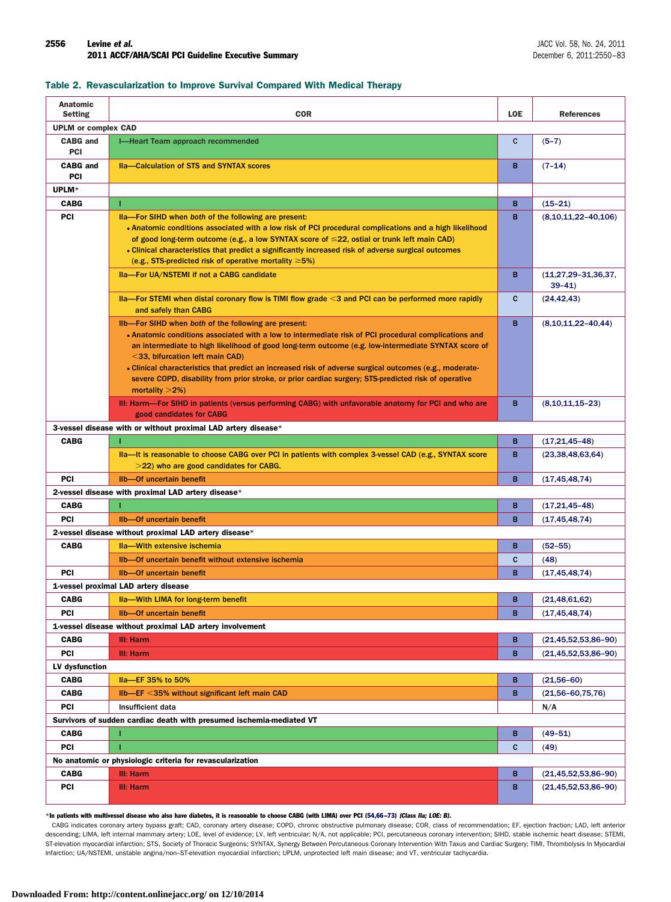### <span id="page-6-0"></span>Table 2. Revascularization to Improve Survival Compared With Medical Therapy

| Anatomic<br><b>Setting</b> | <b>COR</b>                                                                                                                                                                                                                                                                                                                                                                                                                                                                                                                                      |              | <b>References</b>                        |
|----------------------------|-------------------------------------------------------------------------------------------------------------------------------------------------------------------------------------------------------------------------------------------------------------------------------------------------------------------------------------------------------------------------------------------------------------------------------------------------------------------------------------------------------------------------------------------------|--------------|------------------------------------------|
| <b>UPLM or complex CAD</b> |                                                                                                                                                                                                                                                                                                                                                                                                                                                                                                                                                 |              |                                          |
| <b>CABG and</b><br>PCI     | I-Heart Team approach recommended                                                                                                                                                                                                                                                                                                                                                                                                                                                                                                               | $\mathbf{c}$ | $(5-7)$                                  |
| <b>CABG</b> and<br>PCI     | Ila-Calculation of STS and SYNTAX scores                                                                                                                                                                                                                                                                                                                                                                                                                                                                                                        | B            | $(7-14)$                                 |
| UPLM*                      |                                                                                                                                                                                                                                                                                                                                                                                                                                                                                                                                                 |              |                                          |
| <b>CABG</b>                | т.                                                                                                                                                                                                                                                                                                                                                                                                                                                                                                                                              | B            | $(15-21)$                                |
| PCI                        | Ila-For SIHD when both of the following are present:<br>• Anatomic conditions associated with a low risk of PCI procedural complications and a high likelihood<br>of good long-term outcome (e.g., a low SYNTAX score of $\leq$ 22, ostial or trunk left main CAD)<br>• Clinical characteristics that predict a significantly increased risk of adverse surgical outcomes<br>(e.g., STS-predicted risk of operative mortality $\geq 5\%$ )                                                                                                      | B            | $(8,10,11,22-40,106)$                    |
|                            | Ila-For UA/NSTEMI if not a CABG candidate                                                                                                                                                                                                                                                                                                                                                                                                                                                                                                       | в            | $(11, 27, 29 - 31, 36, 37,$<br>$39 - 41$ |
|                            | $IIa$ —For STEMI when distal coronary flow is TIMI flow grade $\leq$ 3 and PCI can be performed more rapidly<br>and safely than CABG                                                                                                                                                                                                                                                                                                                                                                                                            | C            | (24, 42, 43)                             |
|                            | IIb-For SIHD when both of the following are present:<br>• Anatomic conditions associated with a low to intermediate risk of PCI procedural complications and<br>an intermediate to high likelihood of good long-term outcome (e.g. low-intermediate SYNTAX score of<br><33, bifurcation left main CAD)<br>• Clinical characteristics that predict an increased risk of adverse surgical outcomes (e.g., moderate-<br>severe COPD, disability from prior stroke, or prior cardiac surgery; STS-predicted risk of operative<br>mortality $>2\%$ ) | B            | $(8,10,11,22-40,44)$                     |
|                            | III: Harm—For SIHD in patients (versus performing CABG) with unfavorable anatomy for PCI and who are<br>good candidates for CABG                                                                                                                                                                                                                                                                                                                                                                                                                | B            | $(8,10,11,15-23)$                        |
|                            | 3-vessel disease with or without proximal LAD artery disease*                                                                                                                                                                                                                                                                                                                                                                                                                                                                                   |              |                                          |
| <b>CABG</b>                |                                                                                                                                                                                                                                                                                                                                                                                                                                                                                                                                                 | B            | $(17, 21, 45 - 48)$                      |
|                            | Ila—It is reasonable to choose CABG over PCI in patients with complex 3-vessel CAD (e.g., SYNTAX score<br>$>$ 22) who are good candidates for CABG.                                                                                                                                                                                                                                                                                                                                                                                             | B            | (23, 38, 48, 63, 64)                     |
| PCI                        | Ilb-Of uncertain benefit                                                                                                                                                                                                                                                                                                                                                                                                                                                                                                                        | B            | (17, 45, 48, 74)                         |
|                            | 2-vessel disease with proximal LAD artery disease*                                                                                                                                                                                                                                                                                                                                                                                                                                                                                              |              |                                          |
| <b>CABG</b>                | T                                                                                                                                                                                                                                                                                                                                                                                                                                                                                                                                               | B            | $(17, 21, 45 - 48)$                      |
| PCI                        | Ilb-Of uncertain benefit                                                                                                                                                                                                                                                                                                                                                                                                                                                                                                                        | B            | (17, 45, 48, 74)                         |
|                            | 2-vessel disease without proximal LAD artery disease*                                                                                                                                                                                                                                                                                                                                                                                                                                                                                           |              |                                          |
| <b>CABG</b>                | Ila-With extensive ischemia                                                                                                                                                                                                                                                                                                                                                                                                                                                                                                                     | B            | $(52 - 55)$                              |
|                            | IIb-Of uncertain benefit without extensive ischemia                                                                                                                                                                                                                                                                                                                                                                                                                                                                                             | C            | (48)                                     |
| PCI                        | <b>IIb-Of uncertain benefit</b>                                                                                                                                                                                                                                                                                                                                                                                                                                                                                                                 | B            | (17, 45, 48, 74)                         |
|                            | 1-vessel proximal LAD artery disease                                                                                                                                                                                                                                                                                                                                                                                                                                                                                                            |              |                                          |
| <b>CABG</b><br>PCI         | Ila-With LIMA for long-term benefit<br><b>IIb-Of uncertain benefit</b>                                                                                                                                                                                                                                                                                                                                                                                                                                                                          | B<br>B       | (21, 48, 61, 62)<br>(17, 45, 48, 74)     |
|                            | 1-vessel disease without proximal LAD artery involvement                                                                                                                                                                                                                                                                                                                                                                                                                                                                                        |              |                                          |
| <b>CABG</b>                | III: Harm                                                                                                                                                                                                                                                                                                                                                                                                                                                                                                                                       | B            | $(21, 45, 52, 53, 86 - 90)$              |
| PCI                        | III: Harm                                                                                                                                                                                                                                                                                                                                                                                                                                                                                                                                       | B            | $(21, 45, 52, 53, 86 - 90)$              |
| LV dysfunction             |                                                                                                                                                                                                                                                                                                                                                                                                                                                                                                                                                 |              |                                          |
| <b>CABG</b>                | Ila-EF 35% to 50%                                                                                                                                                                                                                                                                                                                                                                                                                                                                                                                               | в            | $(21, 56 - 60)$                          |
| <b>CABG</b>                | IIb-EF <35% without significant left main CAD                                                                                                                                                                                                                                                                                                                                                                                                                                                                                                   | в            | $(21,56 - 60,75,76)$                     |
| PCI                        | Insufficient data                                                                                                                                                                                                                                                                                                                                                                                                                                                                                                                               |              | N/A                                      |
|                            | Survivors of sudden cardiac death with presumed ischemia-mediated VT                                                                                                                                                                                                                                                                                                                                                                                                                                                                            |              |                                          |
| <b>CABG</b>                |                                                                                                                                                                                                                                                                                                                                                                                                                                                                                                                                                 | B            | $(49 - 51)$                              |
| PCI                        | т.                                                                                                                                                                                                                                                                                                                                                                                                                                                                                                                                              | c            | (49)                                     |
|                            | No anatomic or physiologic criteria for revascularization                                                                                                                                                                                                                                                                                                                                                                                                                                                                                       |              |                                          |
| CABG                       | III: Harm                                                                                                                                                                                                                                                                                                                                                                                                                                                                                                                                       | B            | $(21, 45, 52, 53, 86 - 90)$              |
| PCI                        | III: Harm                                                                                                                                                                                                                                                                                                                                                                                                                                                                                                                                       | B            | $(21, 45, 52, 53, 86 - 90)$              |

\*In patients with multivessel disease who also have diabetes, it is reasonable to choose CABG (with LIMA) over PCI [\(54,66–73\)](#page-19-3) (Class IIa; LOE: B).

CABG indicates coronary artery bypass graft; CAD, coronary artery disease; COPD, chronic obstructive pulmonary disease; COR, class of recommendation; EF, ejection fraction; LAD, left anterior descending; LIMA, left internal mammary artery; LOE, level of evidence; LV, left ventricular; N/A, not applicable; PCI, percutaneous coronary intervention; SIHD, stable ischemic heart disease; STEMI, ST-elevation myocardial infarction; STS, Society of Thoracic Surgeons; SYNTAX, Synergy Between Percutaneous Coronary Intervention With Taxus and Cardiac Surgery; TIMI, Thrombolysis In Myocardial Infarction; UA/NSTEMI, unstable angina/non–ST-elevation myocardial infarction; UPLM, unprotected left main disease; and VT, ventricular tachycardia.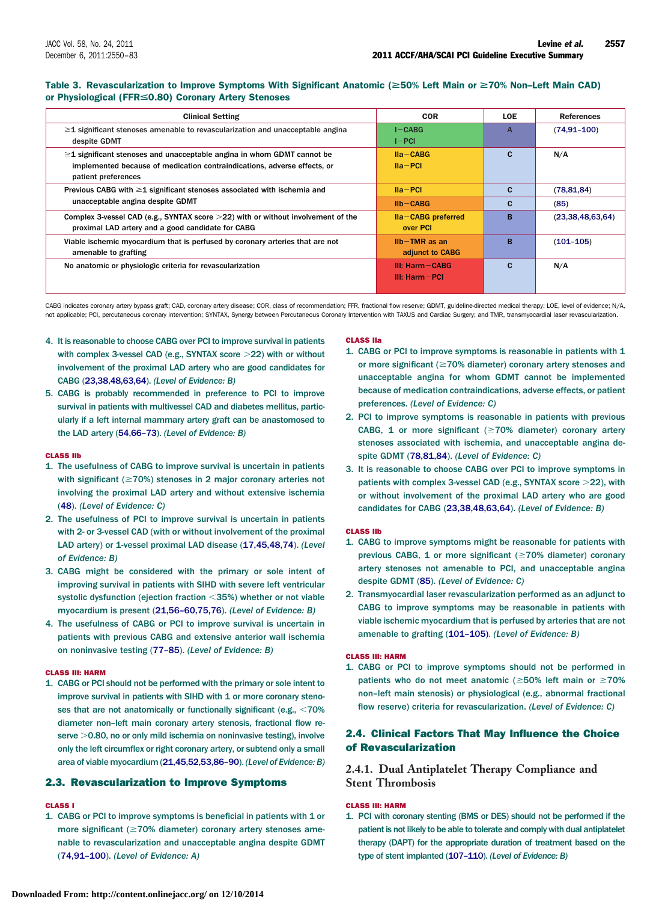### <span id="page-7-0"></span>Table 3. Revascularization to Improve Symptoms With Significant Anatomic ( $\geq$ 50% Left Main or  $\geq$ 70% Non–Left Main CAD) or Physiological (FFR≤0.80) Coronary Artery Stenoses

| <b>Clinical Setting</b>                                                                                                                                                         | <b>COR</b>                                  | <b>LOE</b>   | <b>References</b>    |
|---------------------------------------------------------------------------------------------------------------------------------------------------------------------------------|---------------------------------------------|--------------|----------------------|
| $\geq$ 1 significant stenoses amenable to revascularization and unacceptable angina<br>despite GDMT                                                                             | $I - CABG$<br>$I-PCI$                       | $\mathbf{A}$ | $(74.91 - 100)$      |
| $\geq$ 1 significant stenoses and unacceptable angina in whom GDMT cannot be<br>implemented because of medication contraindications, adverse effects, or<br>patient preferences | $IIa - CABG$<br>$IIa - PCI$                 | C.           | N/A                  |
| Previous CABG with $\geq$ 1 significant stenoses associated with ischemia and<br>unacceptable angina despite GDMT                                                               | $IIa - PCI$<br>$I$ lb-CABG                  | C.<br>C.     | (78, 81, 84)<br>(85) |
| Complex 3-vessel CAD (e.g., SYNTAX score >22) with or without involvement of the<br>proximal LAD artery and a good candidate for CABG                                           | $lla - CABG$ preferred<br>over PCI          | R            | (23, 38, 48, 63, 64) |
| Viable ischemic myocardium that is perfused by coronary arteries that are not<br>amenable to grafting                                                                           | $I\rightarrow IMR$ as an<br>adjunct to CABG | R            | $(101 - 105)$        |
| No anatomic or physiologic criteria for revascularization                                                                                                                       | III: Harm-CABG<br>III: Harm-PCI             | C.           | N/A                  |

CABG indicates coronary artery bypass graft; CAD, coronary artery disease; COR, class of recommendation; FFR, fractional flow reserve; GDMT, guideline-directed medical therapy; LOE, level of evidence; N/A, not applicable; PCI, percutaneous coronary intervention; SYNTAX, Synergy between Percutaneous Coronary Intervention with TAXUS and Cardiac Surgery; and TMR, transmyocardial laser revascularization.

- 4. It is reasonable to choose CABG over PCI to improve survival in patients with complex 3-vessel CAD (e.g., SYNTAX score  $>$  22) with or without involvement of the proximal LAD artery who are good candidates for CABG [\(23,38,48,63,64\)](#page-18-11). *(Level of Evidence: B)*
- 5. CABG is probably recommended in preference to PCI to improve survival in patients with multivessel CAD and diabetes mellitus, particularly if a left internal mammary artery graft can be anastomosed to the LAD artery [\(54,66–73\)](#page-19-3). *(Level of Evidence: B)*

### CLASS IIb

- 1. The usefulness of CABG to improve survival is uncertain in patients with significant ( $\geq$ 70%) stenoses in 2 major coronary arteries not involving the proximal LAD artery and without extensive ischemia [\(48\)](#page-19-2). *(Level of Evidence: C)*
- 2. The usefulness of PCI to improve survival is uncertain in patients with 2- or 3-vessel CAD (with or without involvement of the proximal LAD artery) or 1-vessel proximal LAD disease [\(17,45,48,74\)](#page-18-9). *(Level of Evidence: B)*
- 3. CABG might be considered with the primary or sole intent of improving survival in patients with SIHD with severe left ventricular systolic dysfunction (ejection fraction <35%) whether or not viable myocardium is present [\(21,56–60,75,76\)](#page-18-10). *(Level of Evidence: B)*
- 4. The usefulness of CABG or PCI to improve survival is uncertain in patients with previous CABG and extensive anterior wall ischemia on noninvasive testing [\(77–85\)](#page-19-4). *(Level of Evidence: B)*

#### CLASS III: HARM

1. CABG or PCI should not be performed with the primary or sole intent to improve survival in patients with SIHD with 1 or more coronary stenoses that are not anatomically or functionally significant (e.g.,  $<$ 70% diameter non–left main coronary artery stenosis, fractional flow reserve > 0.80, no or only mild ischemia on noninvasive testing), involve only the left circumflex or right coronary artery, or subtend only a small area of viable myocardium [\(21,45,52,53,86–90\)](#page-18-10). *(Level of Evidence: B)*

### 2.3. Revascularization to Improve Symptoms

#### CLASS I

1. CABG or PCI to improve symptoms is beneficial in patients with 1 or more significant ( $\geq$ 70% diameter) coronary artery stenoses amenable to revascularization and unacceptable angina despite GDMT [\(74,91–100\)](#page-19-5). *(Level of Evidence: A)*

#### CLASS IIa

- 1. CABG or PCI to improve symptoms is reasonable in patients with 1 or more significant ( $\geq$ 70% diameter) coronary artery stenoses and unacceptable angina for whom GDMT cannot be implemented because of medication contraindications, adverse effects, or patient preferences. *(Level of Evidence: C)*
- 2. PCI to improve symptoms is reasonable in patients with previous CABG, 1 or more significant ( $\geq$ 70% diameter) coronary artery stenoses associated with ischemia, and unacceptable angina despite GDMT [\(78,81,84\)](#page-19-6). *(Level of Evidence: C)*
- 3. It is reasonable to choose CABG over PCI to improve symptoms in patients with complex 3-vessel CAD (e.g., SYNTAX score > 22), with or without involvement of the proximal LAD artery who are good candidates for CABG [\(23,38,48,63,64\)](#page-18-11). *(Level of Evidence: B)*

### CLASS IIb

- 1. CABG to improve symptoms might be reasonable for patients with previous CABG, 1 or more significant ( $\geq$ 70% diameter) coronary artery stenoses not amenable to PCI, and unacceptable angina despite GDMT [\(85\)](#page-20-0). *(Level of Evidence: C)*
- 2. Transmyocardial laser revascularization performed as an adjunct to CABG to improve symptoms may be reasonable in patients with viable ischemic myocardium that is perfused by arteries that are not amenable to grafting [\(101–105\)](#page-20-1). *(Level of Evidence: B)*

### CLASS III: HARM

1. CABG or PCI to improve symptoms should not be performed in patients who do not meet anatomic ( $\geq$ 50% left main or  $\geq$ 70% non–left main stenosis) or physiological (e.g., abnormal fractional flow reserve) criteria for revascularization. *(Level of Evidence: C)*

# 2.4. Clinical Factors That May Influence the Choice of Revascularization

**2.4.1. Dual Antiplatelet Therapy Compliance and Stent Thrombosis**

### CLASS III: HARM

1. PCI with coronary stenting (BMS or DES) should not be performed if the patient is not likely to be able to tolerate and comply with dual antiplatelet therapy (DAPT) for the appropriate duration of treatment based on the type of stent implanted [\(107–110\)](#page-20-2). *(Level of Evidence: B)*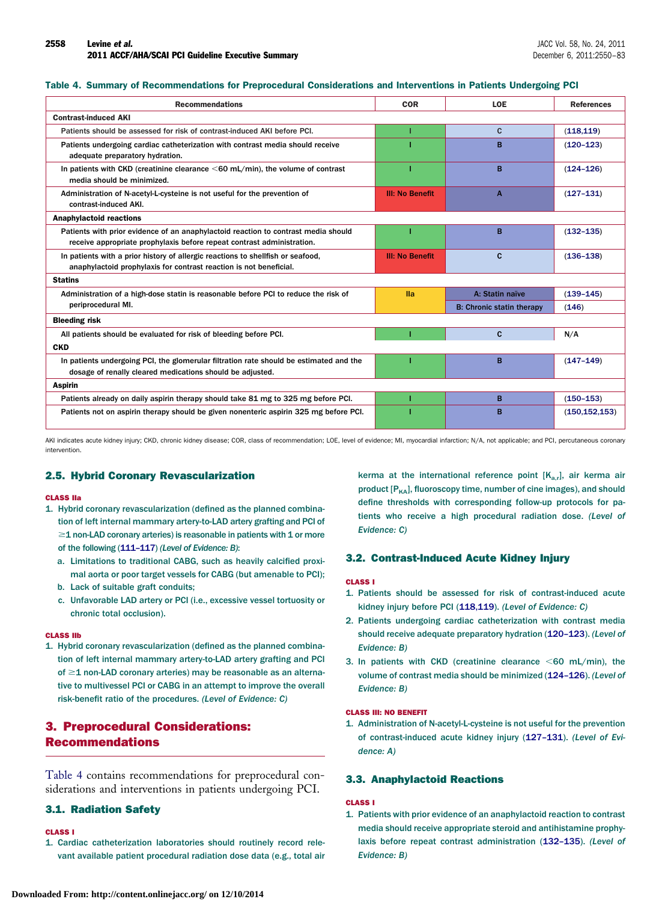<span id="page-8-0"></span>

|  | Table 4. Summary of Recommendations for Preprocedural Considerations and Interventions in Patients Undergoing PCI |  |  |  |
|--|-------------------------------------------------------------------------------------------------------------------|--|--|--|
|  |                                                                                                                   |  |  |  |

| <b>Recommendations</b>                                                                                                                                       | <b>COR</b>             | <b>LOE</b>                       | <b>References</b> |
|--------------------------------------------------------------------------------------------------------------------------------------------------------------|------------------------|----------------------------------|-------------------|
| <b>Contrast-induced AKI</b>                                                                                                                                  |                        |                                  |                   |
| Patients should be assessed for risk of contrast-induced AKI before PCI.                                                                                     |                        | $\mathbf{C}$                     | (118, 119)        |
| Patients undergoing cardiac catheterization with contrast media should receive<br>adequate preparatory hydration.                                            |                        | B                                | $(120 - 123)$     |
| In patients with CKD (creatinine clearance <60 mL/min), the volume of contrast<br>media should be minimized.                                                 |                        | B                                | $(124 - 126)$     |
| Administration of N-acetyl-L-cysteine is not useful for the prevention of<br>contrast-induced AKI.                                                           | <b>III: No Benefit</b> | A                                | $(127 - 131)$     |
| <b>Anaphylactoid reactions</b>                                                                                                                               |                        |                                  |                   |
| Patients with prior evidence of an anaphylactoid reaction to contrast media should<br>receive appropriate prophylaxis before repeat contrast administration. |                        | B                                | $(132 - 135)$     |
| In patients with a prior history of allergic reactions to shellfish or seafood,<br>anaphylactoid prophylaxis for contrast reaction is not beneficial.        | <b>III: No Benefit</b> | C                                | $(136 - 138)$     |
| <b>Statins</b>                                                                                                                                               |                        |                                  |                   |
| Administration of a high-dose statin is reasonable before PCI to reduce the risk of                                                                          | lla                    | A: Statin naïve                  | $(139 - 145)$     |
| periprocedural MI.                                                                                                                                           |                        | <b>B: Chronic statin therapy</b> | (146)             |
| <b>Bleeding risk</b>                                                                                                                                         |                        |                                  |                   |
| All patients should be evaluated for risk of bleeding before PCI.                                                                                            |                        | $\mathbf{c}$                     | N/A               |
| <b>CKD</b>                                                                                                                                                   |                        |                                  |                   |
| In patients undergoing PCI, the glomerular filtration rate should be estimated and the<br>dosage of renally cleared medications should be adjusted.          |                        | в                                | $(147 - 149)$     |
| Aspirin                                                                                                                                                      |                        |                                  |                   |
| Patients already on daily aspirin therapy should take 81 mg to 325 mg before PCI.                                                                            |                        | в                                | $(150 - 153)$     |
| Patients not on aspirin therapy should be given nonenteric aspirin 325 mg before PCI.                                                                        |                        | B                                | (150, 152, 153)   |

AKI indicates acute kidney injury; CKD, chronic kidney disease; COR, class of recommendation; LOE, level of evidence; MI, myocardial infarction; N/A, not applicable; and PCI, percutaneous coronary intervention.

### 2.5. Hybrid Coronary Revascularization

#### CLASS IIa

- 1. Hybrid coronary revascularization (defined as the planned combination of left internal mammary artery-to-LAD artery grafting and PCI of  $\geq$ 1 non-LAD coronary arteries) is reasonable in patients with 1 or more of the following [\(111–117\)](#page-20-3) *(Level of Evidence: B)*:
	- a. Limitations to traditional CABG, such as heavily calcified proximal aorta or poor target vessels for CABG (but amenable to PCI);
	- b. Lack of suitable graft conduits;
	- c. Unfavorable LAD artery or PCI (i.e., excessive vessel tortuosity or chronic total occlusion).

### CLASS IIb

1. Hybrid coronary revascularization (defined as the planned combination of left internal mammary artery-to-LAD artery grafting and PCI of  $\geq$ 1 non-LAD coronary arteries) may be reasonable as an alternative to multivessel PCI or CABG in an attempt to improve the overall risk-benefit ratio of the procedures. *(Level of Evidence: C)*

# 3. Preprocedural Considerations: Recommendations

[Table 4](#page-8-0) contains recommendations for preprocedural considerations and interventions in patients undergoing PCI.

### 3.1. Radiation Safety

### CLASS I

1. Cardiac catheterization laboratories should routinely record relevant available patient procedural radiation dose data (e.g., total air kerma at the international reference point  $[K_{a,r}]$ , air kerma air product  $[P<sub>KA</sub>]$ , fluoroscopy time, number of cine images), and should define thresholds with corresponding follow-up protocols for patients who receive a high procedural radiation dose. *(Level of Evidence: C)*

### 3.2. Contrast-Induced Acute Kidney Injury

#### CLASS I

- 1. Patients should be assessed for risk of contrast-induced acute kidney injury before PCI [\(118,119\)](#page-21-0). *(Level of Evidence: C)*
- 2. Patients undergoing cardiac catheterization with contrast media should receive adequate preparatory hydration [\(120–123\)](#page-21-1). *(Level of Evidence: B)*
- 3. In patients with CKD (creatinine clearance  $\leq 60$  mL/min), the volume of contrast media should be minimized [\(124–126\)](#page-21-2). *(Level of Evidence: B)*

#### CLASS III: NO BENEFIT

1. Administration of N-acetyl-L-cysteine is not useful for the prevention of contrast-induced acute kidney injury [\(127–131\)](#page-21-3). *(Level of Evidence: A)*

### 3.3. Anaphylactoid Reactions

### CLASS I

1. Patients with prior evidence of an anaphylactoid reaction to contrast media should receive appropriate steroid and antihistamine prophylaxis before repeat contrast administration [\(132–135\)](#page-21-4). *(Level of Evidence: B)*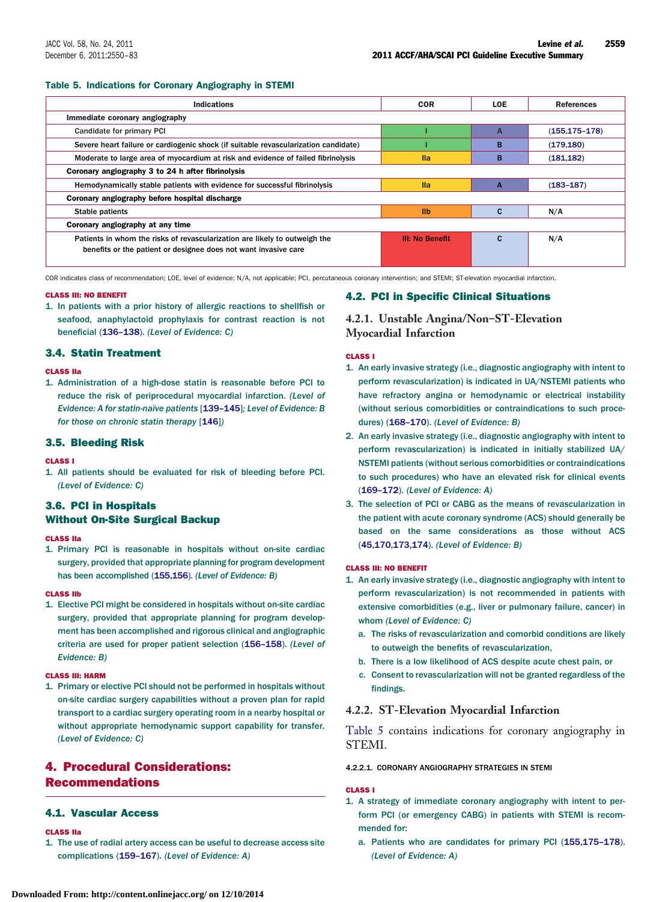### <span id="page-9-0"></span>Table 5. Indications for Coronary Angiography in STEMI

| <b>Indications</b>                                                                                                                            | <b>COR</b>             | <b>LOE</b> | <b>References</b>  |  |  |  |  |
|-----------------------------------------------------------------------------------------------------------------------------------------------|------------------------|------------|--------------------|--|--|--|--|
| Immediate coronary angiography                                                                                                                |                        |            |                    |  |  |  |  |
| Candidate for primary PCI                                                                                                                     |                        | A          | $(155, 175 - 178)$ |  |  |  |  |
| Severe heart failure or cardiogenic shock (if suitable revascularization candidate)                                                           |                        | B          | (179, 180)         |  |  |  |  |
| Moderate to large area of myocardium at risk and evidence of failed fibrinolysis                                                              | <b>Ila</b>             | B          | (181, 182)         |  |  |  |  |
| Coronary angiography 3 to 24 h after fibrinolysis                                                                                             |                        |            |                    |  |  |  |  |
| Hemodynamically stable patients with evidence for successful fibrinolysis                                                                     | <b>Ila</b>             | А          | $(183 - 187)$      |  |  |  |  |
| Coronary angiography before hospital discharge                                                                                                |                        |            |                    |  |  |  |  |
| Stable patients                                                                                                                               | <b>IIb</b>             | C          | N/A                |  |  |  |  |
| Coronary angiography at any time                                                                                                              |                        |            |                    |  |  |  |  |
| Patients in whom the risks of revascularization are likely to outweigh the<br>benefits or the patient or designee does not want invasive care | <b>III: No Benefit</b> | C          | N/A                |  |  |  |  |

COR indicates class of recommendation; LOE, level of evidence; N/A, not applicable; PCI, percutaneous coronary intervention; and STEMI; ST-elevation myocardial infarction.

### CLASS III: NO BENEFIT

1. In patients with a prior history of allergic reactions to shellfish or seafood, anaphylactoid prophylaxis for contrast reaction is not beneficial [\(136–138\)](#page-21-5). *(Level of Evidence: C)*

### 3.4. Statin Treatment

#### CLASS IIa

1. Administration of a high-dose statin is reasonable before PCI to reduce the risk of periprocedural myocardial infarction. *(Level of Evidence: A for statin-naïve patients* [\[139–145\]](#page-21-6)*; Level of Evidence: B for those on chronic statin therapy* [\[146\]](#page-21-7)*)*

### 3.5. Bleeding Risk

#### CLASS I

1. All patients should be evaluated for risk of bleeding before PCI. *(Level of Evidence: C)*

# 3.6. PCI in Hospitals Without On-Site Surgical Backup

#### CLASS IIa

1. Primary PCI is reasonable in hospitals without on-site cardiac surgery, provided that appropriate planning for program development has been accomplished [\(155,156\)](#page-21-10). *(Level of Evidence: B)*

#### CLASS IIb

1. Elective PCI might be considered in hospitals without on-site cardiac surgery, provided that appropriate planning for program development has been accomplished and rigorous clinical and angiographic criteria are used for proper patient selection [\(156–158\)](#page-21-11). *(Level of Evidence: B)*

#### CLASS III: HARM

1. Primary or elective PCI should not be performed in hospitals without on-site cardiac surgery capabilities without a proven plan for rapid transport to a cardiac surgery operating room in a nearby hospital or without appropriate hemodynamic support capability for transfer. *(Level of Evidence: C)*

# 4. Procedural Considerations: Recommendations

### 4.1. Vascular Access

### CLASS IIa

1. The use of radial artery access can be useful to decrease access site complications [\(159–167\)](#page-22-0). *(Level of Evidence: A)*

### 4.2. PCI in Specific Clinical Situations

# **4.2.1. Unstable Angina/Non–ST-Elevation Myocardial Infarction**

### CLASS I

- 1. An early invasive strategy (i.e., diagnostic angiography with intent to perform revascularization) is indicated in UA/NSTEMI patients who have refractory angina or hemodynamic or electrical instability (without serious comorbidities or contraindications to such procedures) [\(168–170\)](#page-22-1). *(Level of Evidence: B)*
- 2. An early invasive strategy (i.e., diagnostic angiography with intent to perform revascularization) is indicated in initially stabilized UA/ NSTEMI patients (without serious comorbidities or contraindications to such procedures) who have an elevated risk for clinical events [\(169–172\)](#page-22-2). *(Level of Evidence: A)*
- 3. The selection of PCI or CABG as the means of revascularization in the patient with acute coronary syndrome (ACS) should generally be based on the same considerations as those without ACS [\(45,170,173,174\)](#page-19-7). *(Level of Evidence: B)*

#### CLASS III: NO BENEFIT

- 1. An early invasive strategy (i.e., diagnostic angiography with intent to perform revascularization) is not recommended in patients with extensive comorbidities (e.g., liver or pulmonary failure, cancer) in whom *(Level of Evidence: C)*
	- a. The risks of revascularization and comorbid conditions are likely to outweigh the benefits of revascularization,
	- b. There is a low likelihood of ACS despite acute chest pain, or
	- c. Consent to revascularization will not be granted regardless of the findings.

### **4.2.2. ST-Elevation Myocardial Infarction**

[Table 5](#page-9-0) contains indications for coronary angiography in STEMI.

#### 4.2.2.1. CORONARY ANGIOGRAPHY STRATEGIES IN STEMI

#### CLASS I

- 1. A strategy of immediate coronary angiography with intent to perform PCI (or emergency CABG) in patients with STEMI is recommended for:
	- a. Patients who are candidates for primary PCI [\(155,175–178\)](#page-21-10). *(Level of Evidence: A)*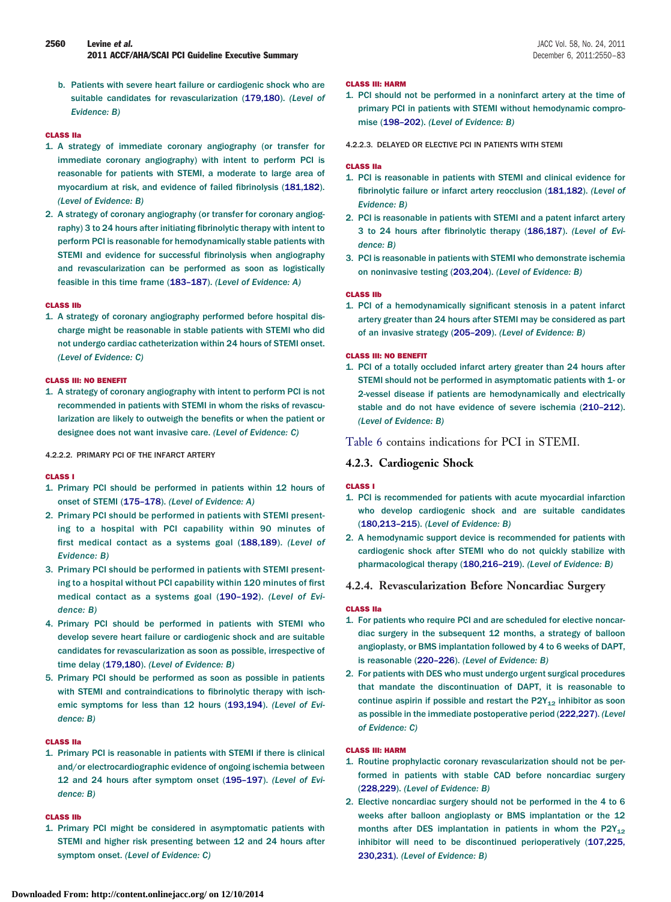b. Patients with severe heart failure or cardiogenic shock who are suitable candidates for revascularization [\(179,180\)](#page-22-3). *(Level of Evidence: B)*

#### CLASS IIa

- 1. A strategy of immediate coronary angiography (or transfer for immediate coronary angiography) with intent to perform PCI is reasonable for patients with STEMI, a moderate to large area of myocardium at risk, and evidence of failed fibrinolysis [\(181,182\)](#page-22-4). *(Level of Evidence: B)*
- 2. A strategy of coronary angiography (or transfer for coronary angiography) 3 to 24 hours after initiating fibrinolytic therapy with intent to perform PCI is reasonable for hemodynamically stable patients with STEMI and evidence for successful fibrinolysis when angiography and revascularization can be performed as soon as logistically feasible in this time frame [\(183–187\)](#page-22-5). *(Level of Evidence: A)*

#### CLASS IIb

1. A strategy of coronary angiography performed before hospital discharge might be reasonable in stable patients with STEMI who did not undergo cardiac catheterization within 24 hours of STEMI onset. *(Level of Evidence: C)*

#### CLASS III: NO BENEFIT

1. A strategy of coronary angiography with intent to perform PCI is not recommended in patients with STEMI in whom the risks of revascularization are likely to outweigh the benefits or when the patient or designee does not want invasive care. *(Level of Evidence: C)*

4.2.2.2. PRIMARY PCI OF THE INFARCT ARTERY

#### CLASS I

- 1. Primary PCI should be performed in patients within 12 hours of onset of STEMI [\(175–178\)](#page-22-6). *(Level of Evidence: A)*
- 2. Primary PCI should be performed in patients with STEMI presenting to a hospital with PCI capability within 90 minutes of first medical contact as a systems goal [\(188,189\)](#page-22-7). *(Level of Evidence: B)*
- 3. Primary PCI should be performed in patients with STEMI presenting to a hospital without PCI capability within 120 minutes of first medical contact as a systems goal [\(190–192\)](#page-22-8). *(Level of Evidence: B)*
- 4. Primary PCI should be performed in patients with STEMI who develop severe heart failure or cardiogenic shock and are suitable candidates for revascularization as soon as possible, irrespective of time delay [\(179,180\)](#page-22-3). *(Level of Evidence: B)*
- 5. Primary PCI should be performed as soon as possible in patients with STEMI and contraindications to fibrinolytic therapy with ischemic symptoms for less than 12 hours [\(193,194\)](#page-22-9). *(Level of Evidence: B)*

### CLASS IIa

1. Primary PCI is reasonable in patients with STEMI if there is clinical and/or electrocardiographic evidence of ongoing ischemia between 12 and 24 hours after symptom onset [\(195–197\)](#page-22-10). *(Level of Evidence: B)*

#### CLASS IIb

1. Primary PCI might be considered in asymptomatic patients with STEMI and higher risk presenting between 12 and 24 hours after symptom onset. *(Level of Evidence: C)*

#### CLASS III: HARM

1. PCI should not be performed in a noninfarct artery at the time of primary PCI in patients with STEMI without hemodynamic compromise [\(198–202\)](#page-23-0). *(Level of Evidence: B)*

4.2.2.3. DELAYED OR ELECTIVE PCI IN PATIENTS WITH STEMI

### CLASS IIa

- 1. PCI is reasonable in patients with STEMI and clinical evidence for fibrinolytic failure or infarct artery reocclusion [\(181,182\)](#page-22-4). *(Level of Evidence: B)*
- 2. PCI is reasonable in patients with STEMI and a patent infarct artery 3 to 24 hours after fibrinolytic therapy [\(186,187\)](#page-22-11). *(Level of Evidence: B)*
- 3. PCI is reasonable in patients with STEMI who demonstrate ischemia on noninvasive testing [\(203,204\)](#page-23-1). *(Level of Evidence: B)*

#### CLASS IIb

1. PCI of a hemodynamically significant stenosis in a patent infarct artery greater than 24 hours after STEMI may be considered as part of an invasive strategy [\(205–209\)](#page-23-2). *(Level of Evidence: B)*

#### CLASS III: NO BENEFIT

1. PCI of a totally occluded infarct artery greater than 24 hours after STEMI should not be performed in asymptomatic patients with 1- or 2-vessel disease if patients are hemodynamically and electrically stable and do not have evidence of severe ischemia [\(210–212\)](#page-23-3). *(Level of Evidence: B)*

[Table 6](#page-11-0) contains indications for PCI in STEMI.

### **4.2.3. Cardiogenic Shock**

#### CLASS I

- 1. PCI is recommended for patients with acute myocardial infarction who develop cardiogenic shock and are suitable candidates [\(180,213–215\)](#page-22-12). *(Level of Evidence: B)*
- 2. A hemodynamic support device is recommended for patients with cardiogenic shock after STEMI who do not quickly stabilize with pharmacological therapy [\(180,216–219\)](#page-22-12). *(Level of Evidence: B)*

### **4.2.4. Revascularization Before Noncardiac Surgery**

#### CLASS IIa

- 1. For patients who require PCI and are scheduled for elective noncardiac surgery in the subsequent 12 months, a strategy of balloon angioplasty, or BMS implantation followed by 4 to 6 weeks of DAPT, is reasonable [\(220–226\)](#page-23-4). *(Level of Evidence: B)*
- 2. For patients with DES who must undergo urgent surgical procedures that mandate the discontinuation of DAPT, it is reasonable to continue aspirin if possible and restart the  $P2Y_{12}$  inhibitor as soon as possible in the immediate postoperative period [\(222,227\)](#page-23-5). *(Level of Evidence: C)*

#### CLASS III: HARM

- 1. Routine prophylactic coronary revascularization should not be performed in patients with stable CAD before noncardiac surgery [\(228,229\)](#page-23-6). *(Level of Evidence: B)*
- 2. Elective noncardiac surgery should not be performed in the 4 to 6 weeks after balloon angioplasty or BMS implantation or the 12 months after DES implantation in patients in whom the  $P2Y_{12}$ inhibitor will need to be discontinued perioperatively [\(107,225,](#page-20-2) [230,231\)](#page-20-2). *(Level of Evidence: B)*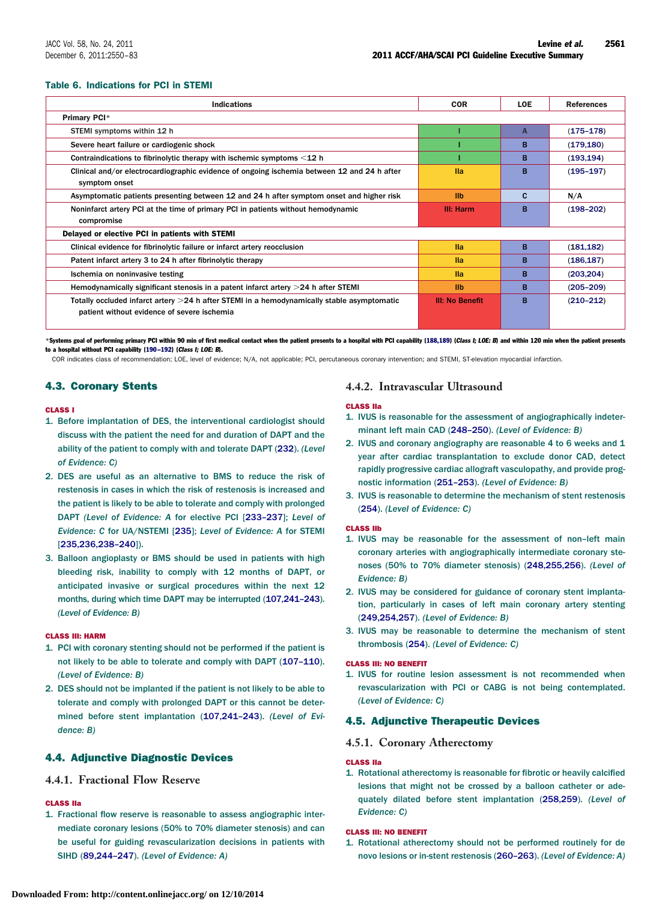### <span id="page-11-0"></span>Table 6. Indications for PCI in STEMI

| <b>Indications</b>                                                                                                                        | <b>COR</b>             | <b>LOE</b> | <b>References</b> |
|-------------------------------------------------------------------------------------------------------------------------------------------|------------------------|------------|-------------------|
| Primary PCI*                                                                                                                              |                        |            |                   |
| STEMI symptoms within 12 h                                                                                                                |                        | A          | $(175 - 178)$     |
| Severe heart failure or cardiogenic shock                                                                                                 |                        | B          | (179, 180)        |
| Contraindications to fibrinolytic therapy with ischemic symptoms $\leq 12$ h                                                              |                        | R          | (193, 194)        |
| Clinical and/or electrocardiographic evidence of ongoing ischemia between 12 and 24 h after<br>symptom onset                              | <b>Ila</b>             | R          | $(195 - 197)$     |
| Asymptomatic patients presenting between 12 and 24 h after symptom onset and higher risk                                                  | Ilb                    | C.         | N/A               |
| Noninfarct artery PCI at the time of primary PCI in patients without hemodynamic<br>compromise                                            | III: Harm              | R          | $(198 - 202)$     |
| Delayed or elective PCI in patients with STEMI                                                                                            |                        |            |                   |
| Clinical evidence for fibrinolytic failure or infarct artery reocclusion                                                                  | lla                    | R.         | (181, 182)        |
| Patent infarct artery 3 to 24 h after fibrinolytic therapy                                                                                | <b>Ila</b>             | R          | (186, 187)        |
| Ischemia on noninvasive testing                                                                                                           | <b>Ila</b>             | R          | (203, 204)        |
| Hemodynamically significant stenosis in a patent infarct artery $>$ 24 h after STEMI                                                      | <b>IIb</b>             | R          | $(205 - 209)$     |
| Totally occluded infarct artery >24 h after STEMI in a hemodynamically stable asymptomatic<br>patient without evidence of severe ischemia | <b>III: No Benefit</b> | R          | $(210 - 212)$     |

\*Systems goal of performing primary PCI within 90 min of first medical contact when the patient presents to a hospital with PCI capability [\(188,189\)](#page-22-7) (Class I; LOE: <sup>B</sup>) and within 120 min when the patient presents to a hospital without PCI capability [\(190–192\)](#page-22-8) (Class I; LOE: B).

COR indicates class of recommendation; LOE, level of evidence; N/A, not applicable; PCI, percutaneous coronary intervention; and STEMI, ST-elevation myocardial infarction.

# 4.3. Coronary Stents

#### CLASS I

- 1. Before implantation of DES, the interventional cardiologist should discuss with the patient the need for and duration of DAPT and the ability of the patient to comply with and tolerate DAPT [\(232\)](#page-23-7). *(Level of Evidence: C)*
- 2. DES are useful as an alternative to BMS to reduce the risk of restenosis in cases in which the risk of restenosis is increased and the patient is likely to be able to tolerate and comply with prolonged DAPT *(Level of Evidence: A* for elective PCI [\[233–237\]](#page-23-8); *Level of Evidence: C* for UA/NSTEMI [\[235\];](#page-23-9) *Level of Evidence: A* for STEMI [\[235,236,238–240\]](#page-23-9)).
- 3. Balloon angioplasty or BMS should be used in patients with high bleeding risk, inability to comply with 12 months of DAPT, or anticipated invasive or surgical procedures within the next 12 months, during which time DAPT may be interrupted [\(107,241–243\)](#page-20-2). *(Level of Evidence: B)*

#### CLASS III: HARM

- 1. PCI with coronary stenting should not be performed if the patient is not likely to be able to tolerate and comply with DAPT (107-110). *(Level of Evidence: B)*
- 2. DES should not be implanted if the patient is not likely to be able to tolerate and comply with prolonged DAPT or this cannot be determined before stent implantation [\(107,241–243\)](#page-20-2). *(Level of Evidence: B)*

# 4.4. Adjunctive Diagnostic Devices

### **4.4.1. Fractional Flow Reserve**

#### CLASS IIa

1. Fractional flow reserve is reasonable to assess angiographic intermediate coronary lesions (50% to 70% diameter stenosis) and can be useful for guiding revascularization decisions in patients with SIHD [\(89,244–247\)](#page-20-4). *(Level of Evidence: A)*

### **4.4.2. Intravascular Ultrasound**

#### CLASS IIa

- 1. IVUS is reasonable for the assessment of angiographically indeterminant left main CAD [\(248–250\)](#page-24-0). *(Level of Evidence: B)*
- 2. IVUS and coronary angiography are reasonable 4 to 6 weeks and 1 year after cardiac transplantation to exclude donor CAD, detect rapidly progressive cardiac allograft vasculopathy, and provide prognostic information [\(251–253\)](#page-24-1). *(Level of Evidence: B)*
- 3. IVUS is reasonable to determine the mechanism of stent restenosis [\(254\)](#page-24-2). *(Level of Evidence: C)*

#### CLASS IIb

- 1. IVUS may be reasonable for the assessment of non–left main coronary arteries with angiographically intermediate coronary stenoses (50% to 70% diameter stenosis) [\(248,255,256\)](#page-24-0). *(Level of Evidence: B)*
- 2. IVUS may be considered for guidance of coronary stent implantation, particularly in cases of left main coronary artery stenting [\(249,254,257\)](#page-24-3). *(Level of Evidence: B)*
- 3. IVUS may be reasonable to determine the mechanism of stent thrombosis [\(254\)](#page-24-2). *(Level of Evidence: C)*

#### CLASS III: NO BENEFIT

1. IVUS for routine lesion assessment is not recommended when revascularization with PCI or CABG is not being contemplated. *(Level of Evidence: C)*

### 4.5. Adjunctive Therapeutic Devices

### **4.5.1. Coronary Atherectomy**

#### CLASS IIa

1. Rotational atherectomy is reasonable for fibrotic or heavily calcified lesions that might not be crossed by a balloon catheter or adequately dilated before stent implantation [\(258,259\)](#page-24-4). *(Level of Evidence: C)*

#### CLASS III: NO BENEFIT

1. Rotational atherectomy should not be performed routinely for de novo lesions or in-stent restenosis [\(260–263\)](#page-24-5). *(Level of Evidence: A)*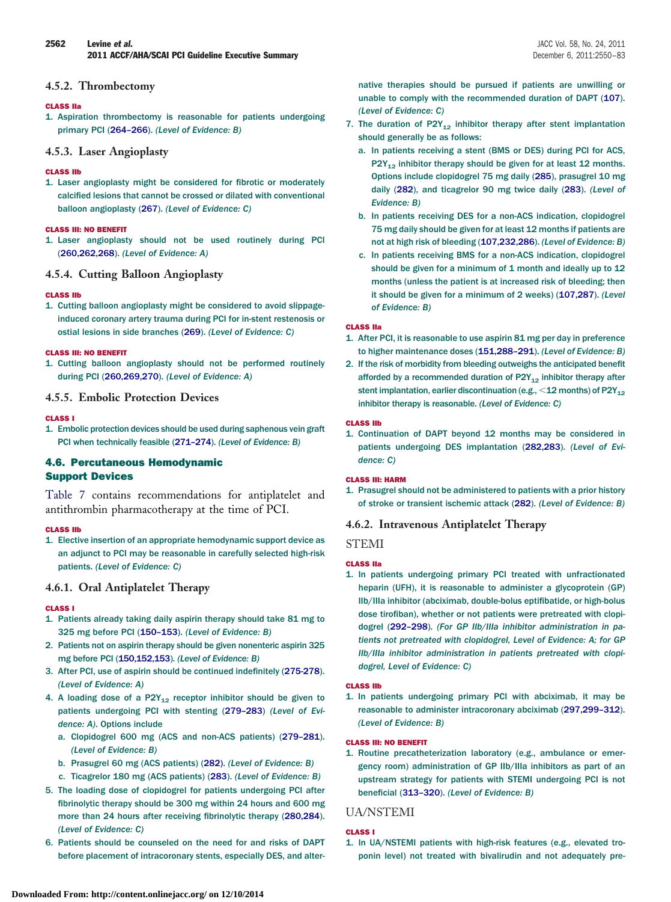# **4.5.2. Thrombectomy**

### CLASS IIa

1. Aspiration thrombectomy is reasonable for patients undergoing primary PCI [\(264–266\)](#page-24-6). *(Level of Evidence: B)*

### **4.5.3. Laser Angioplasty**

### CLASS IIb

1. Laser angioplasty might be considered for fibrotic or moderately calcified lesions that cannot be crossed or dilated with conventional balloon angioplasty [\(267\)](#page-24-7). *(Level of Evidence: C)*

### CLASS III: NO BENEFIT

1. Laser angioplasty should not be used routinely during PCI [\(260,262,268\)](#page-24-5). *(Level of Evidence: A)*

# **4.5.4. Cutting Balloon Angioplasty**

### CLASS IIb

1. Cutting balloon angioplasty might be considered to avoid slippageinduced coronary artery trauma during PCI for in-stent restenosis or ostial lesions in side branches [\(269\)](#page-24-8). *(Level of Evidence: C)*

### CLASS III: NO BENEFIT

1. Cutting balloon angioplasty should not be performed routinely during PCI [\(260,269,270\)](#page-24-5). *(Level of Evidence: A)*

# **4.5.5. Embolic Protection Devices**

### CLASS I

1. Embolic protection devices should be used during saphenous vein graft PCI when technically feasible [\(271–274\)](#page-24-9). *(Level of Evidence: B)*

# 4.6. Percutaneous Hemodynamic Support Devices

[Table 7](#page-13-0) contains recommendations for antiplatelet and antithrombin pharmacotherapy at the time of PCI.

### CLASS IIb

1. Elective insertion of an appropriate hemodynamic support device as an adjunct to PCI may be reasonable in carefully selected high-risk patients. *(Level of Evidence: C)*

# **4.6.1. Oral Antiplatelet Therapy**

### CLASS I

- 1. Patients already taking daily aspirin therapy should take 81 mg to 325 mg before PCI [\(150–153\)](#page-21-9). *(Level of Evidence: B)*
- 2. Patients not on aspirin therapy should be given nonenteric aspirin 325 mg before PCI [\(150,152,153\)](#page-21-9). *(Level of Evidence: B)*
- 3. After PCI, use of aspirin should be continued indefinitely [\(275-278\)](#page-25-0). *(Level of Evidence: A)*
- 4. A loading dose of a  $P2Y_{12}$  receptor inhibitor should be given to patients undergoing PCI with stenting [\(279–283\)](#page-25-1) *(Level of Evidence: A)*. Options include
	- a. Clopidogrel 600 mg (ACS and non-ACS patients) [\(279–281\)](#page-25-1). *(Level of Evidence: B)*
	- b. Prasugrel 60 mg (ACS patients) [\(282\)](#page-25-2). *(Level of Evidence: B)*
	- c. Ticagrelor 180 mg (ACS patients) [\(283\)](#page-25-3). *(Level of Evidence: B)*
- 5. The loading dose of clopidogrel for patients undergoing PCI after fibrinolytic therapy should be 300 mg within 24 hours and 600 mg more than 24 hours after receiving fibrinolytic therapy [\(280,284\)](#page-25-4). *(Level of Evidence: C)*
- 6. Patients should be counseled on the need for and risks of DAPT before placement of intracoronary stents, especially DES, and alter-

native therapies should be pursued if patients are unwilling or unable to comply with the recommended duration of DAPT [\(107\)](#page-20-2). *(Level of Evidence: C)*

- 7. The duration of  $P2Y_{12}$  inhibitor therapy after stent implantation should generally be as follows:
	- a. In patients receiving a stent (BMS or DES) during PCI for ACS,  $P2Y_{12}$  inhibitor therapy should be given for at least 12 months. Options include clopidogrel 75 mg daily [\(285\)](#page-25-5), prasugrel 10 mg daily [\(282\)](#page-25-2), and ticagrelor 90 mg twice daily [\(283\)](#page-25-3). *(Level of Evidence: B)*
	- b. In patients receiving DES for a non-ACS indication, clopidogrel 75 mg daily should be given for at least 12 months if patients are not at high risk of bleeding [\(107,232,286\)](#page-20-2). *(Level of Evidence: B)*
	- c. In patients receiving BMS for a non-ACS indication, clopidogrel should be given for a minimum of 1 month and ideally up to 12 months (unless the patient is at increased risk of bleeding; then it should be given for a minimum of 2 weeks) [\(107,287\)](#page-20-2). *(Level of Evidence: B)*

### CLASS IIa

- 1. After PCI, it is reasonable to use aspirin 81 mg per day in preference to higher maintenance doses [\(151,288–291\)](#page-21-12). *(Level of Evidence: B)*
- 2. If the risk of morbidity from bleeding outweighs the anticipated benefit afforded by a recommended duration of  $P2Y_{12}$  inhibitor therapy after stent implantation, earlier discontinuation (e.g.,  $\leq$  12 months) of P2Y<sub>12</sub> inhibitor therapy is reasonable. *(Level of Evidence: C)*

### CLASS IIb

1. Continuation of DAPT beyond 12 months may be considered in patients undergoing DES implantation [\(282,283\)](#page-25-2). *(Level of Evidence: C)*

### CLASS III: HARM

1. Prasugrel should not be administered to patients with a prior history of stroke or transient ischemic attack [\(282\)](#page-25-2). *(Level of Evidence: B)*

### **4.6.2. Intravenous Antiplatelet Therapy**

### STEMI

### CLASS IIa

1. In patients undergoing primary PCI treated with unfractionated heparin (UFH), it is reasonable to administer a glycoprotein (GP) IIb/IIIa inhibitor (abciximab, double-bolus eptifibatide, or high-bolus dose tirofiban), whether or not patients were pretreated with clopidogrel [\(292–298\)](#page-25-6). *(For GP IIb/IIIa inhibitor administration in patients not pretreated with clopidogrel, Level of Evidence: A; for GP IIb/IIIa inhibitor administration in patients pretreated with clopidogrel, Level of Evidence: C)*

### CLASS IIb

1. In patients undergoing primary PCI with abciximab, it may be reasonable to administer intracoronary abciximab [\(297,299–312\)](#page-25-7). *(Level of Evidence: B)*

### CLASS III: NO BENEFIT

1. Routine precatheterization laboratory (e.g., ambulance or emergency room) administration of GP IIb/IIIa inhibitors as part of an upstream strategy for patients with STEMI undergoing PCI is not beneficial [\(313–320\)](#page-25-8). *(Level of Evidence: B)*

# UA/NSTEMI

### CLASS I

1. In UA/NSTEMI patients with high-risk features (e.g., elevated troponin level) not treated with bivalirudin and not adequately pre-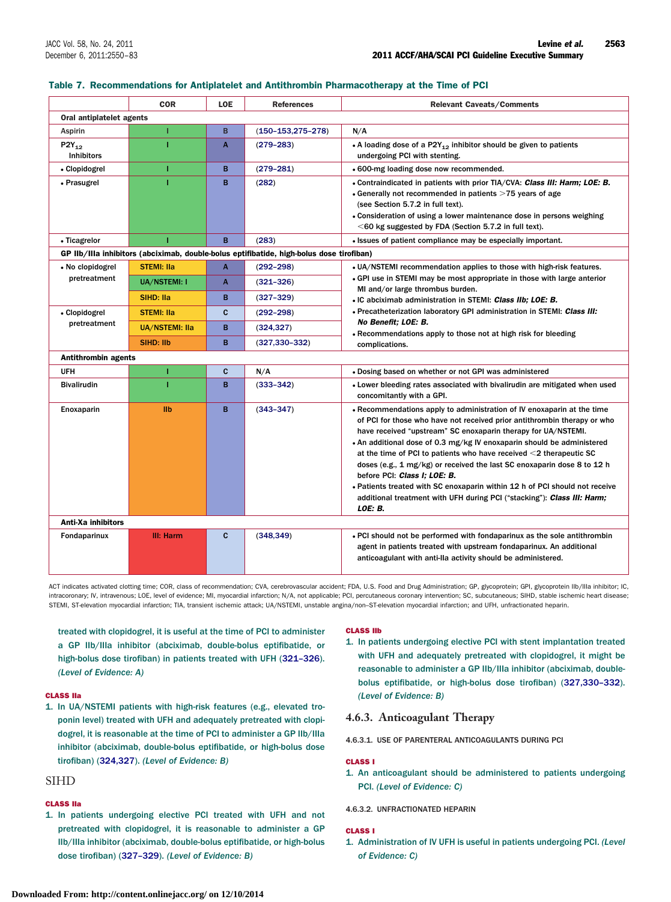#### <span id="page-13-0"></span>Table 7. Recommendations for Antiplatelet and Antithrombin Pharmacotherapy at the Time of PCI

|                                 | <b>COR</b>        | <b>LOE</b> | <b>References</b>                                                                        | <b>Relevant Caveats/Comments</b>                                                                                                                                                                                                                                                                                                                                                                                                                                                                                                                                                                                                                          |
|---------------------------------|-------------------|------------|------------------------------------------------------------------------------------------|-----------------------------------------------------------------------------------------------------------------------------------------------------------------------------------------------------------------------------------------------------------------------------------------------------------------------------------------------------------------------------------------------------------------------------------------------------------------------------------------------------------------------------------------------------------------------------------------------------------------------------------------------------------|
| Oral antiplatelet agents        |                   |            |                                                                                          |                                                                                                                                                                                                                                                                                                                                                                                                                                                                                                                                                                                                                                                           |
| Aspirin                         | Т                 | B          | $(150 - 153, 275 - 278)$                                                                 | N/A                                                                                                                                                                                                                                                                                                                                                                                                                                                                                                                                                                                                                                                       |
| $P2Y_{12}$<br><b>Inhibitors</b> | т                 | A          | $(279 - 283)$                                                                            | • A loading dose of a $P2Y_{12}$ inhibitor should be given to patients<br>undergoing PCI with stenting.                                                                                                                                                                                                                                                                                                                                                                                                                                                                                                                                                   |
| • Clopidogrel                   | ı                 | в          | $(279 - 281)$                                                                            | • 600-mg loading dose now recommended.                                                                                                                                                                                                                                                                                                                                                                                                                                                                                                                                                                                                                    |
| • Prasugrel                     | т                 | B          | (282)                                                                                    | • Contraindicated in patients with prior TIA/CVA: Class III: Harm; LOE: B.<br>• Generally not recommended in patients $>75$ years of age<br>(see Section 5.7.2 in full text).<br>• Consideration of using a lower maintenance dose in persons weighing<br>$<$ 60 kg suggested by FDA (Section 5.7.2 in full text).                                                                                                                                                                                                                                                                                                                                        |
| • Ticagrelor                    | т                 | B          | (283)                                                                                    | . Issues of patient compliance may be especially important.                                                                                                                                                                                                                                                                                                                                                                                                                                                                                                                                                                                               |
|                                 |                   |            | GP IIb/IIIa inhibitors (abciximab, double-bolus eptifibatide, high-bolus dose tirofiban) |                                                                                                                                                                                                                                                                                                                                                                                                                                                                                                                                                                                                                                                           |
| • No clopidogrel                | <b>STEMI: Ila</b> | A          | $(292 - 298)$                                                                            | . UA/NSTEMI recommendation applies to those with high-risk features.                                                                                                                                                                                                                                                                                                                                                                                                                                                                                                                                                                                      |
| pretreatment                    | UA/NSTEMI: I      | A          | $(321 - 326)$                                                                            | • GPI use in STEMI may be most appropriate in those with large anterior<br>MI and/or large thrombus burden.                                                                                                                                                                                                                                                                                                                                                                                                                                                                                                                                               |
|                                 | SIHD: Ila         | в          | $(327 - 329)$                                                                            | • IC abciximab administration in STEMI: Class IIb; LOE: B.                                                                                                                                                                                                                                                                                                                                                                                                                                                                                                                                                                                                |
| • Clopidogrel                   | <b>STEMI: Ila</b> | C          | $(292 - 298)$                                                                            | . Precatheterization laboratory GPI administration in STEMI: Class III:                                                                                                                                                                                                                                                                                                                                                                                                                                                                                                                                                                                   |
| pretreatment                    | UA/NSTEMI: Ila    | в          | (324, 327)                                                                               | No Benefit; LOE: B.<br>• Recommendations apply to those not at high risk for bleeding                                                                                                                                                                                                                                                                                                                                                                                                                                                                                                                                                                     |
|                                 | SIHD: IIb         | B          | $(327, 330 - 332)$                                                                       | complications.                                                                                                                                                                                                                                                                                                                                                                                                                                                                                                                                                                                                                                            |
| <b>Antithrombin agents</b>      |                   |            |                                                                                          |                                                                                                                                                                                                                                                                                                                                                                                                                                                                                                                                                                                                                                                           |
| <b>UFH</b>                      | Т                 | C          | N/A                                                                                      | • Dosing based on whether or not GPI was administered                                                                                                                                                                                                                                                                                                                                                                                                                                                                                                                                                                                                     |
| <b>Bivalirudin</b>              | п                 | в          | $(333 - 342)$                                                                            | • Lower bleeding rates associated with bivalirudin are mitigated when used<br>concomitantly with a GPI.                                                                                                                                                                                                                                                                                                                                                                                                                                                                                                                                                   |
| Enoxaparin                      | Ilb               | B.         | $(343 - 347)$                                                                            | . Recommendations apply to administration of IV enoxaparin at the time<br>of PCI for those who have not received prior antithrombin therapy or who<br>have received "upstream" SC enoxaparin therapy for UA/NSTEMI.<br>• An additional dose of 0.3 mg/kg IV enoxaparin should be administered<br>at the time of PCI to patients who have received $\leq$ 2 therapeutic SC<br>doses (e.g., 1 mg/kg) or received the last SC enoxaparin dose 8 to 12 h<br>before PCI: Class I; LOE: B.<br>• Patients treated with SC enoxaparin within 12 h of PCI should not receive<br>additional treatment with UFH during PCI ("stacking"): Class III: Harm;<br>LOE: B. |
| Anti-Xa inhibitors              |                   |            |                                                                                          |                                                                                                                                                                                                                                                                                                                                                                                                                                                                                                                                                                                                                                                           |
| Fondaparinux                    | III: Harm         | C          | (348, 349)                                                                               | • PCI should not be performed with fondaparinux as the sole antithrombin<br>agent in patients treated with upstream fondaparinux. An additional<br>anticoagulant with anti-lla activity should be administered.                                                                                                                                                                                                                                                                                                                                                                                                                                           |

ACT indicates activated clotting time; COR, class of recommendation; CVA, cerebrovascular accident; FDA, U.S. Food and Drug Administration; GP, glycoprotein; GPI, glycoprotein IIb/IIIa inhibitor; IC, intracoronary; IV, intravenous; LOE, level of evidence; MI, myocardial infarction; N/A, not applicable; PCI, percutaneous coronary intervention; SC, subcutaneous; SIHD, stable ischemic heart disease; STEMI, ST-elevation myocardial infarction; TIA, transient ischemic attack; UA/NSTEMI, unstable angina/non–ST-elevation myocardial infarction; and UFH, unfractionated heparin.

treated with clopidogrel, it is useful at the time of PCI to administer a GP IIb/IIIa inhibitor (abciximab, double-bolus eptifibatide, or high-bolus dose tirofiban) in patients treated with UFH [\(321–326\)](#page-26-0). *(Level of Evidence: A)*

#### CLASS IIa

1. In UA/NSTEMI patients with high-risk features (e.g., elevated troponin level) treated with UFH and adequately pretreated with clopidogrel, it is reasonable at the time of PCI to administer a GP IIb/IIIa inhibitor (abciximab, double-bolus eptifibatide, or high-bolus dose tirofiban) [\(324,327\)](#page-26-1). *(Level of Evidence: B)*

### SIHD

### CLASS IIa

1. In patients undergoing elective PCI treated with UFH and not pretreated with clopidogrel, it is reasonable to administer a GP IIb/IIIa inhibitor (abciximab, double-bolus eptifibatide, or high-bolus dose tirofiban) [\(327–329\)](#page-26-2). *(Level of Evidence: B)*

#### CLASS IIb

1. In patients undergoing elective PCI with stent implantation treated with UFH and adequately pretreated with clopidogrel, it might be reasonable to administer a GP IIb/IIIa inhibitor (abciximab, doublebolus eptifibatide, or high-bolus dose tirofiban) [\(327,330–332\)](#page-26-2). *(Level of Evidence: B)*

### **4.6.3. Anticoagulant Therapy**

4.6.3.1. USE OF PARENTERAL ANTICOAGULANTS DURING PCI

#### CLASS I

1. An anticoagulant should be administered to patients undergoing PCI. *(Level of Evidence: C)*

4.6.3.2. UNFRACTIONATED HEPARIN

#### CLASS I

1. Administration of IV UFH is useful in patients undergoing PCI. *(Level of Evidence: C)*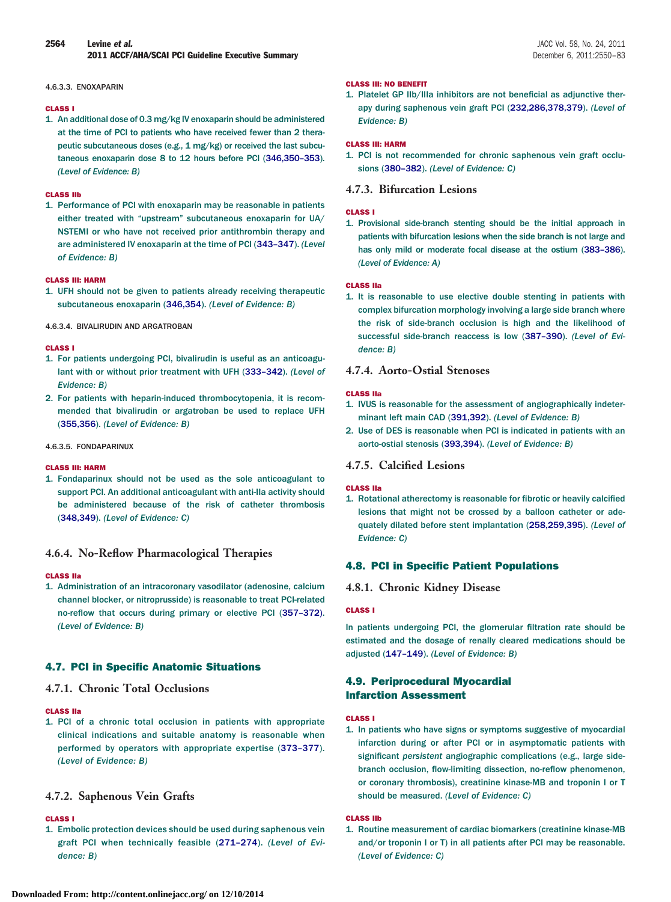4.6.3.3. ENOXAPARIN

#### CLASS I

1. An additional dose of 0.3 mg/kg IV enoxaparin should be administered at the time of PCI to patients who have received fewer than 2 therapeutic subcutaneous doses (e.g., 1 mg/kg) or received the last subcutaneous enoxaparin dose 8 to 12 hours before PCI [\(346,350–353\)](#page-26-6). *(Level of Evidence: B)*

#### CLASS IIb

1. Performance of PCI with enoxaparin may be reasonable in patients either treated with "upstream" subcutaneous enoxaparin for UA/ NSTEMI or who have not received prior antithrombin therapy and are administered IV enoxaparin at the time of PCI [\(343–347\)](#page-26-4). *(Level of Evidence: B)*

#### CLASS III: HARM

1. UFH should not be given to patients already receiving therapeutic subcutaneous enoxaparin [\(346,354\)](#page-26-6). *(Level of Evidence: B)*

4.6.3.4. BIVALIRUDIN AND ARGATROBAN

#### CLASS I

- 1. For patients undergoing PCI, bivalirudin is useful as an anticoagulant with or without prior treatment with UFH [\(333–342\)](#page-26-3). *(Level of Evidence: B)*
- 2. For patients with heparin-induced thrombocytopenia, it is recommended that bivalirudin or argatroban be used to replace UFH [\(355,356\)](#page-27-0). *(Level of Evidence: B)*

#### 4.6.3.5. FONDAPARINUX

#### CLASS III: HARM

1. Fondaparinux should not be used as the sole anticoagulant to support PCI. An additional anticoagulant with anti-Ila activity should be administered because of the risk of catheter thrombosis [\(348,349\)](#page-26-5). *(Level of Evidence: C)*

### **4.6.4. No-Reflow Pharmacological Therapies**

#### CLASS IIa

1. Administration of an intracoronary vasodilator (adenosine, calcium channel blocker, or nitroprusside) is reasonable to treat PCI-related no-reflow that occurs during primary or elective PCI [\(357–372\)](#page-27-1). *(Level of Evidence: B)*

### 4.7. PCI in Specific Anatomic Situations

### **4.7.1. Chronic Total Occlusions**

#### CLASS IIa

1. PCI of a chronic total occlusion in patients with appropriate clinical indications and suitable anatomy is reasonable when performed by operators with appropriate expertise [\(373–377\)](#page-27-2). *(Level of Evidence: B)*

### **4.7.2. Saphenous Vein Grafts**

#### CLASS I

1. Embolic protection devices should be used during saphenous vein graft PCI when technically feasible [\(271–274\)](#page-24-9). *(Level of Evidence: B)*

#### CLASS III: NO BENEFIT

1. Platelet GP IIb/IIIa inhibitors are not beneficial as adjunctive therapy during saphenous vein graft PCI [\(232,286,378,379\)](#page-23-7). *(Level of Evidence: B)*

#### CLASS III: HARM

1. PCI is not recommended for chronic saphenous vein graft occlusions [\(380–382\)](#page-27-3). *(Level of Evidence: C)*

### **4.7.3. Bifurcation Lesions**

#### CLASS I

1. Provisional side-branch stenting should be the initial approach in patients with bifurcation lesions when the side branch is not large and has only mild or moderate focal disease at the ostium [\(383–386\)](#page-27-4). *(Level of Evidence: A)*

#### CLASS IIa

1. It is reasonable to use elective double stenting in patients with complex bifurcation morphology involving a large side branch where the risk of side-branch occlusion is high and the likelihood of successful side-branch reaccess is low [\(387–390\)](#page-27-5). *(Level of Evidence: B)*

### **4.7.4. Aorto-Ostial Stenoses**

#### CLASS IIa

- 1. IVUS is reasonable for the assessment of angiographically indeterminant left main CAD [\(391,392\)](#page-28-0). *(Level of Evidence: B)*
- 2. Use of DES is reasonable when PCI is indicated in patients with an aorto-ostial stenosis [\(393,394\)](#page-28-1). *(Level of Evidence: B)*

### **4.7.5. Calcified Lesions**

#### CLASS IIa

1. Rotational atherectomy is reasonable for fibrotic or heavily calcified lesions that might not be crossed by a balloon catheter or adequately dilated before stent implantation [\(258,259,395\)](#page-24-4). *(Level of Evidence: C)*

### 4.8. PCI in Specific Patient Populations

**4.8.1. Chronic Kidney Disease**

#### CLASS I

In patients undergoing PCI, the glomerular filtration rate should be estimated and the dosage of renally cleared medications should be adjusted [\(147–149\)](#page-21-8). *(Level of Evidence: B)*

### 4.9. Periprocedural Myocardial Infarction Assessment

#### CLASS I

1. In patients who have signs or symptoms suggestive of myocardial infarction during or after PCI or in asymptomatic patients with significant *persistent* angiographic complications (e.g., large sidebranch occlusion, flow-limiting dissection, no-reflow phenomenon, or coronary thrombosis), creatinine kinase-MB and troponin I or T should be measured. *(Level of Evidence: C)*

### CLASS IIb

1. Routine measurement of cardiac biomarkers (creatinine kinase-MB and/or troponin I or T) in all patients after PCI may be reasonable. *(Level of Evidence: C)*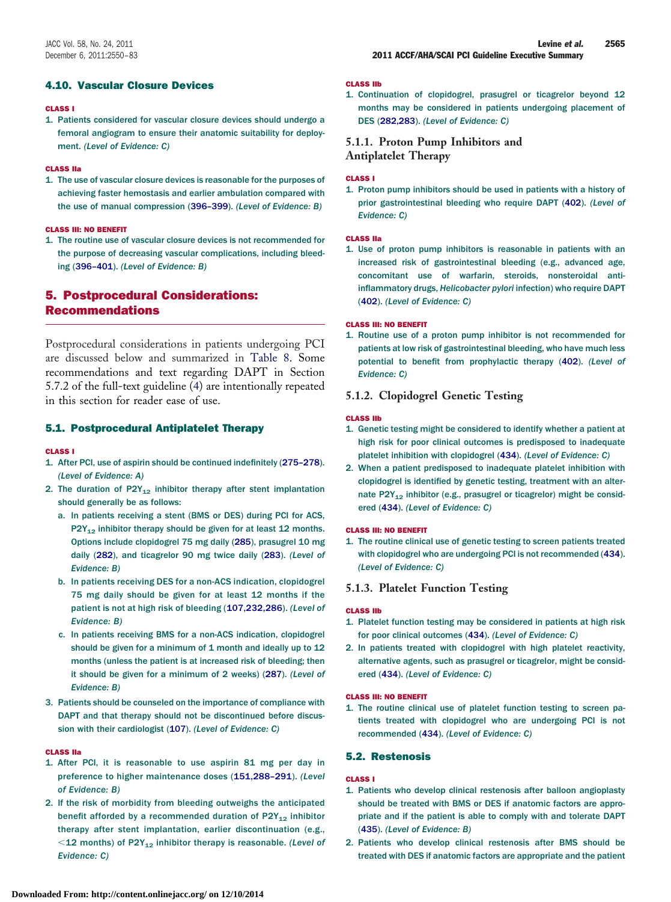# 4.10. Vascular Closure Devices

### CLASS I

1. Patients considered for vascular closure devices should undergo a femoral angiogram to ensure their anatomic suitability for deployment. *(Level of Evidence: C)*

#### CLASS IIa

1. The use of vascular closure devices is reasonable for the purposes of achieving faster hemostasis and earlier ambulation compared with the use of manual compression [\(396–399\)](#page-28-2). *(Level of Evidence: B)*

#### CLASS III: NO BENEFIT

1. The routine use of vascular closure devices is not recommended for the purpose of decreasing vascular complications, including bleeding [\(396–401\)](#page-28-2). *(Level of Evidence: B)*

# 5. Postprocedural Considerations: Recommendations

Postprocedural considerations in patients undergoing PCI are discussed below and summarized in [Table 8.](#page-16-0) Some recommendations and text regarding DAPT in Section 5.7.2 of the full-text guideline [\(4\)](#page-18-2) are intentionally repeated in this section for reader ease of use.

### 5.1. Postprocedural Antiplatelet Therapy

#### CLASS I

- 1. After PCI, use of aspirin should be continued indefinitely [\(275–278\)](#page-25-0). *(Level of Evidence: A)*
- 2. The duration of  $P2Y_{12}$  inhibitor therapy after stent implantation should generally be as follows:
	- a. In patients receiving a stent (BMS or DES) during PCI for ACS,  $P2Y_{12}$  inhibitor therapy should be given for at least 12 months. Options include clopidogrel 75 mg daily [\(285\)](#page-25-5), prasugrel 10 mg daily [\(282\)](#page-25-2), and ticagrelor 90 mg twice daily [\(283\)](#page-25-3). *(Level of Evidence: B)*
	- b. In patients receiving DES for a non-ACS indication, clopidogrel 75 mg daily should be given for at least 12 months if the patient is not at high risk of bleeding [\(107,232,286\)](#page-20-2). *(Level of Evidence: B)*
	- c. In patients receiving BMS for a non-ACS indication, clopidogrel should be given for a minimum of  $1$  month and ideally up to  $12$ months (unless the patient is at increased risk of bleeding; then it should be given for a minimum of 2 weeks) [\(287\)](#page-25-9). *(Level of Evidence: B)*
- 3. Patients should be counseled on the importance of compliance with DAPT and that therapy should not be discontinued before discussion with their cardiologist [\(107\)](#page-20-2). *(Level of Evidence: C)*

#### CLASS IIa

- 1. After PCI, it is reasonable to use aspirin 81 mg per day in preference to higher maintenance doses [\(151,288–291\)](#page-21-12). *(Level of Evidence: B)*
- 2. If the risk of morbidity from bleeding outweighs the anticipated benefit afforded by a recommended duration of  $P2Y_{12}$  inhibitor therapy after stent implantation, earlier discontinuation (e.g.,  $12$  months) of P2Y<sub>12</sub> inhibitor therapy is reasonable. *(Level of Evidence: C)*

#### CLASS IIb

1. Continuation of clopidogrel, prasugrel or ticagrelor beyond 12 months may be considered in patients undergoing placement of DES [\(282,283\)](#page-25-2). *(Level of Evidence: C)*

**5.1.1. Proton Pump Inhibitors and Antiplatelet Therapy**

#### CLASS I

1. Proton pump inhibitors should be used in patients with a history of prior gastrointestinal bleeding who require DAPT [\(402\)](#page-28-3). *(Level of Evidence: C)*

### CLASS IIa

1. Use of proton pump inhibitors is reasonable in patients with an increased risk of gastrointestinal bleeding (e.g., advanced age, concomitant use of warfarin, steroids, nonsteroidal antiinflammatory drugs, *Helicobacter pylori* infection) who require DAPT [\(402\)](#page-28-3). *(Level of Evidence: C)*

#### CLASS III: NO BENEFIT

1. Routine use of a proton pump inhibitor is not recommended for patients at low risk of gastrointestinal bleeding, who have much less potential to benefit from prophylactic therapy [\(402\)](#page-28-3). *(Level of Evidence: C)*

### **5.1.2. Clopidogrel Genetic Testing**

#### CLASS IIb

- 1. Genetic testing might be considered to identify whether a patient at high risk for poor clinical outcomes is predisposed to inadequate platelet inhibition with clopidogrel [\(434\)](#page-29-0). *(Level of Evidence: C)*
- 2. When a patient predisposed to inadequate platelet inhibition with clopidogrel is identified by genetic testing, treatment with an alternate  $P2Y_{12}$  inhibitor (e.g., prasugrel or ticagrelor) might be considered [\(434\)](#page-29-0). *(Level of Evidence: C)*

#### CLASS III: NO BENEFIT

1. The routine clinical use of genetic testing to screen patients treated with clopidogrel who are undergoing PCI is not recommended [\(434\)](#page-29-0). *(Level of Evidence: C)*

### **5.1.3. Platelet Function Testing**

#### CLASS IIb

- 1. Platelet function testing may be considered in patients at high risk for poor clinical outcomes [\(434\)](#page-29-0). *(Level of Evidence: C)*
- 2. In patients treated with clopidogrel with high platelet reactivity, alternative agents, such as prasugrel or ticagrelor, might be considered [\(434\)](#page-29-0). *(Level of Evidence: C)*

#### CLASS III: NO BENEFIT

1. The routine clinical use of platelet function testing to screen patients treated with clopidogrel who are undergoing PCI is not recommended [\(434\)](#page-29-0). *(Level of Evidence: C)*

### 5.2. Restenosis

#### CLASS I

- 1. Patients who develop clinical restenosis after balloon angioplasty should be treated with BMS or DES if anatomic factors are appropriate and if the patient is able to comply with and tolerate DAPT [\(435\)](#page-29-1). *(Level of Evidence: B)*
- 2. Patients who develop clinical restenosis after BMS should be treated with DES if anatomic factors are appropriate and the patient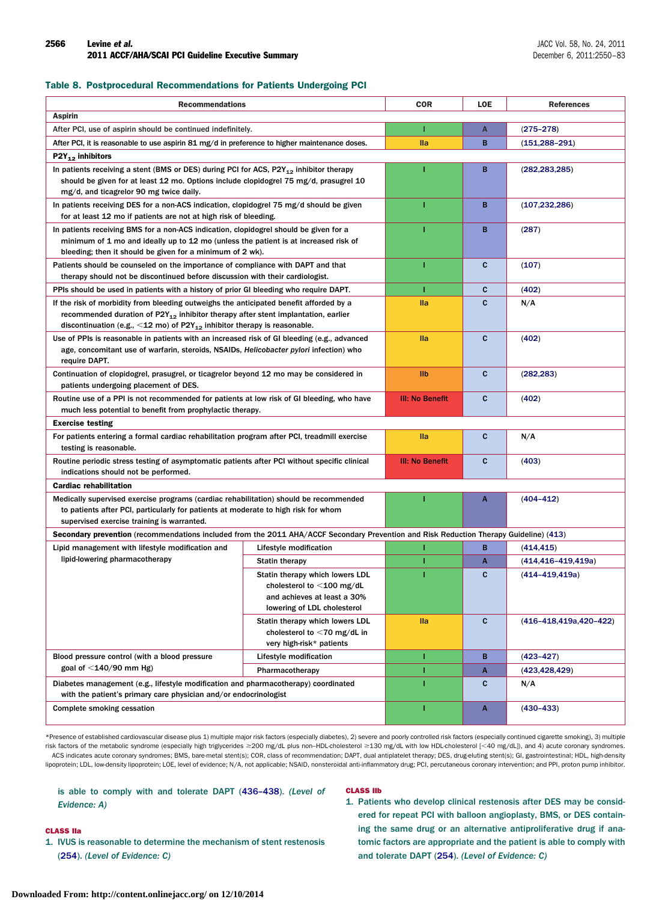### <span id="page-16-0"></span>Table 8. Postprocedural Recommendations for Patients Undergoing PCI

| <b>Recommendations</b>                                                                                                                                                                                                                                                         |                                                                                                                               | <b>COR</b>             | <b>LOE</b>   | <b>References</b>              |
|--------------------------------------------------------------------------------------------------------------------------------------------------------------------------------------------------------------------------------------------------------------------------------|-------------------------------------------------------------------------------------------------------------------------------|------------------------|--------------|--------------------------------|
| <b>Aspirin</b>                                                                                                                                                                                                                                                                 |                                                                                                                               |                        |              |                                |
| After PCI, use of aspirin should be continued indefinitely.                                                                                                                                                                                                                    |                                                                                                                               |                        | $\mathsf{A}$ | $(275 - 278)$                  |
| After PCI, it is reasonable to use aspirin 81 mg/d in preference to higher maintenance doses.                                                                                                                                                                                  |                                                                                                                               | <b>Ila</b>             | B            | $(151, 288 - 291)$             |
| $P2Y_{12}$ inhibitors                                                                                                                                                                                                                                                          |                                                                                                                               |                        |              |                                |
| In patients receiving a stent (BMS or DES) during PCI for ACS, $P2Y_{12}$ inhibitor therapy<br>should be given for at least 12 mo. Options include clopidogrel 75 mg/d, prasugrel 10<br>mg/d, and ticagrelor 90 mg twice daily.                                                |                                                                                                                               | п                      | B            | (282, 283, 285)                |
| In patients receiving DES for a non-ACS indication, clopidogrel 75 mg/d should be given<br>for at least 12 mo if patients are not at high risk of bleeding.                                                                                                                    |                                                                                                                               | т                      | в            | (107, 232, 286)                |
| In patients receiving BMS for a non-ACS indication, clopidogrel should be given for a<br>minimum of 1 mo and ideally up to 12 mo (unless the patient is at increased risk of<br>bleeding; then it should be given for a minimum of 2 wk).                                      |                                                                                                                               |                        | B            | (287)                          |
| Patients should be counseled on the importance of compliance with DAPT and that<br>therapy should not be discontinued before discussion with their cardiologist.                                                                                                               |                                                                                                                               | т                      | C            | (107)                          |
| PPIs should be used in patients with a history of prior GI bleeding who require DAPT.                                                                                                                                                                                          |                                                                                                                               | т                      | C            | (402)                          |
| If the risk of morbidity from bleeding outweighs the anticipated benefit afforded by a<br>recommended duration of $P2Y_{12}$ inhibitor therapy after stent implantation, earlier<br>discontinuation (e.g., $\leq$ 12 mo) of P2Y <sub>12</sub> inhibitor therapy is reasonable. |                                                                                                                               | <b>Ila</b>             | C            | N/A                            |
| Use of PPIs is reasonable in patients with an increased risk of GI bleeding (e.g., advanced<br>age, concomitant use of warfarin, steroids, NSAIDs, Helicobacter pylori infection) who<br>require DAPT.                                                                         |                                                                                                                               | lla                    | C            | (402)                          |
| Continuation of clopidogrel, prasugrel, or ticagrelor beyond 12 mo may be considered in<br>patients undergoing placement of DES.                                                                                                                                               |                                                                                                                               | Ilb                    | C            | (282, 283)                     |
| Routine use of a PPI is not recommended for patients at low risk of GI bleeding, who have<br>much less potential to benefit from prophylactic therapy.                                                                                                                         |                                                                                                                               | III: No Benefit        | C            | (402)                          |
| <b>Exercise testing</b>                                                                                                                                                                                                                                                        |                                                                                                                               |                        |              |                                |
| For patients entering a formal cardiac rehabilitation program after PCI, treadmill exercise<br>testing is reasonable.                                                                                                                                                          |                                                                                                                               | <b>Ila</b>             | C            | N/A                            |
| Routine periodic stress testing of asymptomatic patients after PCI without specific clinical<br>indications should not be performed.                                                                                                                                           |                                                                                                                               | <b>III: No Benefit</b> | C            | (403)                          |
| <b>Cardiac rehabilitation</b>                                                                                                                                                                                                                                                  |                                                                                                                               |                        |              |                                |
| Medically supervised exercise programs (cardiac rehabilitation) should be recommended<br>to patients after PCI, particularly for patients at moderate to high risk for whom<br>supervised exercise training is warranted.                                                      |                                                                                                                               | п                      | A            | $(404 - 412)$                  |
| Secondary prevention (recommendations included from the 2011 AHA/ACCF Secondary Prevention and Risk Reduction Therapy Guideline) (413)                                                                                                                                         |                                                                                                                               |                        |              |                                |
| Lipid management with lifestyle modification and                                                                                                                                                                                                                               | Lifestyle modification                                                                                                        | ı                      | B            | (414, 415)                     |
| lipid-lowering pharmacotherapy                                                                                                                                                                                                                                                 | <b>Statin therapy</b>                                                                                                         | т                      | A            | $(414, 416 - 419, 419a)$       |
|                                                                                                                                                                                                                                                                                | Statin therapy which lowers LDL<br>cholesterol to $<$ 100 mg/dL<br>and achieves at least a 30%<br>lowering of LDL cholesterol | п                      | C            | $(414 - 419, 419a)$            |
|                                                                                                                                                                                                                                                                                | Statin therapy which lowers LDL<br>cholesterol to $<$ 70 mg/dL in<br>very high-risk* patients                                 | <b>Ila</b>             |              | $(416 - 418, 419a, 420 - 422)$ |
| Blood pressure control (with a blood pressure                                                                                                                                                                                                                                  | Lifestyle modification                                                                                                        | ı                      | B            | $(423 - 427)$                  |
| goal of $\leq$ 140/90 mm Hg)                                                                                                                                                                                                                                                   | Pharmacotherapy                                                                                                               | ı                      | A            | (423, 428, 429)                |
| Diabetes management (e.g., lifestyle modification and pharmacotherapy) coordinated<br>with the patient's primary care physician and/or endocrinologist                                                                                                                         |                                                                                                                               |                        | C            | N/A                            |
| <b>Complete smoking cessation</b>                                                                                                                                                                                                                                              |                                                                                                                               | ı                      | A            | $(430 - 433)$                  |

\*Presence of established cardiovascular disease plus 1) multiple major risk factors (especially diabetes), 2) severe and poorly controlled risk factors (especially continued cigarette smoking), 3) multiple risk factors of the metabolic syndrome (especially high triglycerides ≥200 mg/dL plus non–HDL-cholesterol ≥130 mg/dL with low HDL-cholesterol [<40 mg/dL]), and 4) acute coronary syndromes. ACS indicates acute coronary syndromes; BMS, bare-metal stent(s); COR, class of recommendation; DAPT, dual antiplatelet therapy; DES, drug-eluting stent(s); GI, gastrointestinal; HDL, high-density lipoprotein; LDL, low-density lipoprotein; LOE, level of evidence; N/A, not applicable; NSAID, nonsteroidal anti-inflammatory drug; PCI, percutaneous coronary intervention; and PPI, proton pump inhibitor.

is able to comply with and tolerate DAPT [\(436–438\)](#page-29-2). *(Level of Evidence: A)*

#### CLASS IIa

1. IVUS is reasonable to determine the mechanism of stent restenosis [\(254\)](#page-24-2). *(Level of Evidence: C)*

### CLASS IIb

1. Patients who develop clinical restenosis after DES may be considered for repeat PCI with balloon angioplasty, BMS, or DES containing the same drug or an alternative antiproliferative drug if anatomic factors are appropriate and the patient is able to comply with and tolerate DAPT [\(254\)](#page-24-2). *(Level of Evidence: C)*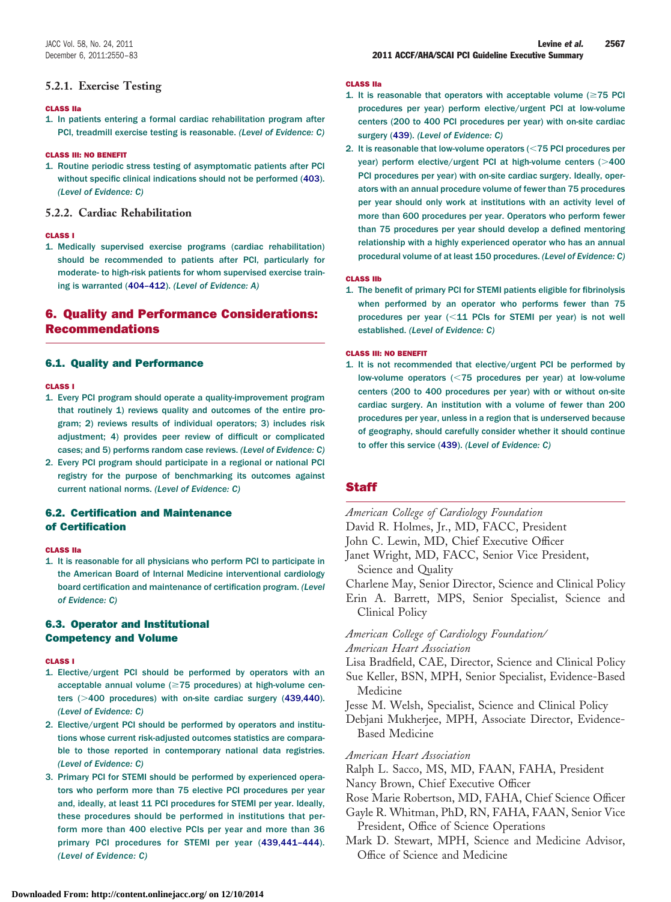# **5.2.1. Exercise Testing**

### CLASS IIa

1. In patients entering a formal cardiac rehabilitation program after PCI, treadmill exercise testing is reasonable. *(Level of Evidence: C)*

#### CLASS III: NO BENEFIT

1. Routine periodic stress testing of asymptomatic patients after PCI without specific clinical indications should not be performed [\(403\)](#page-28-4). *(Level of Evidence: C)*

### **5.2.2. Cardiac Rehabilitation**

### CLASS I

1. Medically supervised exercise programs (cardiac rehabilitation) should be recommended to patients after PCI, particularly for moderate- to high-risk patients for whom supervised exercise training is warranted [\(404–412\)](#page-28-5). *(Level of Evidence: A)*

# 6. Quality and Performance Considerations: Recommendations

### 6.1. Quality and Performance

### CLASS I

- 1. Every PCI program should operate a quality-improvement program that routinely 1) reviews quality and outcomes of the entire program; 2) reviews results of individual operators; 3) includes risk adjustment; 4) provides peer review of difficult or complicated cases; and 5) performs random case reviews. *(Level of Evidence: C)*
- 2. Every PCI program should participate in a regional or national PCI registry for the purpose of benchmarking its outcomes against current national norms. *(Level of Evidence: C)*

### 6.2. Certification and Maintenance of Certification

#### CLASS IIa

1. It is reasonable for all physicians who perform PCI to participate in the American Board of Internal Medicine interventional cardiology board certification and maintenance of certification program. *(Level of Evidence: C)*

### 6.3. Operator and Institutional Competency and Volume

#### CLASS I

- 1. Elective/urgent PCI should be performed by operators with an acceptable annual volume  $(\geq 75$  procedures) at high-volume centers  $($  >400 procedures) with on-site cardiac surgery  $(439, 440)$ . *(Level of Evidence: C)*
- 2. Elective/urgent PCI should be performed by operators and institutions whose current risk-adjusted outcomes statistics are comparable to those reported in contemporary national data registries. *(Level of Evidence: C)*
- 3. Primary PCI for STEMI should be performed by experienced operators who perform more than 75 elective PCI procedures per year and, ideally, at least 11 PCI procedures for STEMI per year. Ideally, these procedures should be performed in institutions that perform more than 400 elective PCIs per year and more than 36 primary PCI procedures for STEMI per year [\(439,441–444\)](#page-29-4). *(Level of Evidence: C)*

#### CLASS IIa

- 1. It is reasonable that operators with acceptable volume  $(\geq 75$  PCI procedures per year) perform elective/urgent PCI at low-volume centers (200 to 400 PCI procedures per year) with on-site cardiac surgery [\(439\)](#page-29-4). *(Level of Evidence: C)*
- 2. It is reasonable that low-volume operators ( $<$ 75 PCI procedures per year) perform elective/urgent PCI at high-volume centers (>400 PCI procedures per year) with on-site cardiac surgery. Ideally, operators with an annual procedure volume of fewer than 75 procedures per year should only work at institutions with an activity level of more than 600 procedures per year. Operators who perform fewer than 75 procedures per year should develop a defined mentoring relationship with a highly experienced operator who has an annual procedural volume of at least 150 procedures. *(Level of Evidence: C)*

#### CLASS IIb

1. The benefit of primary PCI for STEMI patients eligible for fibrinolysis when performed by an operator who performs fewer than 75 procedures per year  $\left($  < 11 PCIs for STEMI per year) is not well established. *(Level of Evidence: C)*

#### CLASS III: NO BENEFIT

1. It is not recommended that elective/urgent PCI be performed by low-volume operators  $(< 75$  procedures per year) at low-volume centers (200 to 400 procedures per year) with or without on-site cardiac surgery. An institution with a volume of fewer than 200 procedures per year, unless in a region that is underserved because of geography, should carefully consider whether it should continue to offer this service [\(439\)](#page-29-4). *(Level of Evidence: C)*

# Staff

*American College of Cardiology Foundation*

David R. Holmes, Jr., MD, FACC, President

John C. Lewin, MD, Chief Executive Officer

Janet Wright, MD, FACC, Senior Vice President, Science and Quality

Charlene May, Senior Director, Science and Clinical Policy Erin A. Barrett, MPS, Senior Specialist, Science and Clinical Policy

### *American College of Cardiology Foundation/ American Heart Association*

Lisa Bradfield, CAE, Director, Science and Clinical Policy Sue Keller, BSN, MPH, Senior Specialist, Evidence-Based

- Medicine
- Jesse M. Welsh, Specialist, Science and Clinical Policy
- Debjani Mukherjee, MPH, Associate Director, Evidence-Based Medicine

### *American Heart Association*

Ralph L. Sacco, MS, MD, FAAN, FAHA, President

Nancy Brown, Chief Executive Officer

Rose Marie Robertson, MD, FAHA, Chief Science Officer

Gayle R. Whitman, PhD, RN, FAHA, FAAN, Senior Vice President, Office of Science Operations

Mark D. Stewart, MPH, Science and Medicine Advisor, Office of Science and Medicine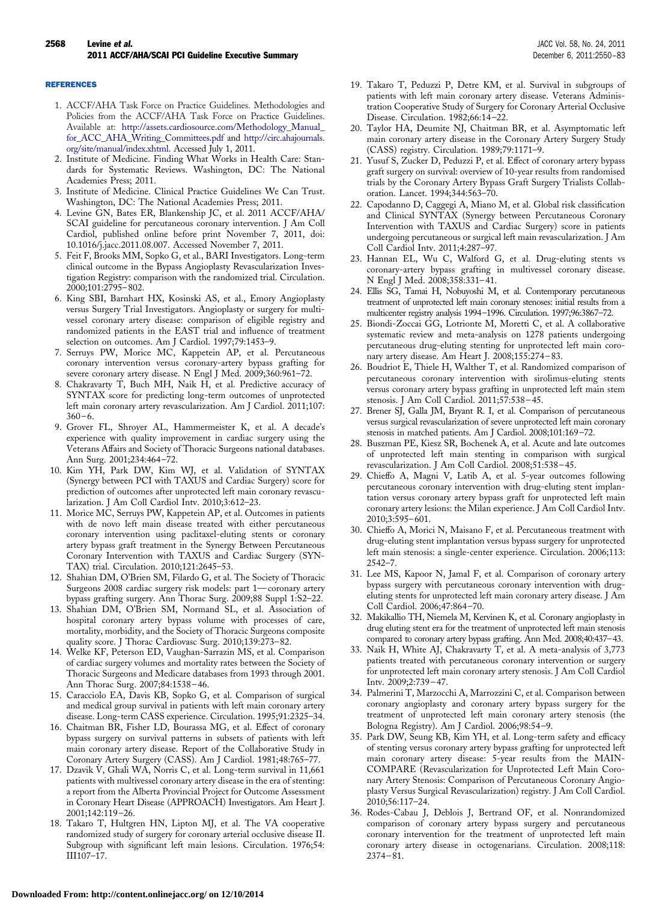#### <span id="page-18-0"></span>**REFERENCES**

- 1. ACCF/AHA Task Force on Practice Guidelines. Methodologies and Policies from the ACCF/AHA Task Force on Practice Guidelines. Available at: [http://assets.cardiosource.com/Methodology\\_Manual\\_](http://assets.cardiosource.com/Methodology_Manual_for_ACC_AHA_Writing_Committees.pdf) [for\\_ACC\\_AHA\\_Writing\\_Committees.pdf](http://assets.cardiosource.com/Methodology_Manual_for_ACC_AHA_Writing_Committees.pdf) and [http://circ.ahajournals.](http://circ.ahajournals.org/site/manual/index.xhtml) [org/site/manual/index.xhtml.](http://circ.ahajournals.org/site/manual/index.xhtml) Accessed July 1, 2011.
- <span id="page-18-1"></span>2. Institute of Medicine. Finding What Works in Health Care: Standards for Systematic Reviews. Washington, DC: The National Academies Press; 2011.
- <span id="page-18-2"></span>3. Institute of Medicine. Clinical Practice Guidelines We Can Trust. Washington, DC: The National Academies Press; 2011.
- 4. Levine GN, Bates ER, Blankenship JC, et al. 2011 ACCF/AHA/ SCAI guideline for percutaneous coronary intervention. J Am Coll Cardiol, published online before print November 7, 2011, doi: 10.1016/j.jacc.2011.08.007. Accessed November 7, 2011.
- <span id="page-18-3"></span>5. Feit F, Brooks MM, Sopko G, et al., BARI Investigators. Long-term clinical outcome in the Bypass Angioplasty Revascularization Investigation Registry: comparison with the randomized trial. Circulation. 2000;101:2795–802.
- 6. King SBI, Barnhart HX, Kosinski AS, et al., Emory Angioplasty versus Surgery Trial Investigators. Angioplasty or surgery for multivessel coronary artery disease: comparison of eligible registry and randomized patients in the EAST trial and influence of treatment selection on outcomes. Am J Cardiol. 1997;79:1453–9.
- <span id="page-18-4"></span>7. Serruys PW, Morice MC, Kappetein AP, et al. Percutaneous coronary intervention versus coronary-artery bypass grafting for severe coronary artery disease. N Engl J Med. 2009;360:961–72.
- <span id="page-18-6"></span>8. Chakravarty T, Buch MH, Naik H, et al. Predictive accuracy of SYNTAX score for predicting long-term outcomes of unprotected left main coronary artery revascularization. Am J Cardiol. 2011;107:  $360-6$ .
- 9. Grover FL, Shroyer AL, Hammermeister K, et al. A decade's experience with quality improvement in cardiac surgery using the Veterans Affairs and Society of Thoracic Surgeons national databases. Ann Surg. 2001;234:464–72.
- 10. Kim YH, Park DW, Kim WJ, et al. Validation of SYNTAX (Synergy between PCI with TAXUS and Cardiac Surgery) score for prediction of outcomes after unprotected left main coronary revascularization. J Am Coll Cardiol Intv. 2010;3:612–23.
- <span id="page-18-7"></span>11. Morice MC, Serruys PW, Kappetein AP, et al. Outcomes in patients with de novo left main disease treated with either percutaneous coronary intervention using paclitaxel-eluting stents or coronary artery bypass graft treatment in the Synergy Between Percutaneous Coronary Intervention with TAXUS and Cardiac Surgery (SYN-TAX) trial. Circulation. 2010;121:2645–53.
- 12. Shahian DM, O'Brien SM, Filardo G, et al. The Society of Thoracic Surgeons 2008 cardiac surgery risk models: part 1—coronary artery bypass grafting surgery. Ann Thorac Surg. 2009;88 Suppl 1:S2–22.
- 13. Shahian DM, O'Brien SM, Normand SL, et al. Association of hospital coronary artery bypass volume with processes of care, mortality, morbidity, and the Society of Thoracic Surgeons composite quality score. J Thorac Cardiovasc Surg. 2010;139:273–82.
- 14. Welke KF, Peterson ED, Vaughan-Sarrazin MS, et al. Comparison of cardiac surgery volumes and mortality rates between the Society of Thoracic Surgeons and Medicare databases from 1993 through 2001. Ann Thorac Surg. 2007;84:1538–46.
- <span id="page-18-5"></span>15. Caracciolo EA, Davis KB, Sopko G, et al. Comparison of surgical and medical group survival in patients with left main coronary artery disease. Long-term CASS experience. Circulation. 1995;91:2325–34.
- 16. Chaitman BR, Fisher LD, Bourassa MG, et al. Effect of coronary bypass surgery on survival patterns in subsets of patients with left main coronary artery disease. Report of the Collaborative Study in Coronary Artery Surgery (CASS). Am J Cardiol. 1981;48:765–77.
- <span id="page-18-9"></span>17. Dzavik V, Ghali WA, Norris C, et al. Long-term survival in 11,661 patients with multivessel coronary artery disease in the era of stenting: a report from the Alberta Provincial Project for Outcome Assessment in Coronary Heart Disease (APPROACH) Investigators. Am Heart J. 2001;142:119–26.
- 18. Takaro T, Hultgren HN, Lipton MJ, et al. The VA cooperative randomized study of surgery for coronary arterial occlusive disease II. Subgroup with significant left main lesions. Circulation. 1976;54: III107–17.
- 19. Takaro T, Peduzzi P, Detre KM, et al. Survival in subgroups of patients with left main coronary artery disease. Veterans Administration Cooperative Study of Surgery for Coronary Arterial Occlusive Disease. Circulation. 1982;66:14–22.
- 20. Taylor HA, Deumite NJ, Chaitman BR, et al. Asymptomatic left main coronary artery disease in the Coronary Artery Surgery Study (CASS) registry. Circulation. 1989;79:1171–9.
- <span id="page-18-10"></span>21. Yusuf S, Zucker D, Peduzzi P, et al. Effect of coronary artery bypass graft surgery on survival: overview of 10-year results from randomised trials by the Coronary Artery Bypass Graft Surgery Trialists Collaboration. Lancet. 1994;344:563–70.
- 22. Capodanno D, Caggegi A, Miano M, et al. Global risk classification and Clinical SYNTAX (Synergy between Percutaneous Coronary Intervention with TAXUS and Cardiac Surgery) score in patients undergoing percutaneous or surgical left main revascularization. J Am Coll Cardiol Intv. 2011;4:287–97.
- <span id="page-18-11"></span>23. Hannan EL, Wu C, Walford G, et al. Drug-eluting stents vs coronary-artery bypass grafting in multivessel coronary disease. N Engl J Med. 2008;358:331–41.
- <span id="page-18-8"></span>24. Ellis SG, Tamai H, Nobuyoshi M, et al. Contemporary percutaneous treatment of unprotected left main coronary stenoses: initial results from a multicenter registry analysis 1994–1996. Circulation. 1997;96:3867–72.
- 25. Biondi-Zoccai GG, Lotrionte M, Moretti C, et al. A collaborative systematic review and meta-analysis on 1278 patients undergoing percutaneous drug-eluting stenting for unprotected left main coronary artery disease. Am Heart J. 2008;155:274–83.
- 26. Boudriot E, Thiele H, Walther T, et al. Randomized comparison of percutaneous coronary intervention with sirolimus-eluting stents versus coronary artery bypass grafting in unprotected left main stem stenosis. J Am Coll Cardiol. 2011;57:538–45.
- 27. Brener SJ, Galla JM, Bryant R. I, et al. Comparison of percutaneous versus surgical revascularization of severe unprotected left main coronary stenosis in matched patients. Am J Cardiol. 2008;101:169–72.
- 28. Buszman PE, Kiesz SR, Bochenek A, et al. Acute and late outcomes of unprotected left main stenting in comparison with surgical revascularization. J Am Coll Cardiol. 2008;51:538–45.
- 29. Chieffo A, Magni V, Latib A, et al. 5-year outcomes following percutaneous coronary intervention with drug-eluting stent implantation versus coronary artery bypass graft for unprotected left main coronary artery lesions: the Milan experience. J Am Coll Cardiol Intv. 2010;3:595–601.
- 30. Chieffo A, Morici N, Maisano F, et al. Percutaneous treatment with drug-eluting stent implantation versus bypass surgery for unprotected left main stenosis: a single-center experience. Circulation. 2006;113: 2542–7.
- 31. Lee MS, Kapoor N, Jamal F, et al. Comparison of coronary artery bypass surgery with percutaneous coronary intervention with drugeluting stents for unprotected left main coronary artery disease. J Am Coll Cardiol. 2006;47:864–70.
- 32. Makikallio TH, Niemela M, Kervinen K, et al. Coronary angioplasty in drug eluting stent era for the treatment of unprotected left main stenosis compared to coronary artery bypass grafting. Ann Med. 2008;40:437–43.
- 33. Naik H, White AJ, Chakravarty T, et al. A meta-analysis of 3,773 patients treated with percutaneous coronary intervention or surgery for unprotected left main coronary artery stenosis. J Am Coll Cardiol Intv. 2009;2:739–47.
- 34. Palmerini T, Marzocchi A, Marrozzini C, et al. Comparison between coronary angioplasty and coronary artery bypass surgery for the treatment of unprotected left main coronary artery stenosis (the Bologna Registry). Am J Cardiol. 2006;98:54–9.
- 35. Park DW, Seung KB, Kim YH, et al. Long-term safety and efficacy of stenting versus coronary artery bypass grafting for unprotected left main coronary artery disease: 5-year results from the MAIN-COMPARE (Revascularization for Unprotected Left Main Coronary Artery Stenosis: Comparison of Percutaneous Coronary Angioplasty Versus Surgical Revascularization) registry. J Am Coll Cardiol. 2010;56:117–24.
- 36. Rodes-Cabau J, Deblois J, Bertrand OF, et al. Nonrandomized comparison of coronary artery bypass surgery and percutaneous coronary intervention for the treatment of unprotected left main coronary artery disease in octogenarians. Circulation. 2008;118: 2374–81.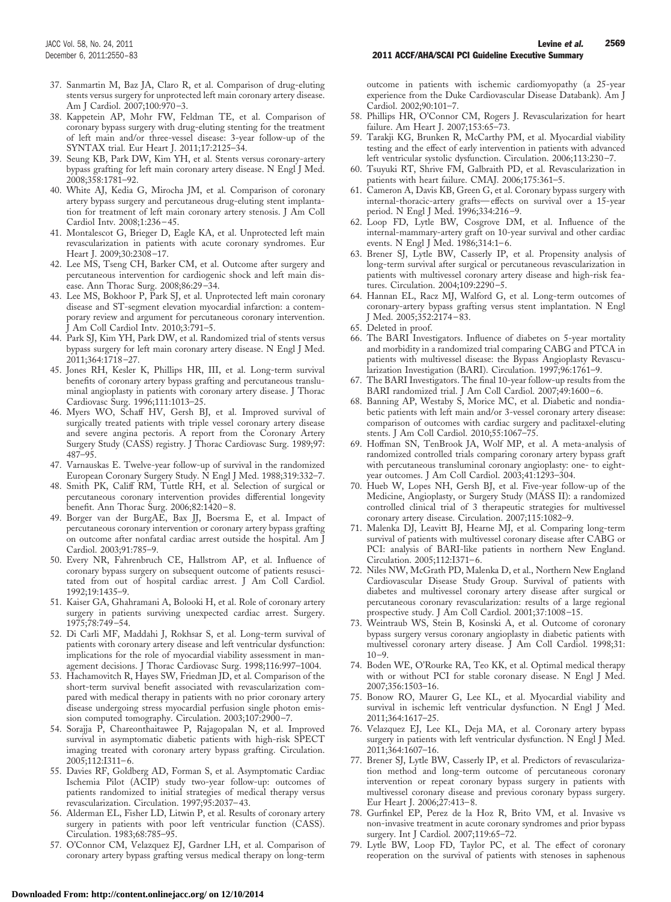- 37. Sanmartin M, Baz JA, Claro R, et al. Comparison of drug-eluting stents versus surgery for unprotected left main coronary artery disease. Am J Cardiol. 2007;100:970–3.
- 38. Kappetein AP, Mohr FW, Feldman TE, et al. Comparison of coronary bypass surgery with drug-eluting stenting for the treatment of left main and/or three-vessel disease: 3-year follow-up of the SYNTAX trial. Eur Heart J. 2011;17:2125–34.
- 39. Seung KB, Park DW, Kim YH, et al. Stents versus coronary-artery bypass grafting for left main coronary artery disease. N Engl J Med. 2008;358:1781–92.
- 40. White AJ, Kedia G, Mirocha JM, et al. Comparison of coronary artery bypass surgery and percutaneous drug-eluting stent implantation for treatment of left main coronary artery stenosis. J Am Coll Cardiol Intv. 2008;1:236–45.
- 41. Montalescot G, Brieger D, Eagle KA, et al. Unprotected left main revascularization in patients with acute coronary syndromes. Eur Heart J. 2009;30:2308–17.
- 42. Lee MS, Tseng CH, Barker CM, et al. Outcome after surgery and percutaneous intervention for cardiogenic shock and left main disease. Ann Thorac Surg. 2008;86:29–34.
- 43. Lee MS, Bokhoor P, Park SJ, et al. Unprotected left main coronary disease and ST-segment elevation myocardial infarction: a contemporary review and argument for percutaneous coronary intervention. J Am Coll Cardiol Intv. 2010;3:791–5.
- 44. Park SJ, Kim YH, Park DW, et al. Randomized trial of stents versus bypass surgery for left main coronary artery disease. N Engl J Med. 2011;364:1718–27.
- <span id="page-19-7"></span>45. Jones RH, Kesler K, Phillips HR, III, et al. Long-term survival benefits of coronary artery bypass grafting and percutaneous transluminal angioplasty in patients with coronary artery disease. J Thorac Cardiovasc Surg. 1996;111:1013–25.
- 46. Myers WO, Schaff HV, Gersh BJ, et al. Improved survival of surgically treated patients with triple vessel coronary artery disease and severe angina pectoris. A report from the Coronary Artery Surgery Study (CASS) registry. J Thorac Cardiovasc Surg. 1989;97: 487–95.
- <span id="page-19-2"></span>47. Varnauskas E. Twelve-year follow-up of survival in the randomized European Coronary Surgery Study. N Engl J Med. 1988;319:332–7.
- 48. Smith PK, Califf RM, Tuttle RH, et al. Selection of surgical or percutaneous coronary intervention provides differential longevity benefit. Ann Thorac Surg. 2006;82:1420–8.
- <span id="page-19-0"></span>49. Borger van der BurgAE, Bax JJ, Boersma E, et al. Impact of percutaneous coronary intervention or coronary artery bypass grafting on outcome after nonfatal cardiac arrest outside the hospital. Am J Cardiol. 2003;91:785–9.
- 50. Every NR, Fahrenbruch CE, Hallstrom AP, et al. Influence of coronary bypass surgery on subsequent outcome of patients resuscitated from out of hospital cardiac arrest. J Am Coll Cardiol. 1992;19:1435–9.
- <span id="page-19-1"></span>51. Kaiser GA, Ghahramani A, Bolooki H, et al. Role of coronary artery surgery in patients surviving unexpected cardiac arrest. Surgery. 1975;78:749–54.
- 52. Di Carli MF, Maddahi J, Rokhsar S, et al. Long-term survival of patients with coronary artery disease and left ventricular dysfunction: implications for the role of myocardial viability assessment in management decisions. J Thorac Cardiovasc Surg. 1998;116:997–1004.
- 53. Hachamovitch R, Hayes SW, Friedman JD, et al. Comparison of the short-term survival benefit associated with revascularization compared with medical therapy in patients with no prior coronary artery disease undergoing stress myocardial perfusion single photon emission computed tomography. Circulation. 2003;107:2900–7.
- <span id="page-19-3"></span>54. Sorajja P, Chareonthaitawee P, Rajagopalan N, et al. Improved survival in asymptomatic diabetic patients with high-risk SPECT imaging treated with coronary artery bypass grafting. Circulation. 2005;112:I311–6.
- 55. Davies RF, Goldberg AD, Forman S, et al. Asymptomatic Cardiac Ischemia Pilot (ACIP) study two-year follow-up: outcomes of patients randomized to initial strategies of medical therapy versus revascularization. Circulation. 1997;95:2037–43.
- 56. Alderman EL, Fisher LD, Litwin P, et al. Results of coronary artery surgery in patients with poor left ventricular function (CASS). Circulation. 1983;68:785–95.
- 57. O'Connor CM, Velazquez EJ, Gardner LH, et al. Comparison of coronary artery bypass grafting versus medical therapy on long-term

outcome in patients with ischemic cardiomyopathy (a 25-year experience from the Duke Cardiovascular Disease Databank). Am J Cardiol. 2002;90:101–7.

- 58. Phillips HR, O'Connor CM, Rogers J. Revascularization for heart failure. Am Heart J. 2007;153:65–73.
- 59. Tarakji KG, Brunken R, McCarthy PM, et al. Myocardial viability testing and the effect of early intervention in patients with advanced left ventricular systolic dysfunction. Circulation. 2006;113:230–7.
- 60. Tsuyuki RT, Shrive FM, Galbraith PD, et al. Revascularization in patients with heart failure. CMAJ. 2006;175:361–5.
- 61. Cameron A, Davis KB, Green G, et al. Coronary bypass surgery with internal-thoracic-artery grafts—effects on survival over a 15-year period. N Engl J Med. 1996;334:216–9.
- 62. Loop FD, Lytle BW, Cosgrove DM, et al. Influence of the internal-mammary-artery graft on 10-year survival and other cardiac events. N Engl J Med. 1986;314:1–6.
- 63. Brener SJ, Lytle BW, Casserly IP, et al. Propensity analysis of long-term survival after surgical or percutaneous revascularization in patients with multivessel coronary artery disease and high-risk features. Circulation. 2004;109:2290–5.
- 64. Hannan EL, Racz MJ, Walford G, et al. Long-term outcomes of coronary-artery bypass grafting versus stent implantation. N Engl J Med. 2005;352:2174–83.
- 65. Deleted in proof.
- 66. The BARI Investigators. Influence of diabetes on 5-year mortality and morbidity in a randomized trial comparing CABG and PTCA in patients with multivessel disease: the Bypass Angioplasty Revascularization Investigation (BARI). Circulation. 1997;96:1761–9.
- 67. The BARI Investigators. The final 10-year follow-up results from the BARI randomized trial. J Am Coll Cardiol. 2007;49:1600-6.
- 68. Banning AP, Westaby S, Morice MC, et al. Diabetic and nondiabetic patients with left main and/or 3-vessel coronary artery disease: comparison of outcomes with cardiac surgery and paclitaxel-eluting stents. J Am Coll Cardiol. 2010;55:1067–75.
- 69. Hoffman SN, TenBrook JA, Wolf MP, et al. A meta-analysis of randomized controlled trials comparing coronary artery bypass graft with percutaneous transluminal coronary angioplasty: one- to eightyear outcomes. J Am Coll Cardiol. 2003;41:1293–304.
- 70. Hueb W, Lopes NH, Gersh BJ, et al. Five-year follow-up of the Medicine, Angioplasty, or Surgery Study (MASS II): a randomized controlled clinical trial of 3 therapeutic strategies for multivessel coronary artery disease. Circulation. 2007;115:1082–9.
- 71. Malenka DJ, Leavitt BJ, Hearne MJ, et al. Comparing long-term survival of patients with multivessel coronary disease after CABG or PCI: analysis of BARI-like patients in northern New England. Circulation. 2005;112:I371–6.
- 72. Niles NW, McGrath PD, Malenka D, et al., Northern New England Cardiovascular Disease Study Group. Survival of patients with diabetes and multivessel coronary artery disease after surgical or percutaneous coronary revascularization: results of a large regional prospective study. J Am Coll Cardiol. 2001;37:1008–15.
- 73. Weintraub WS, Stein B, Kosinski A, et al. Outcome of coronary bypass surgery versus coronary angioplasty in diabetic patients with multivessel coronary artery disease. J Am Coll Cardiol. 1998;31:  $10-9.$
- <span id="page-19-5"></span>74. Boden WE, O'Rourke RA, Teo KK, et al. Optimal medical therapy with or without PCI for stable coronary disease. N Engl J Med. 2007;356:1503–16.
- 75. Bonow RO, Maurer G, Lee KL, et al. Myocardial viability and survival in ischemic left ventricular dysfunction. N Engl J Med. 2011;364:1617–25.
- <span id="page-19-4"></span>76. Velazquez EJ, Lee KL, Deja MA, et al. Coronary artery bypass surgery in patients with left ventricular dysfunction. N Engl J Med. 2011;364:1607–16.
- 77. Brener SJ, Lytle BW, Casserly IP, et al. Predictors of revascularization method and long-term outcome of percutaneous coronary intervention or repeat coronary bypass surgery in patients with multivessel coronary disease and previous coronary bypass surgery. Eur Heart J. 2006;27:413–8.
- <span id="page-19-6"></span>78. Gurfinkel EP, Perez de la Hoz R, Brito VM, et al. Invasive vs non-invasive treatment in acute coronary syndromes and prior bypass surgery. Int J Cardiol. 2007;119:65–72.
- 79. Lytle BW, Loop FD, Taylor PC, et al. The effect of coronary reoperation on the survival of patients with stenoses in saphenous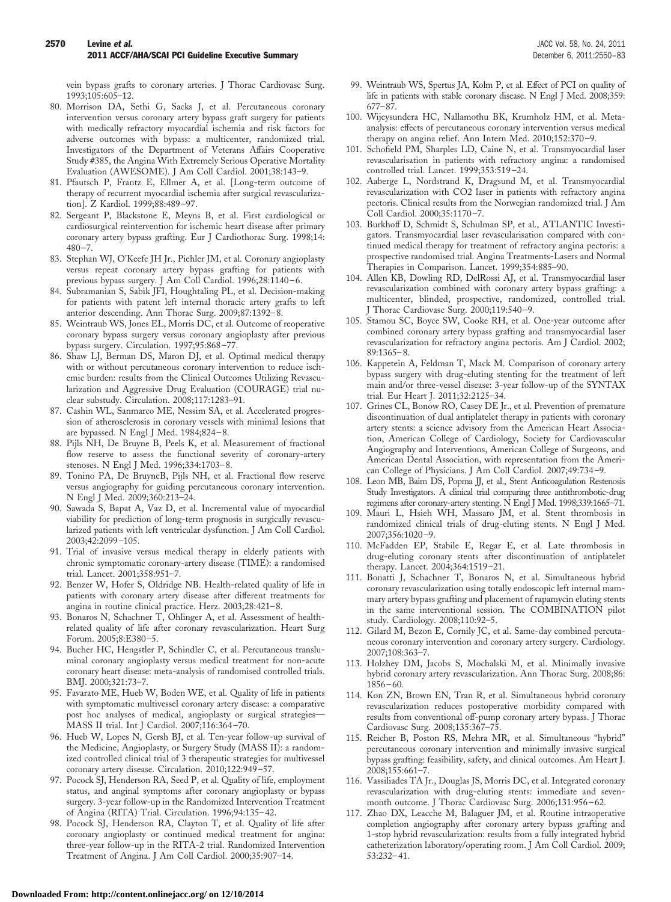vein bypass grafts to coronary arteries. J Thorac Cardiovasc Surg. 1993;105:605–12.

- 80. Morrison DA, Sethi G, Sacks J, et al. Percutaneous coronary intervention versus coronary artery bypass graft surgery for patients with medically refractory myocardial ischemia and risk factors for adverse outcomes with bypass: a multicenter, randomized trial. Investigators of the Department of Veterans Affairs Cooperative Study #385, the Angina With Extremely Serious Operative Mortality Evaluation (AWESOME). J Am Coll Cardiol. 2001;38:143–9.
- <span id="page-20-5"></span>81. Pfautsch P, Frantz E, Ellmer A, et al. [Long-term outcome of therapy of recurrent myocardial ischemia after surgical revascularization]. Z Kardiol. 1999;88:489–97.
- 82. Sergeant P, Blackstone E, Meyns B, et al. First cardiological or cardiosurgical reintervention for ischemic heart disease after primary coronary artery bypass grafting. Eur J Cardiothorac Surg. 1998;14:  $480 - 7$ .
- 83. Stephan WJ, O'Keefe JH Jr., Piehler JM, et al. Coronary angioplasty versus repeat coronary artery bypass grafting for patients with previous bypass surgery. J Am Coll Cardiol. 1996;28:1140–6.
- 84. Subramanian S, Sabik JFI, Houghtaling PL, et al. Decision-making for patients with patent left internal thoracic artery grafts to left anterior descending. Ann Thorac Surg. 2009;87:1392–8.
- <span id="page-20-0"></span>85. Weintraub WS, Jones EL, Morris DC, et al. Outcome of reoperative coronary bypass surgery versus coronary angioplasty after previous bypass surgery. Circulation. 1997;95:868–77.
- 86. Shaw LJ, Berman DS, Maron DJ, et al. Optimal medical therapy with or without percutaneous coronary intervention to reduce ischemic burden: results from the Clinical Outcomes Utilizing Revascularization and Aggressive Drug Evaluation (COURAGE) trial nuclear substudy. Circulation. 2008;117:1283–91.
- 87. Cashin WL, Sanmarco ME, Nessim SA, et al. Accelerated progression of atherosclerosis in coronary vessels with minimal lesions that are bypassed. N Engl J Med. 1984;824–8.
- 88. Pijls NH, De Bruyne B, Peels K, et al. Measurement of fractional flow reserve to assess the functional severity of coronary-artery stenoses. N Engl J Med. 1996;334:1703–8.
- <span id="page-20-4"></span>89. Tonino PA, De BruyneB, Pijls NH, et al. Fractional flow reserve versus angiography for guiding percutaneous coronary intervention. N Engl J Med. 2009;360:213–24.
- 90. Sawada S, Bapat A, Vaz D, et al. Incremental value of myocardial viability for prediction of long-term prognosis in surgically revascularized patients with left ventricular dysfunction. J Am Coll Cardiol. 2003;42:2099–105.
- 91. Trial of invasive versus medical therapy in elderly patients with chronic symptomatic coronary-artery disease (TIME): a randomised trial. Lancet. 2001;358:951–7.
- 92. Benzer W, Hofer S, Oldridge NB. Health-related quality of life in patients with coronary artery disease after different treatments for angina in routine clinical practice. Herz. 2003;28:421–8.
- 93. Bonaros N, Schachner T, Ohlinger A, et al. Assessment of healthrelated quality of life after coronary revascularization. Heart Surg Forum. 2005;8:E380–5.
- 94. Bucher HC, Hengstler P, Schindler C, et al. Percutaneous transluminal coronary angioplasty versus medical treatment for non-acute coronary heart disease: meta-analysis of randomised controlled trials. BMJ. 2000;321:73–7.
- 95. Favarato ME, Hueb W, Boden WE, et al. Quality of life in patients with symptomatic multivessel coronary artery disease: a comparative post hoc analyses of medical, angioplasty or surgical strategies-MASS II trial. Int J Cardiol. 2007;116:364–70.
- 96. Hueb W, Lopes N, Gersh BJ, et al. Ten-year follow-up survival of the Medicine, Angioplasty, or Surgery Study (MASS II): a randomized controlled clinical trial of 3 therapeutic strategies for multivessel coronary artery disease. Circulation. 2010;122:949–57.
- 97. Pocock SJ, Henderson RA, Seed P, et al. Quality of life, employment status, and anginal symptoms after coronary angioplasty or bypass surgery. 3-year follow-up in the Randomized Intervention Treatment of Angina (RITA) Trial. Circulation. 1996;94:135–42.
- 98. Pocock SJ, Henderson RA, Clayton T, et al. Quality of life after coronary angioplasty or continued medical treatment for angina: three-year follow-up in the RITA-2 trial. Randomized Intervention Treatment of Angina. J Am Coll Cardiol. 2000;35:907–14.
- 99. Weintraub WS, Spertus JA, Kolm P, et al. Effect of PCI on quality of life in patients with stable coronary disease. N Engl J Med. 2008;359: 677–87.
- 100. Wijeysundera HC, Nallamothu BK, Krumholz HM, et al. Metaanalysis: effects of percutaneous coronary intervention versus medical therapy on angina relief. Ann Intern Med. 2010;152:370–9.
- <span id="page-20-1"></span>101. Schofield PM, Sharples LD, Caine N, et al. Transmyocardial laser revascularisation in patients with refractory angina: a randomised controlled trial. Lancet. 1999;353:519–24.
- 102. Aaberge L, Nordstrand K, Dragsund M, et al. Transmyocardial revascularization with CO2 laser in patients with refractory angina pectoris. Clinical results from the Norwegian randomized trial. J Am Coll Cardiol. 2000;35:1170–7.
- 103. Burkhoff D, Schmidt S, Schulman SP, et al., ATLANTIC Investigators. Transmyocardial laser revascularisation compared with continued medical therapy for treatment of refractory angina pectoris: a prospective randomised trial. Angina Treatments-Lasers and Normal Therapies in Comparison. Lancet. 1999;354:885–90.
- 104. Allen KB, Dowling RD, DelRossi AJ, et al. Transmyocardial laser revascularization combined with coronary artery bypass grafting: a multicenter, blinded, prospective, randomized, controlled trial. J Thorac Cardiovasc Surg. 2000;119:540–9.
- 105. Stamou SC, Boyce SW, Cooke RH, et al. One-year outcome after combined coronary artery bypass grafting and transmyocardial laser revascularization for refractory angina pectoris. Am J Cardiol. 2002; 89:1365–8.
- 106. Kappetein A, Feldman T, Mack M. Comparison of coronary artery bypass surgery with drug-eluting stenting for the treatment of left main and/or three-vessel disease: 3-year follow-up of the SYNTAX trial. Eur Heart J. 2011;32:2125–34.
- <span id="page-20-2"></span>107. Grines CL, Bonow RO, Casey DE Jr., et al. Prevention of premature discontinuation of dual antiplatelet therapy in patients with coronary artery stents: a science advisory from the American Heart Association, American College of Cardiology, Society for Cardiovascular Angiography and Interventions, American College of Surgeons, and American Dental Association, with representation from the American College of Physicians. J Am Coll Cardiol. 2007;49:734–9.
- 108. Leon MB, Baim DS, Popma JJ, et al., Stent Anticoagulation Restenosis Study Investigators. A clinical trial comparing three antithrombotic-drug regimens after coronary-artery stenting. N Engl J Med. 1998;339:1665–71.
- 109. Mauri L, Hsieh WH, Massaro JM, et al. Stent thrombosis in randomized clinical trials of drug-eluting stents. N Engl J Med. 2007;356:1020–9.
- 110. McFadden EP, Stabile E, Regar E, et al. Late thrombosis in drug-eluting coronary stents after discontinuation of antiplatelet therapy. Lancet. 2004;364:1519–21.
- <span id="page-20-3"></span>111. Bonatti J, Schachner T, Bonaros N, et al. Simultaneous hybrid coronary revascularization using totally endoscopic left internal mammary artery bypass grafting and placement of rapamycin eluting stents in the same interventional session. The COMBINATION pilot study. Cardiology. 2008;110:92–5.
- 112. Gilard M, Bezon E, Cornily JC, et al. Same-day combined percutaneous coronary intervention and coronary artery surgery. Cardiology. 2007;108:363–7.
- 113. Holzhey DM, Jacobs S, Mochalski M, et al. Minimally invasive hybrid coronary artery revascularization. Ann Thorac Surg. 2008;86: 1856–60.
- 114. Kon ZN, Brown EN, Tran R, et al. Simultaneous hybrid coronary revascularization reduces postoperative morbidity compared with results from conventional off-pump coronary artery bypass. J Thorac Cardiovasc Surg. 2008;135:367–75.
- 115. Reicher B, Poston RS, Mehra MR, et al. Simultaneous "hybrid" percutaneous coronary intervention and minimally invasive surgical bypass grafting: feasibility, safety, and clinical outcomes. Am Heart J. 2008;155:661–7.
- 116. Vassiliades TA Jr., Douglas JS, Morris DC, et al. Integrated coronary revascularization with drug-eluting stents: immediate and sevenmonth outcome. J Thorac Cardiovasc Surg. 2006;131:956–62.
- 117. Zhao DX, Leacche M, Balaguer JM, et al. Routine intraoperative completion angiography after coronary artery bypass grafting and 1-stop hybrid revascularization: results from a fully integrated hybrid catheterization laboratory/operating room. J Am Coll Cardiol. 2009; 53:232–41.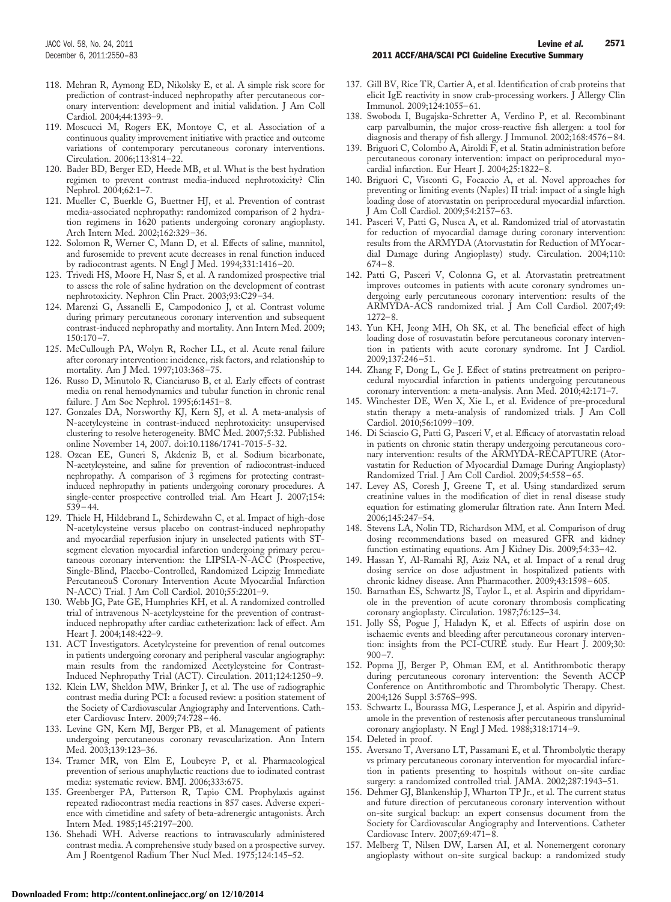- <span id="page-21-0"></span>118. Mehran R, Aymong ED, Nikolsky E, et al. A simple risk score for prediction of contrast-induced nephropathy after percutaneous coronary intervention: development and initial validation. J Am Coll Cardiol. 2004;44:1393–9.
- 119. Moscucci M, Rogers EK, Montoye C, et al. Association of a continuous quality improvement initiative with practice and outcome variations of contemporary percutaneous coronary interventions. Circulation. 2006;113:814–22.
- <span id="page-21-1"></span>120. Bader BD, Berger ED, Heede MB, et al. What is the best hydration regimen to prevent contrast media-induced nephrotoxicity? Clin Nephrol. 2004;62:1–7.
- 121. Mueller C, Buerkle G, Buettner HJ, et al. Prevention of contrast media-associated nephropathy: randomized comparison of 2 hydration regimens in 1620 patients undergoing coronary angioplasty. Arch Intern Med. 2002;162:329–36.
- 122. Solomon R, Werner C, Mann D, et al. Effects of saline, mannitol, and furosemide to prevent acute decreases in renal function induced by radiocontrast agents. N Engl J Med. 1994;331:1416–20.
- 123. Trivedi HS, Moore H, Nasr S, et al. A randomized prospective trial to assess the role of saline hydration on the development of contrast nephrotoxicity. Nephron Clin Pract. 2003;93:C29–34.
- <span id="page-21-2"></span>124. Marenzi G, Assanelli E, Campodonico J, et al. Contrast volume during primary percutaneous coronary intervention and subsequent contrast-induced nephropathy and mortality. Ann Intern Med. 2009; 150:170–7.
- 125. McCullough PA, Wolyn R, Rocher LL, et al. Acute renal failure after coronary intervention: incidence, risk factors, and relationship to mortality. Am J Med. 1997;103:368–75.
- 126. Russo D, Minutolo R, Cianciaruso B, et al. Early effects of contrast media on renal hemodynamics and tubular function in chronic renal failure. J Am Soc Nephrol. 1995;6:1451–8.
- <span id="page-21-3"></span>127. Gonzales DA, Norsworthy KJ, Kern SJ, et al. A meta-analysis of N-acetylcysteine in contrast-induced nephrotoxicity: unsupervised clustering to resolve heterogeneity. BMC Med. 2007;5:32. Published online November 14, 2007. doi:10.1186/1741-7015-5-32.
- 128. Ozcan EE, Guneri S, Akdeniz B, et al. Sodium bicarbonate, N-acetylcysteine, and saline for prevention of radiocontrast-induced nephropathy. A comparison of 3 regimens for protecting contrastinduced nephropathy in patients undergoing coronary procedures. A single-center prospective controlled trial. Am Heart J. 2007;154: 539–44.
- 129. Thiele H, Hildebrand L, Schirdewahn C, et al. Impact of high-dose N-acetylcysteine versus placebo on contrast-induced nephropathy and myocardial reperfusion injury in unselected patients with STsegment elevation myocardial infarction undergoing primary percutaneous coronary intervention: the LIPSIA-N-ACC (Prospective, Single-Blind, Placebo-Controlled, Randomized Leipzig Immediate PercutaneouS Coronary Intervention Acute Myocardial Infarction N-ACC) Trial. J Am Coll Cardiol. 2010;55:2201–9.
- 130. Webb JG, Pate GE, Humphries KH, et al. A randomized controlled trial of intravenous N-acetylcysteine for the prevention of contrastinduced nephropathy after cardiac catheterization: lack of effect. Am Heart J. 2004;148:422-9.
- 131. ACT Investigators. Acetylcysteine for prevention of renal outcomes in patients undergoing coronary and peripheral vascular angiography: main results from the randomized Acetylcysteine for Contrast-Induced Nephropathy Trial (ACT). Circulation. 2011;124:1250–9.
- <span id="page-21-4"></span>132. Klein LW, Sheldon MW, Brinker J, et al. The use of radiographic contrast media during PCI: a focused review: a position statement of the Society of Cardiovascular Angiography and Interventions. Catheter Cardiovasc Interv. 2009;74:728–46.
- 133. Levine GN, Kern MJ, Berger PB, et al. Management of patients undergoing percutaneous coronary revascularization. Ann Intern Med. 2003;139:123–36.
- 134. Tramer MR, von Elm E, Loubeyre P, et al. Pharmacological prevention of serious anaphylactic reactions due to iodinated contrast media: systematic review. BMJ. 2006;333:675.
- 135. Greenberger PA, Patterson R, Tapio CM. Prophylaxis against repeated radiocontrast media reactions in 857 cases. Adverse experience with cimetidine and safety of beta-adrenergic antagonists. Arch Intern Med. 1985;145:2197–200.
- <span id="page-21-5"></span>136. Shehadi WH. Adverse reactions to intravascularly administered contrast media. A comprehensive study based on a prospective survey. Am J Roentgenol Radium Ther Nucl Med. 1975;124:145–52.
- 137. Gill BV, Rice TR, Cartier A, et al. Identification of crab proteins that elicit IgE reactivity in snow crab-processing workers. J Allergy Clin Immunol. 2009;124:1055–61.
- 138. Swoboda I, Bugajska-Schretter A, Verdino P, et al. Recombinant carp parvalbumin, the major cross-reactive fish allergen: a tool for diagnosis and therapy of fish allergy. J Immunol. 2002;168:4576–84.
- <span id="page-21-6"></span>139. Briguori C, Colombo A, Airoldi F, et al. Statin administration before percutaneous coronary intervention: impact on periprocedural myocardial infarction. Eur Heart J. 2004;25:1822–8.
- 140. Briguori C, Visconti G, Focaccio A, et al. Novel approaches for preventing or limiting events (Naples) II trial: impact of a single high loading dose of atorvastatin on periprocedural myocardial infarction. J Am Coll Cardiol. 2009;54:2157–63.
- 141. Pasceri V, Patti G, Nusca A, et al. Randomized trial of atorvastatin for reduction of myocardial damage during coronary intervention: results from the ARMYDA (Atorvastatin for Reduction of MYocardial Damage during Angioplasty) study. Circulation. 2004;110: 674–8.
- 142. Patti G, Pasceri V, Colonna G, et al. Atorvastatin pretreatment improves outcomes in patients with acute coronary syndromes undergoing early percutaneous coronary intervention: results of the ARMYDA-ACS randomized trial. J Am Coll Cardiol. 2007;49: 1272–8.
- 143. Yun KH, Jeong MH, Oh SK, et al. The beneficial effect of high loading dose of rosuvastatin before percutaneous coronary intervention in patients with acute coronary syndrome. Int J Cardiol. 2009;137:246–51.
- 144. Zhang F, Dong L, Ge J. Effect of statins pretreatment on periprocedural myocardial infarction in patients undergoing percutaneous coronary intervention: a meta-analysis. Ann Med. 2010;42:171–7.
- 145. Winchester DE, Wen X, Xie L, et al. Evidence of pre-procedural statin therapy a meta-analysis of randomized trials. J Am Coll Cardiol. 2010;56:1099–109.
- <span id="page-21-7"></span>146. Di Sciascio G, Patti G, Pasceri V, et al. Efficacy of atorvastatin reload in patients on chronic statin therapy undergoing percutaneous coronary intervention: results of the ARMYDA-RECAPTURE (Atorvastatin for Reduction of Myocardial Damage During Angioplasty) Randomized Trial. J Am Coll Cardiol. 2009;54:558–65.
- <span id="page-21-8"></span>147. Levey AS, Coresh J, Greene T, et al. Using standardized serum creatinine values in the modification of diet in renal disease study equation for estimating glomerular filtration rate. Ann Intern Med. 2006;145:247–54.
- 148. Stevens LA, Nolin TD, Richardson MM, et al. Comparison of drug dosing recommendations based on measured GFR and kidney function estimating equations. Am J Kidney Dis. 2009;54:33–42.
- 149. Hassan Y, Al-Ramahi RJ, Aziz NA, et al. Impact of a renal drug dosing service on dose adjustment in hospitalized patients with chronic kidney disease. Ann Pharmacother. 2009;43:1598–605.
- <span id="page-21-12"></span><span id="page-21-9"></span>150. Barnathan ES, Schwartz JS, Taylor L, et al. Aspirin and dipyridamole in the prevention of acute coronary thrombosis complicating coronary angioplasty. Circulation. 1987;76:125–34.
- 151. Jolly SS, Pogue J, Haladyn K, et al. Effects of aspirin dose on ischaemic events and bleeding after percutaneous coronary intervention: insights from the PCI-CURE study. Eur Heart J. 2009;30:  $900 - 7.$
- 152. Popma JJ, Berger P, Ohman EM, et al. Antithrombotic therapy during percutaneous coronary intervention: the Seventh ACCP Conference on Antithrombotic and Thrombolytic Therapy. Chest. 2004;126 Suppl 3:576S–99S.
- 153. Schwartz L, Bourassa MG, Lesperance J, et al. Aspirin and dipyridamole in the prevention of restenosis after percutaneous transluminal coronary angioplasty. N Engl J Med. 1988;318:1714–9.
- <span id="page-21-10"></span>154. Deleted in proof.
- 155. Aversano T, Aversano LT, Passamani E, et al. Thrombolytic therapy vs primary percutaneous coronary intervention for myocardial infarction in patients presenting to hospitals without on-site cardiac surgery: a randomized controlled trial. JAMA. 2002;287:1943–51.
- <span id="page-21-11"></span>156. Dehmer GJ, Blankenship J, Wharton TP Jr., et al. The current status and future direction of percutaneous coronary intervention without on-site surgical backup: an expert consensus document from the Society for Cardiovascular Angiography and Interventions. Catheter Cardiovasc Interv. 2007;69:471–8.
- 157. Melberg T, Nilsen DW, Larsen AI, et al. Nonemergent coronary angioplasty without on-site surgical backup: a randomized study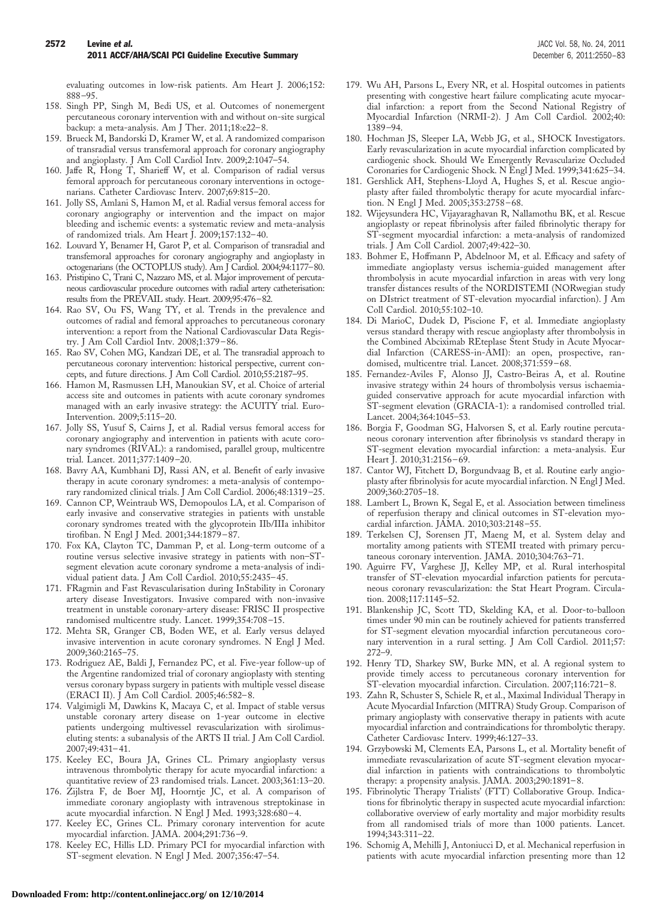evaluating outcomes in low-risk patients. Am Heart J. 2006;152: 888–95.

- 158. Singh PP, Singh M, Bedi US, et al. Outcomes of nonemergent percutaneous coronary intervention with and without on-site surgical backup: a meta-analysis. Am J Ther. 2011;18:e22–8.
- <span id="page-22-0"></span>159. Brueck M, Bandorski D, Kramer W, et al. A randomized comparison of transradial versus transfemoral approach for coronary angiography and angioplasty. J Am Coll Cardiol Intv. 2009;2:1047–54.
- 160. Jaffe R, Hong T, Sharieff W, et al. Comparison of radial versus femoral approach for percutaneous coronary interventions in octogenarians. Catheter Cardiovasc Interv. 2007;69:815–20.
- 161. Jolly SS, Amlani S, Hamon M, et al. Radial versus femoral access for coronary angiography or intervention and the impact on major bleeding and ischemic events: a systematic review and meta-analysis of randomized trials. Am Heart J. 2009;157:132–40.
- 162. Louvard Y, Benamer H, Garot P, et al. Comparison of transradial and transfemoral approaches for coronary angiography and angioplasty in octogenarians (the OCTOPLUS study). Am J Cardiol. 2004;94:1177–80.
- 163. Pristipino C, Trani C, Nazzaro MS, et al. Major improvement of percutaneous cardiovascular procedure outcomes with radial artery catheterisation: results from the PREVAIL study. Heart. 2009;95:476–82.
- 164. Rao SV, Ou FS, Wang TY, et al. Trends in the prevalence and outcomes of radial and femoral approaches to percutaneous coronary intervention: a report from the National Cardiovascular Data Registry. J Am Coll Cardiol Intv. 2008;1:379–86.
- 165. Rao SV, Cohen MG, Kandzari DE, et al. The transradial approach to percutaneous coronary intervention: historical perspective, current concepts, and future directions. J Am Coll Cardiol. 2010;55:2187–95.
- 166. Hamon M, Rasmussen LH, Manoukian SV, et al. Choice of arterial access site and outcomes in patients with acute coronary syndromes managed with an early invasive strategy: the ACUITY trial. Euro-Intervention. 2009;5:115–20.
- 167. Jolly SS, Yusuf S, Cairns J, et al. Radial versus femoral access for coronary angiography and intervention in patients with acute coronary syndromes (RIVAL): a randomised, parallel group, multicentre trial. Lancet. 2011;377:1409–20.
- <span id="page-22-1"></span>168. Bavry AA, Kumbhani DJ, Rassi AN, et al. Benefit of early invasive therapy in acute coronary syndromes: a meta-analysis of contemporary randomized clinical trials. J Am Coll Cardiol. 2006;48:1319–25.
- <span id="page-22-2"></span>169. Cannon CP, Weintraub WS, Demopoulos LA, et al. Comparison of early invasive and conservative strategies in patients with unstable coronary syndromes treated with the glycoprotein IIb/IIIa inhibitor tirofiban. N Engl J Med. 2001;344:1879–87.
- 170. Fox KA, Clayton TC, Damman P, et al. Long-term outcome of a routine versus selective invasive strategy in patients with non–STsegment elevation acute coronary syndrome a meta-analysis of individual patient data. J Am Coll Cardiol. 2010;55:2435–45.
- 171. FRagmin and Fast Revascularisation during InStability in Coronary artery disease Investigators. Invasive compared with non-invasive treatment in unstable coronary-artery disease: FRISC II prospective randomised multicentre study. Lancet. 1999;354:708–15.
- 172. Mehta SR, Granger CB, Boden WE, et al. Early versus delayed invasive intervention in acute coronary syndromes. N Engl J Med. 2009;360:2165–75.
- 173. Rodriguez AE, Baldi J, Fernandez PC, et al. Five-year follow-up of the Argentine randomized trial of coronary angioplasty with stenting versus coronary bypass surgery in patients with multiple vessel disease (ERACI II). J Am Coll Cardiol. 2005;46:582–8.
- 174. Valgimigli M, Dawkins K, Macaya C, et al. Impact of stable versus unstable coronary artery disease on 1-year outcome in elective patients undergoing multivessel revascularization with sirolimuseluting stents: a subanalysis of the ARTS II trial. J Am Coll Cardiol. 2007;49:431–41.
- <span id="page-22-6"></span>175. Keeley EC, Boura JA, Grines CL. Primary angioplasty versus intravenous thrombolytic therapy for acute myocardial infarction: a quantitative review of 23 randomised trials. Lancet. 2003;361:13–20.
- 176. Zijlstra F, de Boer MJ, Hoorntje JC, et al. A comparison of immediate coronary angioplasty with intravenous streptokinase in acute myocardial infarction. N Engl J Med. 1993;328:680–4.
- 177. Keeley EC, Grines CL. Primary coronary intervention for acute myocardial infarction. JAMA. 2004;291:736–9.
- 178. Keeley EC, Hillis LD. Primary PCI for myocardial infarction with ST-segment elevation. N Engl J Med. 2007;356:47–54.
- <span id="page-22-3"></span>179. Wu AH, Parsons L, Every NR, et al. Hospital outcomes in patients presenting with congestive heart failure complicating acute myocardial infarction: a report from the Second National Registry of Myocardial Infarction (NRMI-2). J Am Coll Cardiol. 2002;40: 1389–94.
- <span id="page-22-12"></span>180. Hochman JS, Sleeper LA, Webb JG, et al., SHOCK Investigators. Early revascularization in acute myocardial infarction complicated by cardiogenic shock. Should We Emergently Revascularize Occluded Coronaries for Cardiogenic Shock. N Engl J Med. 1999;341:625–34.
- <span id="page-22-4"></span>181. Gershlick AH, Stephens-Lloyd A, Hughes S, et al. Rescue angioplasty after failed thrombolytic therapy for acute myocardial infarction. N Engl J Med. 2005;353:2758–68.
- 182. Wijeysundera HC, Vijayaraghavan R, Nallamothu BK, et al. Rescue angioplasty or repeat fibrinolysis after failed fibrinolytic therapy for ST-segment myocardial infarction: a meta-analysis of randomized trials. J Am Coll Cardiol. 2007;49:422–30.
- <span id="page-22-5"></span>183. Bohmer E, Hoffmann P, Abdelnoor M, et al. Efficacy and safety of immediate angioplasty versus ischemia-guided management after thrombolysis in acute myocardial infarction in areas with very long transfer distances results of the NORDISTEMI (NORwegian study on DIstrict treatment of ST-elevation myocardial infarction). J Am Coll Cardiol. 2010;55:102–10.
- 184. Di MarioC, Dudek D, Piscione F, et al. Immediate angioplasty versus standard therapy with rescue angioplasty after thrombolysis in the Combined Abciximab REteplase Stent Study in Acute Myocardial Infarction (CARESS-in-AMI): an open, prospective, randomised, multicentre trial. Lancet. 2008;371:559–68.
- 185. Fernandez-Aviles F, Alonso JJ, Castro-Beiras A, et al. Routine invasive strategy within 24 hours of thrombolysis versus ischaemiaguided conservative approach for acute myocardial infarction with ST-segment elevation (GRACIA-1): a randomised controlled trial. Lancet. 2004;364:1045–53.
- <span id="page-22-11"></span>186. Borgia F, Goodman SG, Halvorsen S, et al. Early routine percutaneous coronary intervention after fibrinolysis vs standard therapy in ST-segment elevation myocardial infarction: a meta-analysis. Eur Heart J. 2010;31:2156–69.
- 187. Cantor WJ, Fitchett D, Borgundvaag B, et al. Routine early angioplasty after fibrinolysis for acute myocardial infarction. N Engl J Med. 2009;360:2705–18.
- <span id="page-22-7"></span>188. Lambert L, Brown K, Segal E, et al. Association between timeliness of reperfusion therapy and clinical outcomes in ST-elevation myocardial infarction. JAMA. 2010;303:2148–55.
- 189. Terkelsen CJ, Sorensen JT, Maeng M, et al. System delay and mortality among patients with STEMI treated with primary percutaneous coronary intervention. JAMA. 2010;304:763–71.
- <span id="page-22-8"></span>190. Aguirre FV, Varghese JJ, Kelley MP, et al. Rural interhospital transfer of ST-elevation myocardial infarction patients for percutaneous coronary revascularization: the Stat Heart Program. Circulation. 2008;117:1145–52.
- 191. Blankenship JC, Scott TD, Skelding KA, et al. Door-to-balloon times under 90 min can be routinely achieved for patients transferred for ST-segment elevation myocardial infarction percutaneous coronary intervention in a rural setting. J Am Coll Cardiol. 2011;57: 272–9.
- 192. Henry TD, Sharkey SW, Burke MN, et al. A regional system to provide timely access to percutaneous coronary intervention for ST-elevation myocardial infarction. Circulation. 2007;116:721–8.
- <span id="page-22-9"></span>193. Zahn R, Schuster S, Schiele R, et al., Maximal Individual Therapy in Acute Myocardial Infarction (MITRA) Study Group. Comparison of primary angioplasty with conservative therapy in patients with acute myocardial infarction and contraindications for thrombolytic therapy. Catheter Cardiovasc Interv. 1999;46:127–33.
- 194. Grzybowski M, Clements EA, Parsons L, et al. Mortality benefit of immediate revascularization of acute ST-segment elevation myocardial infarction in patients with contraindications to thrombolytic therapy: a propensity analysis. JAMA. 2003;290:1891–8.
- <span id="page-22-10"></span>195. Fibrinolytic Therapy Trialists' (FTT) Collaborative Group. Indications for fibrinolytic therapy in suspected acute myocardial infarction: collaborative overview of early mortality and major morbidity results from all randomised trials of more than 1000 patients. Lancet. 1994;343:311–22.
- 196. Schomig A, Mehilli J, Antoniucci D, et al. Mechanical reperfusion in patients with acute myocardial infarction presenting more than 12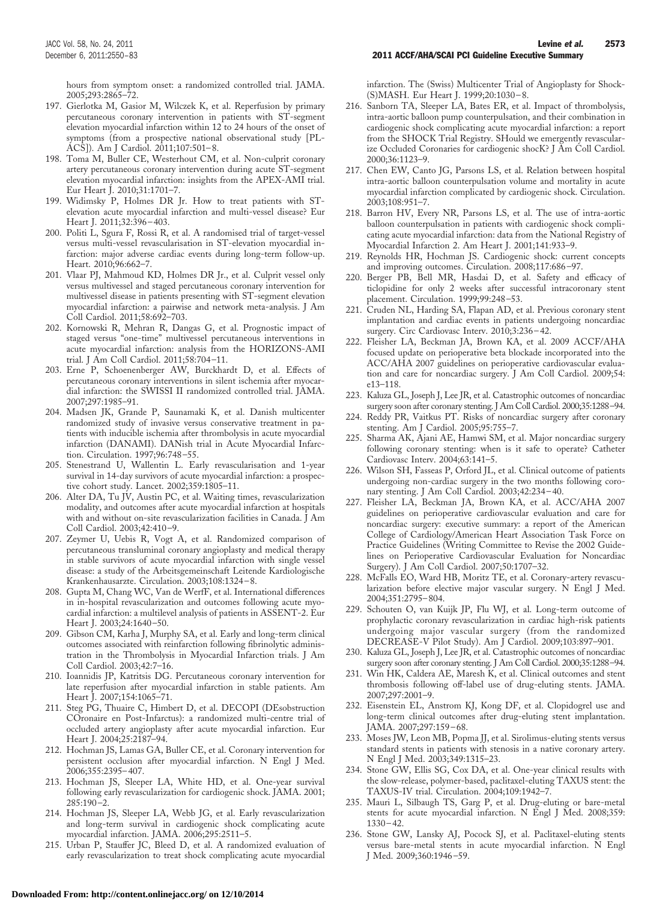hours from symptom onset: a randomized controlled trial. JAMA. 2005;293:2865–72.

- 197. Gierlotka M, Gasior M, Wilczek K, et al. Reperfusion by primary percutaneous coronary intervention in patients with ST-segment elevation myocardial infarction within 12 to 24 hours of the onset of symptoms (from a prospective national observational study [PL-ACS]). Am J Cardiol. 2011;107:501–8.
- <span id="page-23-0"></span>198. Toma M, Buller CE, Westerhout CM, et al. Non-culprit coronary artery percutaneous coronary intervention during acute ST-segment elevation myocardial infarction: insights from the APEX-AMI trial. Eur Heart J. 2010;31:1701–7.
- 199. Widimsky P, Holmes DR Jr. How to treat patients with STelevation acute myocardial infarction and multi-vessel disease? Eur Heart J. 2011;32:396–403.
- 200. Politi L, Sgura F, Rossi R, et al. A randomised trial of target-vessel versus multi-vessel revascularisation in ST-elevation myocardial infarction: major adverse cardiac events during long-term follow-up. Heart. 2010;96:662–7.
- 201. Vlaar PJ, Mahmoud KD, Holmes DR Jr., et al. Culprit vessel only versus multivessel and staged percutaneous coronary intervention for multivessel disease in patients presenting with ST-segment elevation myocardial infarction: a pairwise and network meta-analysis. J Am Coll Cardiol. 2011;58:692–703.
- 202. Kornowski R, Mehran R, Dangas G, et al. Prognostic impact of staged versus "one-time" multivessel percutaneous interventions in acute myocardial infarction: analysis from the HORIZONS-AMI trial. J Am Coll Cardiol. 2011;58:704–11.
- <span id="page-23-1"></span>203. Erne P, Schoenenberger AW, Burckhardt D, et al. Effects of percutaneous coronary interventions in silent ischemia after myocardial infarction: the SWISSI II randomized controlled trial. JAMA. 2007;297:1985–91.
- 204. Madsen JK, Grande P, Saunamaki K, et al. Danish multicenter randomized study of invasive versus conservative treatment in patients with inducible ischemia after thrombolysis in acute myocardial infarction (DANAMI). DANish trial in Acute Myocardial Infarction. Circulation. 1997;96:748–55.
- <span id="page-23-2"></span>205. Stenestrand U, Wallentin L. Early revascularisation and 1-year survival in 14-day survivors of acute myocardial infarction: a prospective cohort study. Lancet. 2002;359:1805–11.
- 206. Alter DA, Tu JV, Austin PC, et al. Waiting times, revascularization modality, and outcomes after acute myocardial infarction at hospitals with and without on-site revascularization facilities in Canada. J Am Coll Cardiol. 2003;42:410–9.
- 207. Zeymer U, Uebis R, Vogt A, et al. Randomized comparison of percutaneous transluminal coronary angioplasty and medical therapy in stable survivors of acute myocardial infarction with single vessel disease: a study of the Arbeitsgemeinschaft Leitende Kardiologische Krankenhausarzte. Circulation. 2003;108:1324–8.
- 208. Gupta M, Chang WC, Van de WerfF, et al. International differences in in-hospital revascularization and outcomes following acute myocardial infarction: a multilevel analysis of patients in ASSENT-2. Eur Heart J. 2003;24:1640–50.
- 209. Gibson CM, Karha J, Murphy SA, et al. Early and long-term clinical outcomes associated with reinfarction following fibrinolytic administration in the Thrombolysis in Myocardial Infarction trials. J Am Coll Cardiol. 2003;42:7–16.
- <span id="page-23-3"></span>210. Ioannidis JP, Katritsis DG. Percutaneous coronary intervention for late reperfusion after myocardial infarction in stable patients. Am Heart J. 2007;154:1065–71.
- 211. Steg PG, Thuaire C, Himbert D, et al. DECOPI (DEsobstruction COronaire en Post-Infarctus): a randomized multi-centre trial of occluded artery angioplasty after acute myocardial infarction. Eur Heart J. 2004;25:2187–94.
- 212. Hochman JS, Lamas GA, Buller CE, et al. Coronary intervention for persistent occlusion after myocardial infarction. N Engl J Med. 2006;355:2395–407.
- 213. Hochman JS, Sleeper LA, White HD, et al. One-year survival following early revascularization for cardiogenic shock. JAMA. 2001; 285:190–2.
- 214. Hochman JS, Sleeper LA, Webb JG, et al. Early revascularization and long-term survival in cardiogenic shock complicating acute myocardial infarction. JAMA. 2006;295:2511–5.
- 215. Urban P, Stauffer JC, Bleed D, et al. A randomized evaluation of early revascularization to treat shock complicating acute myocardial

infarction. The (Swiss) Multicenter Trial of Angioplasty for Shock- (S)MASH. Eur Heart J. 1999;20:1030–8.

- 216. Sanborn TA, Sleeper LA, Bates ER, et al. Impact of thrombolysis, intra-aortic balloon pump counterpulsation, and their combination in cardiogenic shock complicating acute myocardial infarction: a report from the SHOCK Trial Registry. SHould we emergently revascularize Occluded Coronaries for cardiogenic shocK? J Am Coll Cardiol. 2000;36:1123–9.
- 217. Chen EW, Canto JG, Parsons LS, et al. Relation between hospital intra-aortic balloon counterpulsation volume and mortality in acute myocardial infarction complicated by cardiogenic shock. Circulation. 2003;108:951–7.
- 218. Barron HV, Every NR, Parsons LS, et al. The use of intra-aortic balloon counterpulsation in patients with cardiogenic shock complicating acute myocardial infarction: data from the National Registry of Myocardial Infarction 2. Am Heart J. 2001;141:933–9.
- <span id="page-23-4"></span>219. Reynolds HR, Hochman JS. Cardiogenic shock: current concepts and improving outcomes. Circulation. 2008;117:686–97.
- 220. Berger PB, Bell MR, Hasdai D, et al. Safety and efficacy of ticlopidine for only 2 weeks after successful intracoronary stent placement. Circulation. 1999;99:248–53.
- 221. Cruden NL, Harding SA, Flapan AD, et al. Previous coronary stent implantation and cardiac events in patients undergoing noncardiac surgery. Circ Cardiovasc Interv. 2010;3:236–42.
- <span id="page-23-5"></span>222. Fleisher LA, Beckman JA, Brown KA, et al. 2009 ACCF/AHA focused update on perioperative beta blockade incorporated into the ACC/AHA 2007 guidelines on perioperative cardiovascular evaluation and care for noncardiac surgery. J Am Coll Cardiol. 2009;54: e13–118.
- 223. Kaluza GL, Joseph J, Lee JR, et al. Catastrophic outcomes of noncardiac surgery soon after coronary stenting. J Am Coll Cardiol. 2000;35:1288–94.
- 224. Reddy PR, Vaitkus PT. Risks of noncardiac surgery after coronary stenting. Am J Cardiol. 2005;95:755–7.
- 225. Sharma AK, Ajani AE, Hamwi SM, et al. Major noncardiac surgery following coronary stenting: when is it safe to operate? Catheter Cardiovasc Interv. 2004;63:141–5.
- 226. Wilson SH, Fasseas P, Orford JL, et al. Clinical outcome of patients undergoing non-cardiac surgery in the two months following coronary stenting. J Am Coll Cardiol. 2003;42:234–40.
- 227. Fleisher LA, Beckman JA, Brown KA, et al. ACC/AHA 2007 guidelines on perioperative cardiovascular evaluation and care for noncardiac surgery: executive summary: a report of the American College of Cardiology/American Heart Association Task Force on Practice Guidelines (Writing Committee to Revise the 2002 Guidelines on Perioperative Cardiovascular Evaluation for Noncardiac Surgery). J Am Coll Cardiol. 2007;50:1707–32.
- <span id="page-23-6"></span>228. McFalls EO, Ward HB, Moritz TE, et al. Coronary-artery revascularization before elective major vascular surgery. N Engl J Med. 2004;351:2795–804.
- 229. Schouten O, van Kuijk JP, Flu WJ, et al. Long-term outcome of prophylactic coronary revascularization in cardiac high-risk patients undergoing major vascular surgery (from the randomized DECREASE-V Pilot Study). Am J Cardiol. 2009;103:897–901.
- 230. Kaluza GL, Joseph J, Lee JR, et al. Catastrophic outcomes of noncardiac surgery soon after coronary stenting. J Am Coll Cardiol. 2000;35:1288–94.
- <span id="page-23-7"></span>231. Win HK, Caldera AE, Maresh K, et al. Clinical outcomes and stent thrombosis following off-label use of drug-eluting stents. JAMA. 2007;297:2001–9.
- <span id="page-23-8"></span>232. Eisenstein EL, Anstrom KJ, Kong DF, et al. Clopidogrel use and long-term clinical outcomes after drug-eluting stent implantation. JAMA. 2007;297:159–68.
- 233. Moses JW, Leon MB, Popma JJ, et al. Sirolimus-eluting stents versus standard stents in patients with stenosis in a native coronary artery. N Engl J Med. 2003;349:1315–23.
- <span id="page-23-9"></span>234. Stone GW, Ellis SG, Cox DA, et al. One-year clinical results with the slow-release, polymer-based, paclitaxel-eluting TAXUS stent: the TAXUS-IV trial. Circulation. 2004;109:1942–7.
- 235. Mauri L, Silbaugh TS, Garg P, et al. Drug-eluting or bare-metal stents for acute myocardial infarction. N Engl J Med. 2008;359: 1330–42.
- 236. Stone GW, Lansky AJ, Pocock SJ, et al. Paclitaxel-eluting stents versus bare-metal stents in acute myocardial infarction. N Engl J Med. 2009;360:1946–59.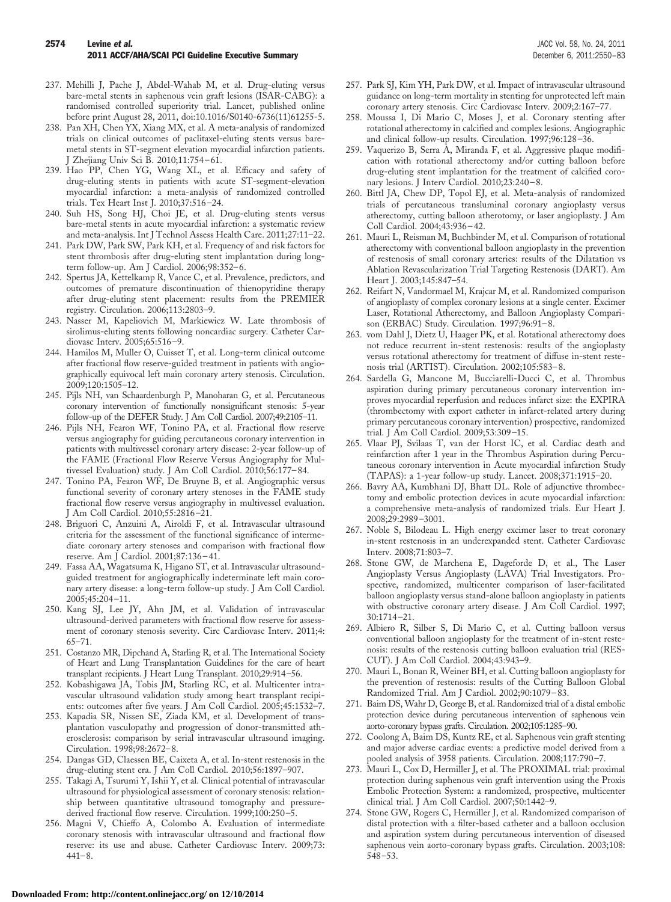### **2574 Levine** *et al.* JACC Vol. 58, No. 24, 2011 **2011 ACCF/AHA/SCAI PCI Guideline Executive Summary December 6, 2011:2550-83** December 6, 2011:2550-83

- 237. Mehilli J, Pache J, Abdel-Wahab M, et al. Drug-eluting versus bare-metal stents in saphenous vein graft lesions (ISAR-CABG): a randomised controlled superiority trial. Lancet, published online before print August 28, 2011, doi:10.1016/S0140-6736(11)61255-5.
- 238. Pan XH, Chen YX, Xiang MX, et al. A meta-analysis of randomized trials on clinical outcomes of paclitaxel-eluting stents versus baremetal stents in ST-segment elevation myocardial infarction patients. J Zhejiang Univ Sci B. 2010;11:754–61.
- 239. Hao PP, Chen YG, Wang XL, et al. Efficacy and safety of drug-eluting stents in patients with acute ST-segment-elevation myocardial infarction: a meta-analysis of randomized controlled trials. Tex Heart Inst J. 2010;37:516–24.
- 240. Suh HS, Song HJ, Choi JE, et al. Drug-eluting stents versus bare-metal stents in acute myocardial infarction: a systematic review and meta-analysis. Int J Technol Assess Health Care. 2011;27:11–22.
- 241. Park DW, Park SW, Park KH, et al. Frequency of and risk factors for stent thrombosis after drug-eluting stent implantation during longterm follow-up. Am J Cardiol. 2006;98:352–6.
- 242. Spertus JA, Kettelkamp R, Vance C, et al. Prevalence, predictors, and outcomes of premature discontinuation of thienopyridine therapy after drug-eluting stent placement: results from the PREMIER registry. Circulation. 2006;113:2803–9.
- 243. Nasser M, Kapeliovich M, Markiewicz W. Late thrombosis of sirolimus-eluting stents following noncardiac surgery. Catheter Cardiovasc Interv. 2005;65:516–9.
- 244. Hamilos M, Muller O, Cuisset T, et al. Long-term clinical outcome after fractional flow reserve-guided treatment in patients with angiographically equivocal left main coronary artery stenosis. Circulation. 2009;120:1505–12.
- 245. Pijls NH, van Schaardenburgh P, Manoharan G, et al. Percutaneous coronary intervention of functionally nonsignificant stenosis: 5-year follow-up of the DEFER Study. J Am Coll Cardiol. 2007;49:2105–11.
- 246. Pijls NH, Fearon WF, Tonino PA, et al. Fractional flow reserve versus angiography for guiding percutaneous coronary intervention in patients with multivessel coronary artery disease: 2-year follow-up of the FAME (Fractional Flow Reserve Versus Angiography for Multivessel Evaluation) study. J Am Coll Cardiol. 2010;56:177–84.
- 247. Tonino PA, Fearon WF, De Bruyne B, et al. Angiographic versus functional severity of coronary artery stenoses in the FAME study fractional flow reserve versus angiography in multivessel evaluation. J Am Coll Cardiol. 2010;55:2816–21.
- <span id="page-24-0"></span>248. Briguori C, Anzuini A, Airoldi F, et al. Intravascular ultrasound criteria for the assessment of the functional significance of intermediate coronary artery stenoses and comparison with fractional flow reserve. Am J Cardiol. 2001;87:136–41.
- <span id="page-24-3"></span>249. Fassa AA, Wagatsuma K, Higano ST, et al. Intravascular ultrasoundguided treatment for angiographically indeterminate left main coronary artery disease: a long-term follow-up study. J Am Coll Cardiol. 2005;45:204–11.
- 250. Kang SJ, Lee JY, Ahn JM, et al. Validation of intravascular ultrasound-derived parameters with fractional flow reserve for assessment of coronary stenosis severity. Circ Cardiovasc Interv. 2011;4: 65–71.
- <span id="page-24-1"></span>251. Costanzo MR, Dipchand A, Starling R, et al. The International Society of Heart and Lung Transplantation Guidelines for the care of heart transplant recipients. J Heart Lung Transplant. 2010;29:914–56.
- 252. Kobashigawa JA, Tobis JM, Starling RC, et al. Multicenter intravascular ultrasound validation study among heart transplant recipients: outcomes after five years. J Am Coll Cardiol. 2005;45:1532–7.
- 253. Kapadia SR, Nissen SE, Ziada KM, et al. Development of transplantation vasculopathy and progression of donor-transmitted atherosclerosis: comparison by serial intravascular ultrasound imaging. Circulation. 1998;98:2672–8.
- <span id="page-24-2"></span>254. Dangas GD, Claessen BE, Caixeta A, et al. In-stent restenosis in the drug-eluting stent era. J Am Coll Cardiol. 2010;56:1897–907.
- 255. Takagi A, Tsurumi Y, Ishii Y, et al. Clinical potential of intravascular ultrasound for physiological assessment of coronary stenosis: relationship between quantitative ultrasound tomography and pressurederived fractional flow reserve. Circulation. 1999;100:250–5.
- 256. Magni V, Chieffo A, Colombo A. Evaluation of intermediate coronary stenosis with intravascular ultrasound and fractional flow reserve: its use and abuse. Catheter Cardiovasc Interv. 2009;73: 441–8.
- 257. Park SJ, Kim YH, Park DW, et al. Impact of intravascular ultrasound guidance on long-term mortality in stenting for unprotected left main coronary artery stenosis. Circ Cardiovasc Interv. 2009;2:167–77.
- <span id="page-24-4"></span>258. Moussa I, Di Mario C, Moses J, et al. Coronary stenting after rotational atherectomy in calcified and complex lesions. Angiographic and clinical follow-up results. Circulation. 1997;96:128–36.
- 259. Vaquerizo B, Serra A, Miranda F, et al. Aggressive plaque modification with rotational atherectomy and/or cutting balloon before drug-eluting stent implantation for the treatment of calcified coronary lesions. J Interv Cardiol. 2010;23:240–8.
- <span id="page-24-5"></span>260. Bittl JA, Chew DP, Topol EJ, et al. Meta-analysis of randomized trials of percutaneous transluminal coronary angioplasty versus atherectomy, cutting balloon atherotomy, or laser angioplasty. J Am Coll Cardiol. 2004;43:936–42.
- 261. Mauri L, Reisman M, Buchbinder M, et al. Comparison of rotational atherectomy with conventional balloon angioplasty in the prevention of restenosis of small coronary arteries: results of the Dilatation vs Ablation Revascularization Trial Targeting Restenosis (DART). Am Heart J. 2003;145:847–54.
- 262. Reifart N, Vandormael M, Krajcar M, et al. Randomized comparison of angioplasty of complex coronary lesions at a single center. Excimer Laser, Rotational Atherectomy, and Balloon Angioplasty Comparison (ERBAC) Study. Circulation. 1997;96:91–8.
- 263. vom Dahl J, Dietz U, Haager PK, et al. Rotational atherectomy does not reduce recurrent in-stent restenosis: results of the angioplasty versus rotational atherectomy for treatment of diffuse in-stent restenosis trial (ARTIST). Circulation. 2002;105:583–8.
- <span id="page-24-6"></span>264. Sardella G, Mancone M, Bucciarelli-Ducci C, et al. Thrombus aspiration during primary percutaneous coronary intervention improves myocardial reperfusion and reduces infarct size: the EXPIRA (thrombectomy with export catheter in infarct-related artery during primary percutaneous coronary intervention) prospective, randomized trial. J Am Coll Cardiol. 2009;53:309–15.
- 265. Vlaar PJ, Svilaas T, van der Horst IC, et al. Cardiac death and reinfarction after 1 year in the Thrombus Aspiration during Percutaneous coronary intervention in Acute myocardial infarction Study (TAPAS): a 1-year follow-up study. Lancet. 2008;371:1915–20.
- 266. Bavry AA, Kumbhani DJ, Bhatt DL. Role of adjunctive thrombectomy and embolic protection devices in acute myocardial infarction: a comprehensive meta-analysis of randomized trials. Eur Heart J. 2008;29:2989–3001.
- <span id="page-24-7"></span>267. Noble S, Bilodeau L. High energy excimer laser to treat coronary in-stent restenosis in an underexpanded stent. Catheter Cardiovasc Interv. 2008;71:803–7.
- 268. Stone GW, de Marchena E, Dageforde D, et al., The Laser Angioplasty Versus Angioplasty (LAVA) Trial Investigators. Prospective, randomized, multicenter comparison of laser-facilitated balloon angioplasty versus stand-alone balloon angioplasty in patients with obstructive coronary artery disease. J Am Coll Cardiol. 1997; 30:1714–21.
- <span id="page-24-8"></span>269. Albiero R, Silber S, Di Mario C, et al. Cutting balloon versus conventional balloon angioplasty for the treatment of in-stent restenosis: results of the restenosis cutting balloon evaluation trial (RES-CUT). J Am Coll Cardiol. 2004;43:943–9.
- <span id="page-24-9"></span>270. Mauri L, Bonan R, Weiner BH, et al. Cutting balloon angioplasty for the prevention of restenosis: results of the Cutting Balloon Global Randomized Trial. Am J Cardiol. 2002;90:1079–83.
- 271. Baim DS, Wahr D, George B, et al. Randomized trial of a distal embolic protection device during percutaneous intervention of saphenous vein aorto-coronary bypass grafts. Circulation. 2002;105:1285–90.
- 272. Coolong A, Baim DS, Kuntz RE, et al. Saphenous vein graft stenting and major adverse cardiac events: a predictive model derived from a pooled analysis of 3958 patients. Circulation. 2008;117:790–7.
- 273. Mauri L, Cox D, Hermiller J, et al. The PROXIMAL trial: proximal protection during saphenous vein graft intervention using the Proxis Embolic Protection System: a randomized, prospective, multicenter clinical trial. J Am Coll Cardiol. 2007;50:1442–9.
- 274. Stone GW, Rogers C, Hermiller J, et al. Randomized comparison of distal protection with a filter-based catheter and a balloon occlusion and aspiration system during percutaneous intervention of diseased saphenous vein aorto-coronary bypass grafts. Circulation. 2003;108: 548–53.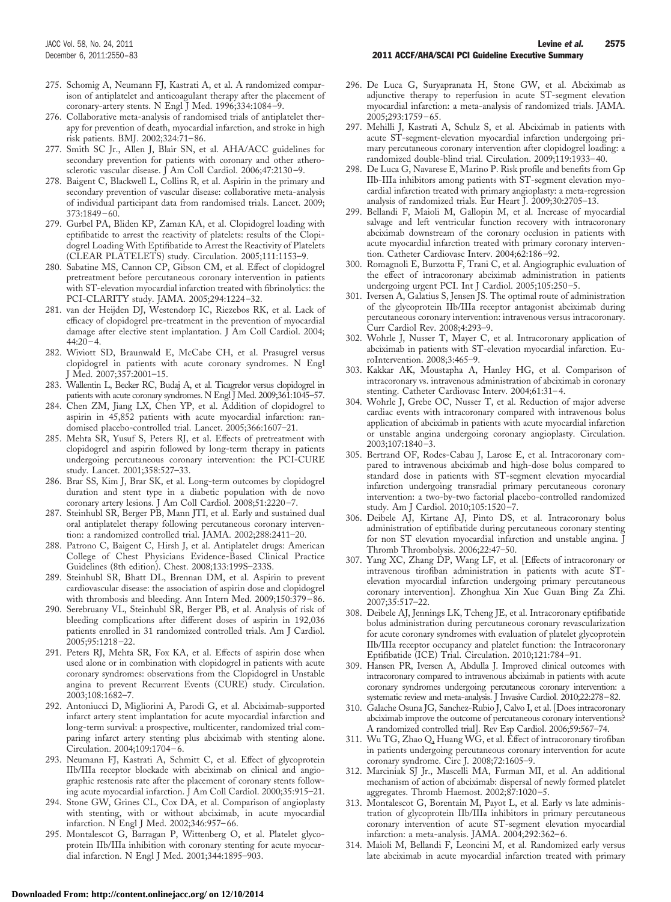- <span id="page-25-0"></span>275. Schomig A, Neumann FJ, Kastrati A, et al. A randomized comparison of antiplatelet and anticoagulant therapy after the placement of coronary-artery stents. N Engl J Med. 1996;334:1084–9.
- 276. Collaborative meta-analysis of randomised trials of antiplatelet therapy for prevention of death, myocardial infarction, and stroke in high risk patients. BMJ. 2002;324:71–86.
- 277. Smith SC Jr., Allen J, Blair SN, et al. AHA/ACC guidelines for secondary prevention for patients with coronary and other atherosclerotic vascular disease. J Am Coll Cardiol. 2006;47:2130–9.
- 278. Baigent C, Blackwell L, Collins R, et al. Aspirin in the primary and secondary prevention of vascular disease: collaborative meta-analysis of individual participant data from randomised trials. Lancet. 2009; 373:1849–60.
- <span id="page-25-1"></span>279. Gurbel PA, Bliden KP, Zaman KA, et al. Clopidogrel loading with eptifibatide to arrest the reactivity of platelets: results of the Clopidogrel Loading With Eptifibatide to Arrest the Reactivity of Platelets (CLEAR PLATELETS) study. Circulation. 2005;111:1153–9.
- <span id="page-25-4"></span>280. Sabatine MS, Cannon CP, Gibson CM, et al. Effect of clopidogrel pretreatment before percutaneous coronary intervention in patients with ST-elevation myocardial infarction treated with fibrinolytics: the PCI-CLARITY study. JAMA. 2005;294:1224–32.
- 281. van der Heijden DJ, Westendorp IC, Riezebos RK, et al. Lack of efficacy of clopidogrel pre-treatment in the prevention of myocardial damage after elective stent implantation. J Am Coll Cardiol. 2004;  $44:20-4.$
- <span id="page-25-2"></span>282. Wiviott SD, Braunwald E, McCabe CH, et al. Prasugrel versus clopidogrel in patients with acute coronary syndromes. N Engl J Med. 2007;357:2001–15.
- <span id="page-25-3"></span>283. Wallentin L, Becker RC, Budaj A, et al. Ticagrelor versus clopidogrel in patients with acute coronary syndromes. N Engl J Med. 2009;361:1045–57.
- 284. Chen ZM, Jiang LX, Chen YP, et al. Addition of clopidogrel to aspirin in 45,852 patients with acute myocardial infarction: randomised placebo-controlled trial. Lancet. 2005;366:1607–21.
- <span id="page-25-5"></span>285. Mehta SR, Yusuf S, Peters RJ, et al. Effects of pretreatment with clopidogrel and aspirin followed by long-term therapy in patients undergoing percutaneous coronary intervention: the PCI-CURE study. Lancet. 2001;358:527–33.
- 286. Brar SS, Kim J, Brar SK, et al. Long-term outcomes by clopidogrel duration and stent type in a diabetic population with de novo coronary artery lesions. J Am Coll Cardiol. 2008;51:2220–7.
- <span id="page-25-9"></span>287. Steinhubl SR, Berger PB, Mann JTI, et al. Early and sustained dual oral antiplatelet therapy following percutaneous coronary intervention: a randomized controlled trial. JAMA. 2002;288:2411–20.
- 288. Patrono C, Baigent C, Hirsh J, et al. Antiplatelet drugs: American College of Chest Physicians Evidence-Based Clinical Practice Guidelines (8th edition). Chest. 2008;133:199S–233S.
- 289. Steinhubl SR, Bhatt DL, Brennan DM, et al. Aspirin to prevent cardiovascular disease: the association of aspirin dose and clopidogrel with thrombosis and bleeding. Ann Intern Med. 2009;150:379–86.
- 290. Serebruany VL, Steinhubl SR, Berger PB, et al. Analysis of risk of bleeding complications after different doses of aspirin in 192,036 patients enrolled in 31 randomized controlled trials. Am J Cardiol. 2005;95:1218–22.
- 291. Peters RJ, Mehta SR, Fox KA, et al. Effects of aspirin dose when used alone or in combination with clopidogrel in patients with acute coronary syndromes: observations from the Clopidogrel in Unstable angina to prevent Recurrent Events (CURE) study. Circulation. 2003;108:1682–7.
- <span id="page-25-6"></span>292. Antoniucci D, Migliorini A, Parodi G, et al. Abciximab-supported infarct artery stent implantation for acute myocardial infarction and long-term survival: a prospective, multicenter, randomized trial comparing infarct artery stenting plus abciximab with stenting alone. Circulation. 2004;109:1704–6.
- 293. Neumann FJ, Kastrati A, Schmitt C, et al. Effect of glycoprotein IIb/IIIa receptor blockade with abciximab on clinical and angiographic restenosis rate after the placement of coronary stents following acute myocardial infarction. J Am Coll Cardiol. 2000;35:915–21.
- 294. Stone GW, Grines CL, Cox DA, et al. Comparison of angioplasty with stenting, with or without abciximab, in acute myocardial infarction. N Engl J Med. 2002;346:957–66.
- 295. Montalescot G, Barragan P, Wittenberg O, et al. Platelet glycoprotein IIb/IIIa inhibition with coronary stenting for acute myocardial infarction. N Engl J Med. 2001;344:1895–903.
- 296. De Luca G, Suryapranata H, Stone GW, et al. Abciximab as adjunctive therapy to reperfusion in acute ST-segment elevation myocardial infarction: a meta-analysis of randomized trials. JAMA. 2005;293:1759–65.
- <span id="page-25-7"></span>297. Mehilli J, Kastrati A, Schulz S, et al. Abciximab in patients with acute ST-segment-elevation myocardial infarction undergoing primary percutaneous coronary intervention after clopidogrel loading: a randomized double-blind trial. Circulation. 2009;119:1933–40.
- 298. De Luca G, Navarese E, Marino P. Risk profile and benefits from Gp IIb-IIIa inhibitors among patients with ST-segment elevation myocardial infarction treated with primary angioplasty: a meta-regression analysis of randomized trials. Eur Heart J. 2009;30:2705–13.
- 299. Bellandi F, Maioli M, Gallopin M, et al. Increase of myocardial salvage and left ventricular function recovery with intracoronary abciximab downstream of the coronary occlusion in patients with acute myocardial infarction treated with primary coronary intervention. Catheter Cardiovasc Interv. 2004;62:186–92.
- 300. Romagnoli E, Burzotta F, Trani C, et al. Angiographic evaluation of the effect of intracoronary abciximab administration in patients undergoing urgent PCI. Int J Cardiol. 2005;105:250-5.
- 301. Iversen A, Galatius S, Jensen JS. The optimal route of administration of the glycoprotein IIb/IIIa receptor antagonist abciximab during percutaneous coronary intervention: intravenous versus intracoronary. Curr Cardiol Rev. 2008;4:293–9.
- 302. Wohrle J, Nusser T, Mayer C, et al. Intracoronary application of abciximab in patients with ST-elevation myocardial infarction. EuroIntervention. 2008;3:465–9.
- 303. Kakkar AK, Moustapha A, Hanley HG, et al. Comparison of intracoronary vs. intravenous administration of abciximab in coronary stenting. Catheter Cardiovasc Interv. 2004;61:31–4.
- 304. Wohrle J, Grebe OC, Nusser T, et al. Reduction of major adverse cardiac events with intracoronary compared with intravenous bolus application of abciximab in patients with acute myocardial infarction or unstable angina undergoing coronary angioplasty. Circulation. 2003;107:1840–3.
- 305. Bertrand OF, Rodes-Cabau J, Larose E, et al. Intracoronary compared to intravenous abciximab and high-dose bolus compared to standard dose in patients with ST-segment elevation myocardial infarction undergoing transradial primary percutaneous coronary intervention: a two-by-two factorial placebo-controlled randomized study. Am J Cardiol. 2010;105:1520–7.
- 306. Deibele AJ, Kirtane AJ, Pinto DS, et al. Intracoronary bolus administration of eptifibatide during percutaneous coronary stenting for non ST elevation myocardial infarction and unstable angina. J Thromb Thrombolysis. 2006;22:47–50.
- 307. Yang XC, Zhang DP, Wang LF, et al. [Effects of intracoronary or intravenous tirofiban administration in patients with acute STelevation myocardial infarction undergoing primary percutaneous coronary intervention]. Zhonghua Xin Xue Guan Bing Za Zhi. 2007;35:517–22.
- 308. Deibele AJ, Jennings LK, Tcheng JE, et al. Intracoronary eptifibatide bolus administration during percutaneous coronary revascularization for acute coronary syndromes with evaluation of platelet glycoprotein IIb/IIIa receptor occupancy and platelet function: the Intracoronary Eptifibatide (ICE) Trial. Circulation. 2010;121:784–91.
- 309. Hansen PR, Iversen A, Abdulla J. Improved clinical outcomes with intracoronary compared to intravenous abciximab in patients with acute coronary syndromes undergoing percutaneous coronary intervention: a systematic review and meta-analysis. J Invasive Cardiol. 2010;22:278–82.
- 310. Galache Osuna JG, Sanchez-Rubio J, Calvo I, et al. [Does intracoronary abciximab improve the outcome of percutaneous coronary interventions? A randomized controlled trial]. Rev Esp Cardiol. 2006;59:567–74.
- 311. Wu TG, Zhao Q, Huang WG, et al. Effect of intracoronary tirofiban in patients undergoing percutaneous coronary intervention for acute coronary syndrome. Circ J. 2008;72:1605–9.
- <span id="page-25-8"></span>312. Marciniak SJ Jr., Mascelli MA, Furman MI, et al. An additional mechanism of action of abciximab: dispersal of newly formed platelet aggregates. Thromb Haemost. 2002;87:1020–5.
- 313. Montalescot G, Borentain M, Payot L, et al. Early vs late administration of glycoprotein IIb/IIIa inhibitors in primary percutaneous coronary intervention of acute ST-segment elevation myocardial infarction: a meta-analysis. JAMA. 2004;292:362–6.
- 314. Maioli M, Bellandi F, Leoncini M, et al. Randomized early versus late abciximab in acute myocardial infarction treated with primary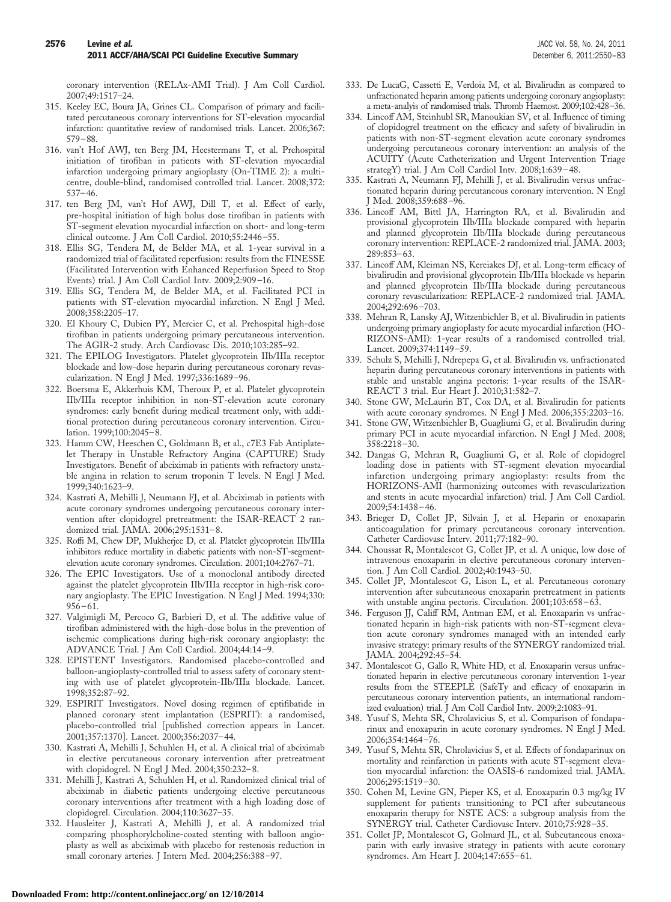coronary intervention (RELAx-AMI Trial). J Am Coll Cardiol. 2007;49:1517–24.

- 315. Keeley EC, Boura JA, Grines CL. Comparison of primary and facilitated percutaneous coronary interventions for ST-elevation myocardial infarction: quantitative review of randomised trials. Lancet. 2006;367: 579–88.
- 316. van't Hof AWJ, ten Berg JM, Heestermans T, et al. Prehospital initiation of tirofiban in patients with ST-elevation myocardial infarction undergoing primary angioplasty (On-TIME 2): a multicentre, double-blind, randomised controlled trial. Lancet. 2008;372: 537–46.
- 317. ten Berg JM, van't Hof AWJ, Dill T, et al. Effect of early, pre-hospital initiation of high bolus dose tirofiban in patients with ST-segment elevation myocardial infarction on short- and long-term clinical outcome. J Am Coll Cardiol. 2010;55:2446–55.
- 318. Ellis SG, Tendera M, de Belder MA, et al. 1-year survival in a randomized trial of facilitated reperfusion: results from the FINESSE (Facilitated Intervention with Enhanced Reperfusion Speed to Stop Events) trial. J Am Coll Cardiol Intv. 2009;2:909–16.
- 319. Ellis SG, Tendera M, de Belder MA, et al. Facilitated PCI in patients with ST-elevation myocardial infarction. N Engl J Med. 2008;358:2205–17.
- 320. El Khoury C, Dubien PY, Mercier C, et al. Prehospital high-dose tirofiban in patients undergoing primary percutaneous intervention. The AGIR-2 study. Arch Cardiovasc Dis. 2010;103:285–92.
- <span id="page-26-0"></span>321. The EPILOG Investigators. Platelet glycoprotein IIb/IIIa receptor blockade and low-dose heparin during percutaneous coronary revascularization. N Engl J Med. 1997;336:1689–96.
- 322. Boersma E, Akkerhuis KM, Theroux P, et al. Platelet glycoprotein IIb/IIIa receptor inhibition in non-ST-elevation acute coronary syndromes: early benefit during medical treatment only, with additional protection during percutaneous coronary intervention. Circulation. 1999;100:2045–8.
- 323. Hamm CW, Heeschen C, Goldmann B, et al., c7E3 Fab Antiplatelet Therapy in Unstable Refractory Angina (CAPTURE) Study Investigators. Benefit of abciximab in patients with refractory unstable angina in relation to serum troponin T levels. N Engl J Med. 1999;340:1623–9.
- <span id="page-26-1"></span>324. Kastrati A, Mehilli J, Neumann FJ, et al. Abciximab in patients with acute coronary syndromes undergoing percutaneous coronary intervention after clopidogrel pretreatment: the ISAR-REACT 2 randomized trial. JAMA. 2006;295:1531–8.
- 325. Roffi M, Chew DP, Mukherjee D, et al. Platelet glycoprotein IIb/IIIa inhibitors reduce mortality in diabetic patients with non-ST-segmentelevation acute coronary syndromes. Circulation. 2001;104:2767–71.
- 326. The EPIC Investigators. Use of a monoclonal antibody directed against the platelet glycoprotein IIb/IIIa receptor in high-risk coronary angioplasty. The EPIC Investigation. N Engl J Med. 1994;330: 956–61.
- <span id="page-26-2"></span>327. Valgimigli M, Percoco G, Barbieri D, et al. The additive value of tirofiban administered with the high-dose bolus in the prevention of ischemic complications during high-risk coronary angioplasty: the ADVANCE Trial. J Am Coll Cardiol. 2004;44:14–9.
- 328. EPISTENT Investigators. Randomised placebo-controlled and balloon-angioplasty-controlled trial to assess safety of coronary stenting with use of platelet glycoprotein-IIb/IIIa blockade. Lancet. 1998;352:87–92.
- 329. ESPIRIT Investigators. Novel dosing regimen of eptifibatide in planned coronary stent implantation (ESPRIT): a randomised, placebo-controlled trial [published correction appears in Lancet. 2001;357:1370]. Lancet. 2000;356:2037–44.
- 330. Kastrati A, Mehilli J, Schuhlen H, et al. A clinical trial of abciximab in elective percutaneous coronary intervention after pretreatment with clopidogrel. N Engl J Med. 2004;350:232–8.
- 331. Mehilli J, Kastrati A, Schuhlen H, et al. Randomized clinical trial of abciximab in diabetic patients undergoing elective percutaneous coronary interventions after treatment with a high loading dose of clopidogrel. Circulation. 2004;110:3627–35.
- 332. Hausleiter J, Kastrati A, Mehilli J, et al. A randomized trial comparing phosphorylcholine-coated stenting with balloon angioplasty as well as abciximab with placebo for restenosis reduction in small coronary arteries. J Intern Med. 2004;256:388–97.
- <span id="page-26-3"></span>333. De LucaG, Cassetti E, Verdoia M, et al. Bivalirudin as compared to unfractionated heparin among patients undergoing coronary angioplasty: a meta-analyis of randomised trials. Thromb Haemost. 2009;102:428–36.
- 334. Lincoff AM, Steinhubl SR, Manoukian SV, et al. Influence of timing of clopidogrel treatment on the efficacy and safety of bivalirudin in patients with non-ST-segment elevation acute coronary syndromes undergoing percutaneous coronary intervention: an analysis of the ACUITY (Acute Catheterization and Urgent Intervention Triage strategY) trial. J Am Coll Cardiol Intv. 2008;1:639–48.
- 335. Kastrati A, Neumann FJ, Mehilli J, et al. Bivalirudin versus unfractionated heparin during percutaneous coronary intervention. N Engl J Med. 2008;359:688–96.
- 336. Lincoff AM, Bittl JA, Harrington RA, et al. Bivalirudin and provisional glycoprotein IIb/IIIa blockade compared with heparin and planned glycoprotein IIb/IIIa blockade during percutaneous coronary intervention: REPLACE-2 randomized trial. JAMA. 2003; 289:853–63.
- 337. Lincoff AM, Kleiman NS, Kereiakes DJ, et al. Long-term efficacy of bivalirudin and provisional glycoprotein IIb/IIIa blockade vs heparin and planned glycoprotein IIb/IIIa blockade during percutaneous coronary revascularization: REPLACE-2 randomized trial. JAMA. 2004;292:696–703.
- 338. Mehran R, Lansky AJ, Witzenbichler B, et al. Bivalirudin in patients undergoing primary angioplasty for acute myocardial infarction (HO-RIZONS-AMI): 1-year results of a randomised controlled trial. Lancet. 2009;374:1149–59.
- 339. Schulz S, Mehilli J, Ndrepepa G, et al. Bivalirudin vs. unfractionated heparin during percutaneous coronary interventions in patients with stable and unstable angina pectoris: 1-year results of the ISAR-REACT 3 trial. Eur Heart J. 2010;31:582–7.
- 340. Stone GW, McLaurin BT, Cox DA, et al. Bivalirudin for patients with acute coronary syndromes. N Engl J Med. 2006;355:2203–16.
- 341. Stone GW, Witzenbichler B, Guagliumi G, et al. Bivalirudin during primary PCI in acute myocardial infarction. N Engl J Med. 2008; 358:2218–30.
- 342. Dangas G, Mehran R, Guagliumi G, et al. Role of clopidogrel loading dose in patients with ST-segment elevation myocardial infarction undergoing primary angioplasty: results from the HORIZONS-AMI (harmonizing outcomes with revascularization and stents in acute myocardial infarction) trial. J Am Coll Cardiol. 2009;54:1438–46.
- <span id="page-26-4"></span>343. Brieger D, Collet JP, Silvain J, et al. Heparin or enoxaparin anticoagulation for primary percutaneous coronary intervention. Catheter Cardiovasc Interv. 2011;77:182–90.
- 344. Choussat R, Montalescot G, Collet JP, et al. A unique, low dose of intravenous enoxaparin in elective percutaneous coronary intervention. J Am Coll Cardiol. 2002;40:1943–50.
- 345. Collet JP, Montalescot G, Lison L, et al. Percutaneous coronary intervention after subcutaneous enoxaparin pretreatment in patients with unstable angina pectoris. Circulation. 2001;103:658–63.
- <span id="page-26-6"></span>346. Ferguson JJ, Califf RM, Antman EM, et al. Enoxaparin vs unfractionated heparin in high-risk patients with non-ST-segment elevation acute coronary syndromes managed with an intended early invasive strategy: primary results of the SYNERGY randomized trial. JAMA. 2004;292:45–54.
- 347. Montalescot G, Gallo R, White HD, et al. Enoxaparin versus unfractionated heparin in elective percutaneous coronary intervention 1-year results from the STEEPLE (SafeTy and efficacy of enoxaparin in percutaneous coronary intervention patients, an international randomized evaluation) trial. J Am Coll Cardiol Intv. 2009;2:1083–91.
- <span id="page-26-5"></span>348. Yusuf S, Mehta SR, Chrolavicius S, et al. Comparison of fondaparinux and enoxaparin in acute coronary syndromes. N Engl J Med. 2006;354:1464–76.
- 349. Yusuf S, Mehta SR, Chrolavicius S, et al. Effects of fondaparinux on mortality and reinfarction in patients with acute ST-segment elevation myocardial infarction: the OASIS-6 randomized trial. JAMA. 2006;295:1519–30.
- 350. Cohen M, Levine GN, Pieper KS, et al. Enoxaparin 0.3 mg/kg IV supplement for patients transitioning to PCI after subcutaneous enoxaparin therapy for NSTE ACS: a subgroup analysis from the SYNERGY trial. Catheter Cardiovasc Interv. 2010;75:928–35.
- 351. Collet JP, Montalescot G, Golmard JL, et al. Subcutaneous enoxaparin with early invasive strategy in patients with acute coronary syndromes. Am Heart J. 2004;147:655–61.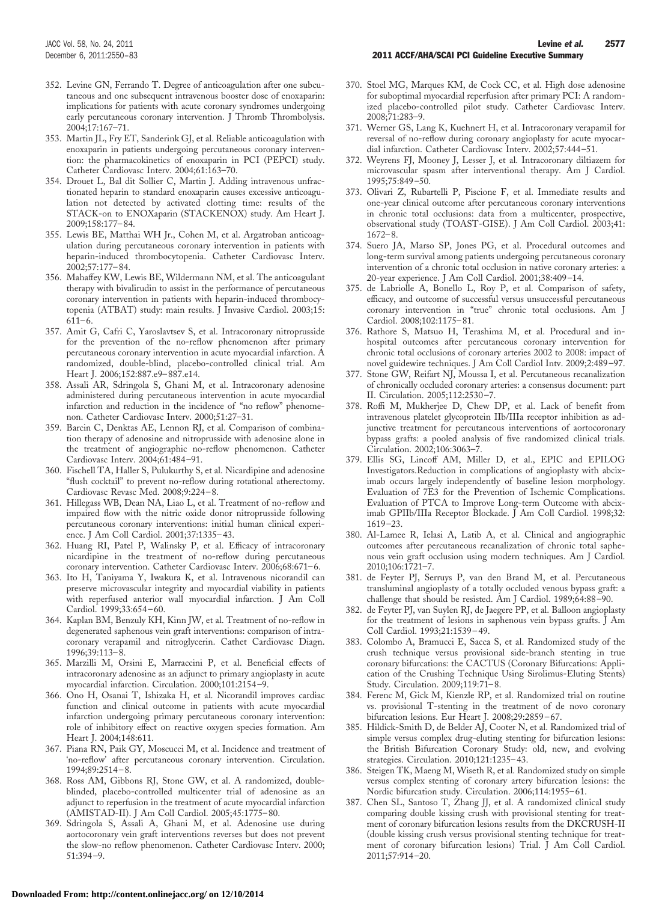- 352. Levine GN, Ferrando T. Degree of anticoagulation after one subcutaneous and one subsequent intravenous booster dose of enoxaparin: implications for patients with acute coronary syndromes undergoing early percutaneous coronary intervention. J Thromb Thrombolysis. 2004;17:167–71.
- 353. Martin JL, Fry ET, Sanderink GJ, et al. Reliable anticoagulation with enoxaparin in patients undergoing percutaneous coronary intervention: the pharmacokinetics of enoxaparin in PCI (PEPCI) study. Catheter Cardiovasc Interv. 2004;61:163–70.
- 354. Drouet L, Bal dit Sollier C, Martin J. Adding intravenous unfractionated heparin to standard enoxaparin causes excessive anticoagulation not detected by activated clotting time: results of the STACK-on to ENOXaparin (STACKENOX) study. Am Heart J. 2009;158:177–84.
- <span id="page-27-0"></span>355. Lewis BE, Matthai WH Jr., Cohen M, et al. Argatroban anticoagulation during percutaneous coronary intervention in patients with heparin-induced thrombocytopenia. Catheter Cardiovasc Interv. 2002;57:177–84.
- 356. Mahaffey KW, Lewis BE, Wildermann NM, et al. The anticoagulant therapy with bivalirudin to assist in the performance of percutaneous coronary intervention in patients with heparin-induced thrombocytopenia (ATBAT) study: main results. J Invasive Cardiol. 2003;15: 611–6.
- <span id="page-27-1"></span>357. Amit G, Cafri C, Yaroslavtsev S, et al. Intracoronary nitroprusside for the prevention of the no-reflow phenomenon after primary percutaneous coronary intervention in acute myocardial infarction. A randomized, double-blind, placebo-controlled clinical trial. Am Heart J. 2006;152:887.e9–887.e14.
- 358. Assali AR, Sdringola S, Ghani M, et al. Intracoronary adenosine administered during percutaneous intervention in acute myocardial infarction and reduction in the incidence of "no reflow" phenomenon. Catheter Cardiovasc Interv. 2000;51:27–31.
- 359. Barcin C, Denktas AE, Lennon RJ, et al. Comparison of combination therapy of adenosine and nitroprusside with adenosine alone in the treatment of angiographic no-reflow phenomenon. Catheter Cardiovasc Interv. 2004;61:484–91.
- 360. Fischell TA, Haller S, Pulukurthy S, et al. Nicardipine and adenosine "flush cocktail" to prevent no-reflow during rotational atherectomy. Cardiovasc Revasc Med. 2008;9:224–8.
- 361. Hillegass WB, Dean NA, Liao L, et al. Treatment of no-reflow and impaired flow with the nitric oxide donor nitroprusside following percutaneous coronary interventions: initial human clinical experience. J Am Coll Cardiol. 2001;37:1335–43.
- 362. Huang RI, Patel P, Walinsky P, et al. Efficacy of intracoronary nicardipine in the treatment of no-reflow during percutaneous coronary intervention. Catheter Cardiovasc Interv. 2006;68:671–6.
- 363. Ito H, Taniyama Y, Iwakura K, et al. Intravenous nicorandil can preserve microvascular integrity and myocardial viability in patients with reperfused anterior wall myocardial infarction. J Am Coll Cardiol. 1999;33:654–60.
- 364. Kaplan BM, Benzuly KH, Kinn JW, et al. Treatment of no-reflow in degenerated saphenous vein graft interventions: comparison of intracoronary verapamil and nitroglycerin. Cathet Cardiovasc Diagn. 1996;39:113–8.
- 365. Marzilli M, Orsini E, Marraccini P, et al. Beneficial effects of intracoronary adenosine as an adjunct to primary angioplasty in acute myocardial infarction. Circulation. 2000;101:2154–9.
- 366. Ono H, Osanai T, Ishizaka H, et al. Nicorandil improves cardiac function and clinical outcome in patients with acute myocardial infarction undergoing primary percutaneous coronary intervention: role of inhibitory effect on reactive oxygen species formation. Am Heart J. 2004;148:611.
- 367. Piana RN, Paik GY, Moscucci M, et al. Incidence and treatment of 'no-reflow' after percutaneous coronary intervention. Circulation. 1994;89:2514–8.
- 368. Ross AM, Gibbons RJ, Stone GW, et al. A randomized, doubleblinded, placebo-controlled multicenter trial of adenosine as an adjunct to reperfusion in the treatment of acute myocardial infarction (AMISTAD-II). J Am Coll Cardiol. 2005;45:1775–80.
- 369. Sdringola S, Assali A, Ghani M, et al. Adenosine use during aortocoronary vein graft interventions reverses but does not prevent the slow-no reflow phenomenon. Catheter Cardiovasc Interv. 2000; 51:394–9.
- 370. Stoel MG, Marques KM, de Cock CC, et al. High dose adenosine for suboptimal myocardial reperfusion after primary PCI: A randomized placebo-controlled pilot study. Catheter Cardiovasc Interv. 2008;71:283–9.
- 371. Werner GS, Lang K, Kuehnert H, et al. Intracoronary verapamil for reversal of no-reflow during coronary angioplasty for acute myocardial infarction. Catheter Cardiovasc Interv. 2002;57:444–51.
- 372. Weyrens FJ, Mooney J, Lesser J, et al. Intracoronary diltiazem for microvascular spasm after interventional therapy. Am J Cardiol. 1995;75:849–50.
- <span id="page-27-2"></span>373. Olivari Z, Rubartelli P, Piscione F, et al. Immediate results and one-year clinical outcome after percutaneous coronary interventions in chronic total occlusions: data from a multicenter, prospective, observational study (TOAST-GISE). J Am Coll Cardiol. 2003;41: 1672–8.
- 374. Suero JA, Marso SP, Jones PG, et al. Procedural outcomes and long-term survival among patients undergoing percutaneous coronary intervention of a chronic total occlusion in native coronary arteries: a 20-year experience. J Am Coll Cardiol. 2001;38:409–14.
- 375. de Labriolle A, Bonello L, Roy P, et al. Comparison of safety, efficacy, and outcome of successful versus unsuccessful percutaneous coronary intervention in "true" chronic total occlusions. Am J Cardiol. 2008;102:1175–81.
- 376. Rathore S, Matsuo H, Terashima M, et al. Procedural and inhospital outcomes after percutaneous coronary intervention for chronic total occlusions of coronary arteries 2002 to 2008: impact of novel guidewire techniques. J Am Coll Cardiol Intv. 2009;2:489–97.
- 377. Stone GW, Reifart NJ, Moussa I, et al. Percutaneous recanalization of chronically occluded coronary arteries: a consensus document: part II. Circulation. 2005;112:2530–7.
- 378. Roffi M, Mukherjee D, Chew DP, et al. Lack of benefit from intravenous platelet glycoprotein IIb/IIIa receptor inhibition as adjunctive treatment for percutaneous interventions of aortocoronary bypass grafts: a pooled analysis of five randomized clinical trials. Circulation. 2002;106:3063–7.
- 379. Ellis SG, Lincoff AM, Miller D, et al., EPIC and EPILOG Investigators.Reduction in complications of angioplasty with abciximab occurs largely independently of baseline lesion morphology. Evaluation of 7E3 for the Prevention of Ischemic Complications. Evaluation of PTCA to Improve Long-term Outcome with abciximab GPIIb/IIIa Receptor Blockade. J Am Coll Cardiol. 1998;32: 1619–23.
- <span id="page-27-3"></span>380. Al-Lamee R, Ielasi A, Latib A, et al. Clinical and angiographic outcomes after percutaneous recanalization of chronic total saphenous vein graft occlusion using modern techniques. Am J Cardiol. 2010;106:1721–7.
- 381. de Feyter PJ, Serruys P, van den Brand M, et al. Percutaneous transluminal angioplasty of a totally occluded venous bypass graft: a challenge that should be resisted. Am J Cardiol. 1989;64:88–90.
- <span id="page-27-4"></span>382. de Feyter PJ, van Suylen RJ, de Jaegere PP, et al. Balloon angioplasty for the treatment of lesions in saphenous vein bypass grafts. J Am Coll Cardiol. 1993;21:1539–49.
- 383. Colombo A, Bramucci E, Sacca S, et al. Randomized study of the crush technique versus provisional side-branch stenting in true coronary bifurcations: the CACTUS (Coronary Bifurcations: Application of the Crushing Technique Using Sirolimus-Eluting Stents) Study. Circulation. 2009;119:71–8.
- 384. Ferenc M, Gick M, Kienzle RP, et al. Randomized trial on routine vs. provisional T-stenting in the treatment of de novo coronary bifurcation lesions. Eur Heart J. 2008;29:2859–67.
- 385. Hildick-Smith D, de Belder AJ, Cooter N, et al. Randomized trial of simple versus complex drug-eluting stenting for bifurcation lesions: the British Bifurcation Coronary Study: old, new, and evolving strategies. Circulation. 2010;121:1235–43.
- <span id="page-27-5"></span>386. Steigen TK, Maeng M, Wiseth R, et al. Randomized study on simple versus complex stenting of coronary artery bifurcation lesions: the Nordic bifurcation study. Circulation. 2006;114:1955–61.
- 387. Chen SL, Santoso T, Zhang JJ, et al. A randomized clinical study comparing double kissing crush with provisional stenting for treatment of coronary bifurcation lesions results from the DKCRUSH-II (double kissing crush versus provisional stenting technique for treatment of coronary bifurcation lesions) Trial. J Am Coll Cardiol. 2011;57:914–20.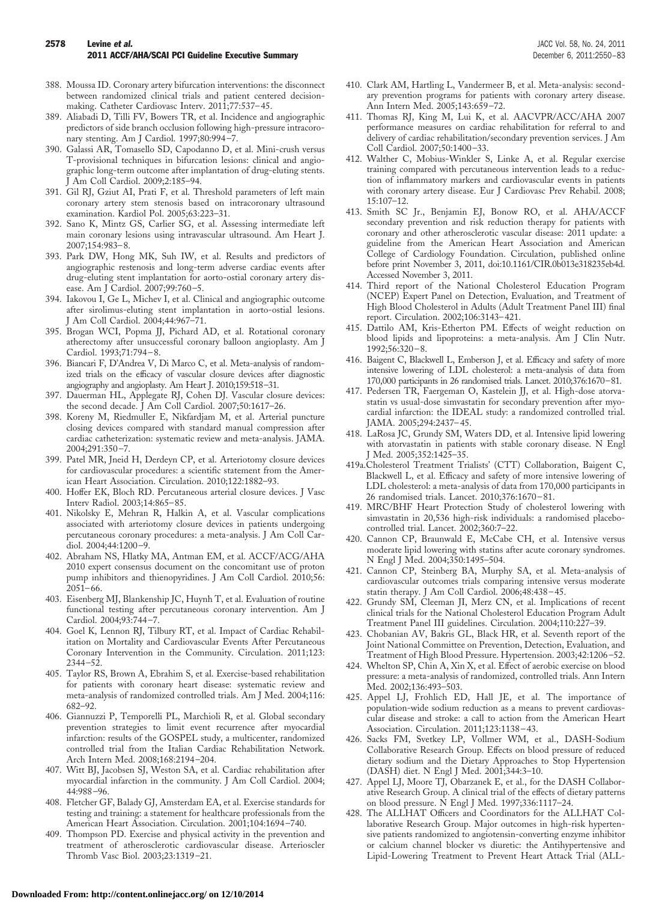### **2578 Levine et al.**  $\blacksquare$ **2011 ACCF/AHA/SCAI PCI Guideline Executive Summary December 6, 2011:2550-83** December 6, 2011:2550-83

- 388. Moussa ID. Coronary artery bifurcation interventions: the disconnect between randomized clinical trials and patient centered decisionmaking. Catheter Cardiovasc Interv. 2011;77:537–45.
- 389. Aliabadi D, Tilli FV, Bowers TR, et al. Incidence and angiographic predictors of side branch occlusion following high-pressure intracoronary stenting. Am J Cardiol. 1997;80:994–7.
- 390. Galassi AR, Tomasello SD, Capodanno D, et al. Mini-crush versus T-provisional techniques in bifurcation lesions: clinical and angiographic long-term outcome after implantation of drug-eluting stents. J Am Coll Cardiol. 2009;2:185–94.
- <span id="page-28-0"></span>391. Gil RJ, Gziut AI, Prati F, et al. Threshold parameters of left main coronary artery stem stenosis based on intracoronary ultrasound examination. Kardiol Pol. 2005;63:223–31.
- 392. Sano K, Mintz GS, Carlier SG, et al. Assessing intermediate left main coronary lesions using intravascular ultrasound. Am Heart J. 2007;154:983–8.
- <span id="page-28-1"></span>393. Park DW, Hong MK, Suh IW, et al. Results and predictors of angiographic restenosis and long-term adverse cardiac events after drug-eluting stent implantation for aorto-ostial coronary artery disease. Am J Cardiol. 2007;99:760–5.
- 394. Iakovou I, Ge L, Michev I, et al. Clinical and angiographic outcome after sirolimus-eluting stent implantation in aorto-ostial lesions. J Am Coll Cardiol. 2004;44:967–71.
- 395. Brogan WCI, Popma JJ, Pichard AD, et al. Rotational coronary atherectomy after unsuccessful coronary balloon angioplasty. Am J Cardiol. 1993;71:794–8.
- <span id="page-28-2"></span>396. Biancari F, D'Andrea V, Di Marco C, et al. Meta-analysis of randomized trials on the efficacy of vascular closure devices after diagnostic angiography and angioplasty. Am Heart J. 2010;159:518–31.
- 397. Dauerman HL, Applegate RJ, Cohen DJ. Vascular closure devices: the second decade. J Am Coll Cardiol. 2007;50:1617-26.
- 398. Koreny M, Riedmuller E, Nikfardjam M, et al. Arterial puncture closing devices compared with standard manual compression after cardiac catheterization: systematic review and meta-analysis. JAMA. 2004;291:350–7.
- 399. Patel MR, Jneid H, Derdeyn CP, et al. Arteriotomy closure devices for cardiovascular procedures: a scientific statement from the American Heart Association. Circulation. 2010;122:1882–93.
- 400. Hoffer EK, Bloch RD. Percutaneous arterial closure devices. J Vasc Interv Radiol. 2003;14:865–85.
- 401. Nikolsky E, Mehran R, Halkin A, et al. Vascular complications associated with arteriotomy closure devices in patients undergoing percutaneous coronary procedures: a meta-analysis. J Am Coll Cardiol. 2004;44:1200–9.
- <span id="page-28-3"></span>402. Abraham NS, Hlatky MA, Antman EM, et al. ACCF/ACG/AHA 2010 expert consensus document on the concomitant use of proton pump inhibitors and thienopyridines. J Am Coll Cardiol. 2010;56: 2051–66.
- <span id="page-28-5"></span><span id="page-28-4"></span>403. Eisenberg MJ, Blankenship JC, Huynh T, et al. Evaluation of routine functional testing after percutaneous coronary intervention. Am J Cardiol. 2004;93:744–7.
- 404. Goel K, Lennon RJ, Tilbury RT, et al. Impact of Cardiac Rehabilitation on Mortality and Cardiovascular Events After Percutaneous Coronary Intervention in the Community. Circulation. 2011;123: 2344–52.
- 405. Taylor RS, Brown A, Ebrahim S, et al. Exercise-based rehabilitation for patients with coronary heart disease: systematic review and meta-analysis of randomized controlled trials. Am J Med. 2004;116: 682–92.
- 406. Giannuzzi P, Temporelli PL, Marchioli R, et al. Global secondary prevention strategies to limit event recurrence after myocardial infarction: results of the GOSPEL study, a multicenter, randomized controlled trial from the Italian Cardiac Rehabilitation Network. Arch Intern Med. 2008;168:2194–204.
- 407. Witt BJ, Jacobsen SJ, Weston SA, et al. Cardiac rehabilitation after myocardial infarction in the community. J Am Coll Cardiol. 2004; 44:988–96.
- 408. Fletcher GF, Balady GJ, Amsterdam EA, et al. Exercise standards for testing and training: a statement for healthcare professionals from the American Heart Association. Circulation. 2001;104:1694–740.
- 409. Thompson PD. Exercise and physical activity in the prevention and treatment of atherosclerotic cardiovascular disease. Arterioscler Thromb Vasc Biol. 2003;23:1319–21.
- 410. Clark AM, Hartling L, Vandermeer B, et al. Meta-analysis: secondary prevention programs for patients with coronary artery disease. Ann Intern Med. 2005;143:659–72.
- 411. Thomas RJ, King M, Lui K, et al. AACVPR/ACC/AHA 2007 performance measures on cardiac rehabilitation for referral to and delivery of cardiac rehabilitation/secondary prevention services. J Am Coll Cardiol. 2007;50:1400–33.
- 412. Walther C, Mobius-Winkler S, Linke A, et al. Regular exercise training compared with percutaneous intervention leads to a reduction of inflammatory markers and cardiovascular events in patients with coronary artery disease. Eur J Cardiovasc Prev Rehabil. 2008; 15:107–12.
- <span id="page-28-6"></span>413. Smith SC Jr., Benjamin EJ, Bonow RO, et al. AHA/ACCF secondary prevention and risk reduction therapy for patients with coronary and other atherosclerotic vascular disease: 2011 update: a guideline from the American Heart Association and American College of Cardiology Foundation. Circulation, published online before print November 3, 2011, doi:10.1161/CIR.0b013e318235eb4d. Accessed November 3, 2011.
- <span id="page-28-7"></span>414. Third report of the National Cholesterol Education Program (NCEP) Expert Panel on Detection, Evaluation, and Treatment of High Blood Cholesterol in Adults (Adult Treatment Panel III) final report. Circulation. 2002;106:3143–421.
- 415. Dattilo AM, Kris-Etherton PM. Effects of weight reduction on blood lipids and lipoproteins: a meta-analysis. Am J Clin Nutr. 1992;56:320–8.
- <span id="page-28-8"></span>416. Baigent C, Blackwell L, Emberson J, et al. Efficacy and safety of more intensive lowering of LDL cholesterol: a meta-analysis of data from 170,000 participants in 26 randomised trials. Lancet. 2010;376:1670–81.
- 417. Pedersen TR, Faergeman O, Kastelein JJ, et al. High-dose atorvastatin vs usual-dose simvastatin for secondary prevention after myocardial infarction: the IDEAL study: a randomized controlled trial. JAMA. 2005;294:2437–45.
- 418. LaRosa JC, Grundy SM, Waters DD, et al. Intensive lipid lowering with atorvastatin in patients with stable coronary disease. N Engl J Med. 2005;352:1425–35.
- 419a.Cholesterol Treatment Trialists' (CTT) Collaboration, Baigent C, Blackwell L, et al. Efficacy and safety of more intensive lowering of LDL cholesterol: a meta-analysis of data from 170,000 participants in 26 randomised trials. Lancet. 2010;376:1670–81.
- 419. MRC/BHF Heart Protection Study of cholesterol lowering with simvastatin in 20,536 high-risk individuals: a randomised placebocontrolled trial. Lancet. 2002;360:7–22.
- 420. Cannon CP, Braunwald E, McCabe CH, et al. Intensive versus moderate lipid lowering with statins after acute coronary syndromes. N Engl J Med. 2004;350:1495–504.
- 421. Cannon CP, Steinberg BA, Murphy SA, et al. Meta-analysis of cardiovascular outcomes trials comparing intensive versus moderate statin therapy. J Am Coll Cardiol. 2006;48:438–45.
- <span id="page-28-9"></span>422. Grundy SM, Cleeman JI, Merz CN, et al. Implications of recent clinical trials for the National Cholesterol Education Program Adult Treatment Panel III guidelines. Circulation. 2004;110:227–39.
- 423. Chobanian AV, Bakris GL, Black HR, et al. Seventh report of the Joint National Committee on Prevention, Detection, Evaluation, and Treatment of High Blood Pressure. Hypertension. 2003;42:1206–52.
- 424. Whelton SP, Chin A, Xin X, et al. Effect of aerobic exercise on blood pressure: a meta-analysis of randomized, controlled trials. Ann Intern Med. 2002;136:493–503.
- 425. Appel LJ, Frohlich ED, Hall JE, et al. The importance of population-wide sodium reduction as a means to prevent cardiovascular disease and stroke: a call to action from the American Heart Association. Circulation. 2011;123:1138–43.
- 426. Sacks FM, Svetkey LP, Vollmer WM, et al., DASH-Sodium Collaborative Research Group. Effects on blood pressure of reduced dietary sodium and the Dietary Approaches to Stop Hypertension (DASH) diet. N Engl J Med. 2001;344:3–10.
- 427. Appel LJ, Moore TJ, Obarzanek E, et al., for the DASH Collaborative Research Group. A clinical trial of the effects of dietary patterns on blood pressure. N Engl J Med. 1997;336:1117–24.
- 428. The ALLHAT Officers and Coordinators for the ALLHAT Collaborative Research Group. Major outcomes in high-risk hypertensive patients randomized to angiotensin-converting enzyme inhibitor or calcium channel blocker vs diuretic: the Antihypertensive and Lipid-Lowering Treatment to Prevent Heart Attack Trial (ALL-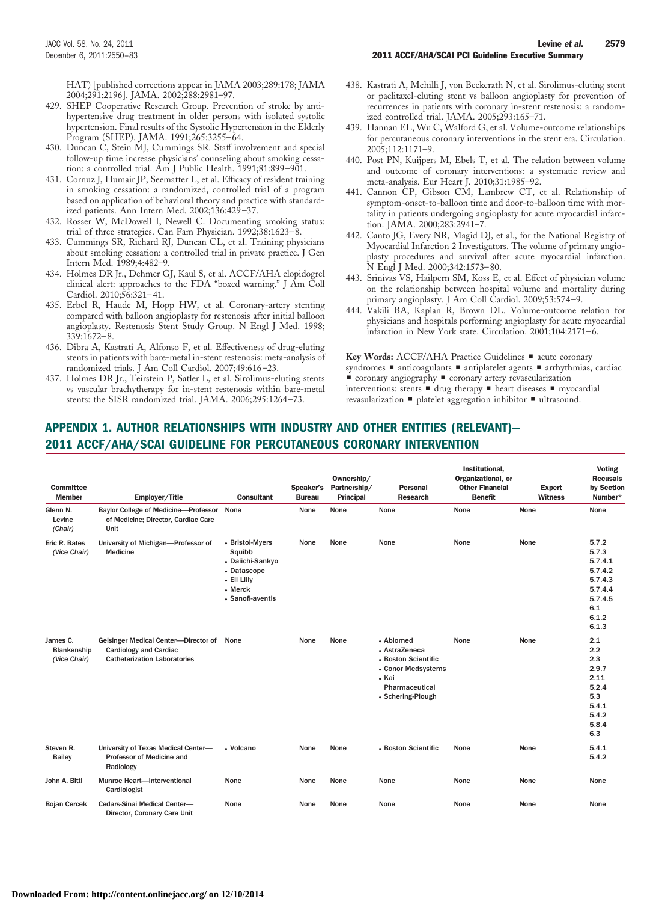HAT) [published corrections appear in JAMA 2003;289:178; JAMA 2004;291:2196]. JAMA. 2002;288:2981–97.

- 429. SHEP Cooperative Research Group. Prevention of stroke by antihypertensive drug treatment in older persons with isolated systolic hypertension. Final results of the Systolic Hypertension in the Elderly Program (SHEP). JAMA. 1991;265:3255–64.
- <span id="page-29-3"></span>430. Duncan C, Stein MJ, Cummings SR. Staff involvement and special follow-up time increase physicians' counseling about smoking cessation: a controlled trial. Am J Public Health. 1991;81:899–901.
- 431. Cornuz J, Humair JP, Seematter L, et al. Efficacy of resident training in smoking cessation: a randomized, controlled trial of a program based on application of behavioral theory and practice with standardized patients. Ann Intern Med. 2002;136:429–37.
- 432. Rosser W, McDowell I, Newell C. Documenting smoking status: trial of three strategies. Can Fam Physician. 1992;38:1623–8.
- 433. Cummings SR, Richard RJ, Duncan CL, et al. Training physicians about smoking cessation: a controlled trial in private practice. J Gen Intern Med. 1989;4:482–9.
- <span id="page-29-0"></span>434. Holmes DR Jr., Dehmer GJ, Kaul S, et al. ACCF/AHA clopidogrel clinical alert: approaches to the FDA "boxed warning." J Am Coll Cardiol. 2010;56:321–41.
- <span id="page-29-1"></span>435. Erbel R, Haude M, Hopp HW, et al. Coronary-artery stenting compared with balloon angioplasty for restenosis after initial balloon angioplasty. Restenosis Stent Study Group. N Engl J Med. 1998; 339:1672–8.
- <span id="page-29-2"></span>436. Dibra A, Kastrati A, Alfonso F, et al. Effectiveness of drug-eluting stents in patients with bare-metal in-stent restenosis: meta-analysis of randomized trials. J Am Coll Cardiol. 2007;49:616–23.
- 437. Holmes DR Jr., Teirstein P, Satler L, et al. Sirolimus-eluting stents vs vascular brachytherapy for in-stent restenosis within bare-metal stents: the SISR randomized trial. JAMA. 2006;295:1264–73.
- 438. Kastrati A, Mehilli J, von Beckerath N, et al. Sirolimus-eluting stent or paclitaxel-eluting stent vs balloon angioplasty for prevention of recurrences in patients with coronary in-stent restenosis: a randomized controlled trial. JAMA. 2005;293:165–71.
- <span id="page-29-4"></span>439. Hannan EL, Wu C, Walford G, et al. Volume-outcome relationships for percutaneous coronary interventions in the stent era. Circulation. 2005;112:1171–9.
- 440. Post PN, Kuijpers M, Ebels T, et al. The relation between volume and outcome of coronary interventions: a systematic review and meta-analysis. Eur Heart J. 2010;31:1985–92.
- 441. Cannon CP, Gibson CM, Lambrew CT, et al. Relationship of symptom-onset-to-balloon time and door-to-balloon time with mortality in patients undergoing angioplasty for acute myocardial infarction. JAMA. 2000;283:2941–7.
- 442. Canto JG, Every NR, Magid DJ, et al., for the National Registry of Myocardial Infarction 2 Investigators. The volume of primary angioplasty procedures and survival after acute myocardial infarction. N Engl J Med. 2000;342:1573–80.
- 443. Srinivas VS, Hailpern SM, Koss E, et al. Effect of physician volume on the relationship between hospital volume and mortality during primary angioplasty. J Am Coll Cardiol. 2009;53:574–9.
- 444. Vakili BA, Kaplan R, Brown DL. Volume-outcome relation for physicians and hospitals performing angioplasty for acute myocardial infarction in New York state. Circulation. 2001;104:2171–6.

Key Words: ACCF/AHA Practice Guidelines  $\blacksquare$  acute coronary syndromes  $\blacksquare$  anticoagulants  $\blacksquare$  antiplatelet agents  $\blacksquare$  arrhythmias, cardiac  $\blacksquare$  coronary angiography  $\blacksquare$  coronary artery revascularization interventions: stents  $\blacksquare$  drug therapy  $\blacksquare$  heart diseases  $\blacksquare$  myocardial revasularization  $\blacksquare$  platelet aggregation inhibitor  $\blacksquare$  ultrasound.

# **APPENDIX 1. AUTHOR RELATIONSHIPS WITH INDUSTRY AND OTHER ENTITIES (RELEVANT)— 2011 ACCF/AHA/SCAI GUIDELINE FOR PERCUTANEOUS CORONARY INTERVENTION**

| <b>Committee</b><br><b>Member</b>       | Employer/Title                                                                                        | <b>Consultant</b>                                                                                          | Speaker's<br><b>Bureau</b> | Ownership/<br>Partnership/<br><b>Principal</b> | Personal<br><b>Research</b>                                                                                             | Institutional,<br>Organizational, or<br><b>Other Financial</b><br><b>Benefit</b> | <b>Expert</b><br><b>Witness</b> | <b>Voting</b><br><b>Recusals</b><br>by Section<br>Number*                                      |
|-----------------------------------------|-------------------------------------------------------------------------------------------------------|------------------------------------------------------------------------------------------------------------|----------------------------|------------------------------------------------|-------------------------------------------------------------------------------------------------------------------------|----------------------------------------------------------------------------------|---------------------------------|------------------------------------------------------------------------------------------------|
| Glenn N.<br>Levine<br>(Chair)           | <b>Baylor College of Medicine-Professor</b><br>of Medicine; Director, Cardiac Care<br>Unit            | None                                                                                                       | None                       | None                                           | None                                                                                                                    | None                                                                             | None                            | None                                                                                           |
| Eric R. Bates<br>(Vice Chair)           | University of Michigan-Professor of<br><b>Medicine</b>                                                | • Bristol-Myers<br>Squibb<br>• Daiichi-Sankyo<br>• Datascope<br>• Eli Lilly<br>• Merck<br>• Sanofi-aventis | None                       | None                                           | None                                                                                                                    | None                                                                             | None                            | 5.7.2<br>5.7.3<br>5.7.4.1<br>5.7.4.2<br>5.7.4.3<br>5.7.4.4<br>5.7.4.5<br>6.1<br>6.1.2<br>6.1.3 |
| James C.<br>Blankenship<br>(Vice Chair) | Geisinger Medical Center-Director of<br>Cardiology and Cardiac<br><b>Catheterization Laboratories</b> | None                                                                                                       | None                       | None                                           | • Abiomed<br>• AstraZeneca<br>• Boston Scientific<br>• Conor Medsystems<br>. Kai<br>Pharmaceutical<br>• Schering-Plough | None                                                                             | None                            | 2.1<br>2.2<br>2.3<br>2.9.7<br>2.11<br>5.2.4<br>5.3<br>5.4.1<br>5.4.2<br>5.8.4<br>6.3           |
| Steven R.<br>Bailey                     | University of Texas Medical Center-<br>Professor of Medicine and<br>Radiology                         | • Volcano                                                                                                  | None                       | None                                           | • Boston Scientific                                                                                                     | None                                                                             | None                            | 5.4.1<br>5.4.2                                                                                 |
| John A. Bittl                           | Munroe Heart-Interventional<br>Cardiologist                                                           | None                                                                                                       | None                       | None                                           | None                                                                                                                    | None                                                                             | None                            | None                                                                                           |
| <b>Bojan Cercek</b>                     | <b>Cedars-Sinai Medical Center-</b><br>Director, Coronary Care Unit                                   | None                                                                                                       | None                       | None                                           | None                                                                                                                    | None                                                                             | None                            | None                                                                                           |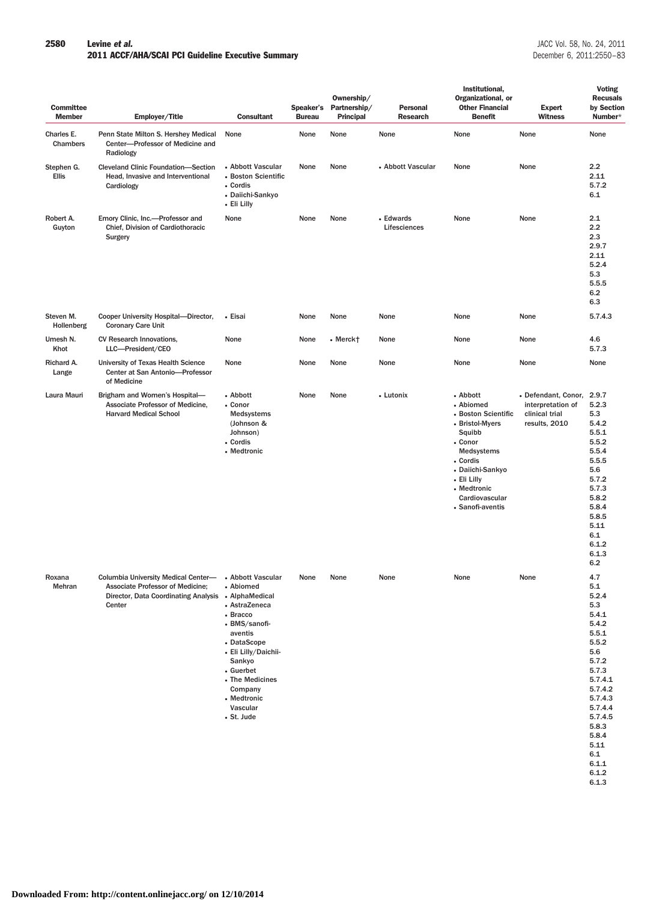| <b>Committee</b><br><b>Member</b> | Employer/Title                                                                                                                           | <b>Consultant</b>                                                                                                                                                                                                            | Speaker's<br><b>Bureau</b> | Ownership/<br>Partnership/<br>Principal | Personal<br><b>Research</b> | Institutional,<br>Organizational, or<br><b>Other Financial</b><br><b>Benefit</b>                                                                                                                       | <b>Expert</b><br><b>Witness</b>                                             | <b>Voting</b><br><b>Recusals</b><br>by Section<br>Number*                                                                                                                                                  |
|-----------------------------------|------------------------------------------------------------------------------------------------------------------------------------------|------------------------------------------------------------------------------------------------------------------------------------------------------------------------------------------------------------------------------|----------------------------|-----------------------------------------|-----------------------------|--------------------------------------------------------------------------------------------------------------------------------------------------------------------------------------------------------|-----------------------------------------------------------------------------|------------------------------------------------------------------------------------------------------------------------------------------------------------------------------------------------------------|
| Charles E.<br>Chambers            | Penn State Milton S. Hershey Medical<br>Center-Professor of Medicine and<br>Radiology                                                    | None                                                                                                                                                                                                                         | None                       | None                                    | None                        | None                                                                                                                                                                                                   | None                                                                        | None                                                                                                                                                                                                       |
| Stephen G.<br><b>Ellis</b>        | <b>Cleveland Clinic Foundation-Section</b><br>Head, Invasive and Interventional<br>Cardiology                                            | • Abbott Vascular<br>• Boston Scientific<br>• Cordis<br>• Daiichi-Sankyo<br>• Eli Lilly                                                                                                                                      | None                       | None                                    | • Abbott Vascular           | None                                                                                                                                                                                                   | None                                                                        | 2.2<br>2.11<br>5.7.2<br>6.1                                                                                                                                                                                |
| Robert A.<br>Guyton               | Emory Clinic, Inc.--Professor and<br>Chief, Division of Cardiothoracic<br>Surgery                                                        | None                                                                                                                                                                                                                         | None                       | None                                    | • Edwards<br>Lifesciences   | None                                                                                                                                                                                                   | None                                                                        | 2.1<br>2.2<br>2.3<br>2.9.7<br>2.11<br>5.2.4<br>5.3<br>5.5.5<br>6.2<br>6.3                                                                                                                                  |
| Steven M.<br>Hollenberg           | Cooper University Hospital-Director,<br><b>Coronary Care Unit</b>                                                                        | • Eisai                                                                                                                                                                                                                      | None                       | None                                    | None                        | None                                                                                                                                                                                                   | None                                                                        | 5.7.4.3                                                                                                                                                                                                    |
| Umesh N.<br>Khot                  | CV Research Innovations,<br>LLC-President/CEO                                                                                            | None                                                                                                                                                                                                                         | None                       | - Merck†                                | None                        | None                                                                                                                                                                                                   | None                                                                        | 4.6<br>5.7.3                                                                                                                                                                                               |
| Richard A.<br>Lange               | University of Texas Health Science<br>Center at San Antonio-Professor<br>of Medicine                                                     | None                                                                                                                                                                                                                         | None                       | None                                    | None                        | None                                                                                                                                                                                                   | None                                                                        | None                                                                                                                                                                                                       |
| Laura Mauri                       | Brigham and Women's Hospital-<br>Associate Professor of Medicine,<br><b>Harvard Medical School</b>                                       | • Abbott<br>• Conor<br>Medsystems<br>(Johnson &<br>Johnson)<br>• Cordis<br>• Medtronic                                                                                                                                       | None                       | None                                    | • Lutonix                   | • Abbott<br>• Abiomed<br>• Boston Scientific<br>• Bristol-Myers<br>Squibb<br>• Conor<br>Medsystems<br>• Cordis<br>• Daiichi-Sankyo<br>• Eli Lilly<br>• Medtronic<br>Cardiovascular<br>• Sanofi-aventis | • Defendant, Conor,<br>interpretation of<br>clinical trial<br>results, 2010 | 2.9.7<br>5.2.3<br>5.3<br>5.4.2<br>5.5.1<br>5.5.2<br>5.5.4<br>5.5.5<br>5.6<br>5.7.2<br>5.7.3<br>5.8.2<br>5.8.4<br>5.8.5<br>5.11<br>6.1<br>6.1.2<br>6.1.3<br>6.2                                             |
| Roxana<br>Mehran                  | Columbia University Medical Center-<br>Associate Professor of Medicine;<br>Director, Data Coordinating Analysis • AlphaMedical<br>Center | • Abbott Vascular<br>• Abiomed<br>• AstraZeneca<br>• Bracco<br>• BMS/sanofi-<br>aventis<br>• DataScope<br>• Eli Lilly/Daichii-<br>Sankyo<br>• Guerbet<br>• The Medicines<br>Company<br>• Medtronic<br>Vascular<br>• St. Jude | None                       | None                                    | None                        | None                                                                                                                                                                                                   | None                                                                        | 4.7<br>5.1<br>5.2.4<br>5.3<br>5.4.1<br>5.4.2<br>5.5.1<br>5.5.2<br>5.6<br>5.7.2<br>5.7.3<br>5.7.4.1<br>5.7.4.2<br>5.7.4.3<br>5.7.4.4<br>5.7.4.5<br>5.8.3<br>5.8.4<br>5.11<br>6.1<br>6.1.1<br>6.1.2<br>6.1.3 |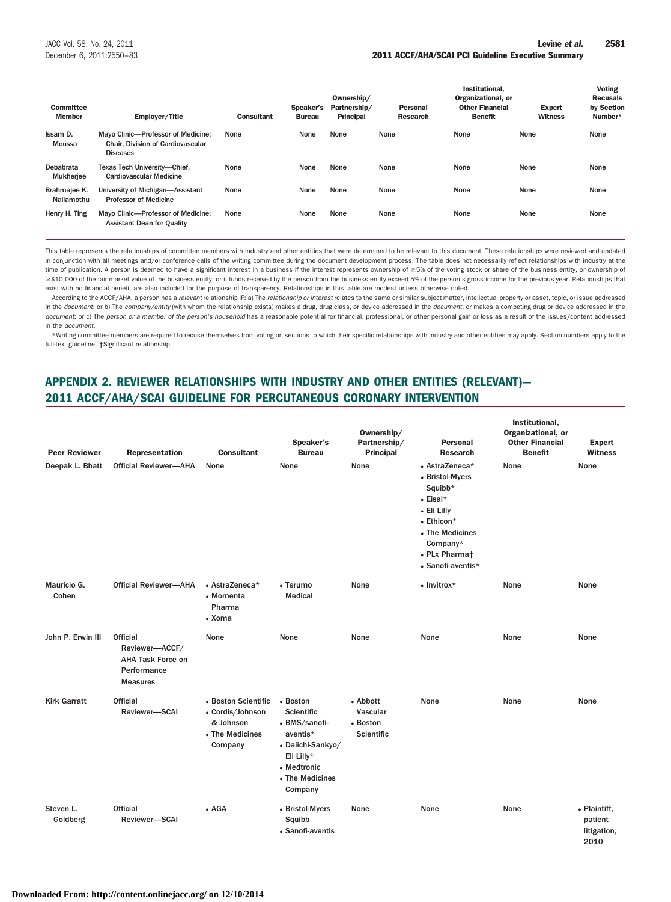| <b>Committee</b><br><b>Member</b> | Employer/Title                                                                                    | <b>Consultant</b> | Speaker's<br><b>Bureau</b> | Ownership/<br>Partnership/<br><b>Principal</b> | Personal<br><b>Research</b> | Institutional.<br>Organizational, or<br><b>Other Financial</b><br>Benefit | <b>Expert</b><br><b>Witness</b> | Voting<br><b>Recusals</b><br>by Section<br>Number* |
|-----------------------------------|---------------------------------------------------------------------------------------------------|-------------------|----------------------------|------------------------------------------------|-----------------------------|---------------------------------------------------------------------------|---------------------------------|----------------------------------------------------|
| Issam D.<br><b>Moussa</b>         | Mavo Clinic-Professor of Medicine:<br><b>Chair. Division of Cardiovascular</b><br><b>Diseases</b> | None              | None                       | None                                           | None                        | None                                                                      | None                            | None                                               |
| Debabrata<br><b>Mukheriee</b>     | Texas Tech University-Chief.<br><b>Cardiovascular Medicine</b>                                    | None              | None                       | None                                           | None                        | None                                                                      | None                            | None                                               |
| Brahmajee K.<br>Nallamothu        | University of Michigan-Assistant<br><b>Professor of Medicine</b>                                  | None              | None                       | None                                           | None                        | None                                                                      | None                            | None                                               |
| Henry H. Ting                     | Mavo Clinic-Professor of Medicine:<br><b>Assistant Dean for Ouality</b>                           | None              | None                       | None                                           | None                        | None                                                                      | None                            | None                                               |

This table represents the relationships of committee members with industry and other entities that were determined to be relevant to this document. These relationships were reviewed and updated in conjunction with all meetings and/or conference calls of the writing committee during the document development process. The table does not necessarily reflect relationships with industry at the time of publication. A person is deemed to have a significant interest in a business if the interest represents ownership of  $\geq$  5% of the voting stock or share of the business entity, or ownership of ≥\$10,000 of the fair market value of the business entity; or if funds received by the person from the business entity exceed 5% of the person's gross income for the previous year. Relationships that exist with no financial benefit are also included for the purpose of transparency. Relationships in this table are modest unless otherwise noted.

According to the ACCF/AHA, a person has a *relevant* relationship IF: a) The *relationship or interest* relates to the same or similar subject matter, intellectual property or asset, topic, or issue addressed in the *document*; or b) The *company/entity* (with whom the relationship exists) makes a drug, drug class, or device addressed in the *document*, or makes a competing drug or device addressed in the document; or c) The *person or a member of the person's household* has a reasonable potential for financial, professional, or other personal gain or loss as a result of the issues/content addressed in the *document*.

\*Writing committee members are required to recuse themselves from voting on sections to which their specific relationships with industry and other entities may apply. Section numbers apply to the full-text guideline. †Significant relationship.

# **APPENDIX 2. REVIEWER RELATIONSHIPS WITH INDUSTRY AND OTHER ENTITIES (RELEVANT)— 2011 ACCF/AHA/SCAI GUIDELINE FOR PERCUTANEOUS CORONARY INTERVENTION**

| <b>Peer Reviewer</b>  | Representation                                                                           | <b>Consultant</b>                                                                  | Speaker's<br><b>Bureau</b>                                                                                                                 | Ownership/<br>Partnership/<br><b>Principal</b>        | <b>Personal</b><br><b>Research</b>                                                                                                                                                            | Institutional,<br>Organizational, or<br><b>Other Financial</b><br><b>Benefit</b> | <b>Expert</b><br><b>Witness</b>                |
|-----------------------|------------------------------------------------------------------------------------------|------------------------------------------------------------------------------------|--------------------------------------------------------------------------------------------------------------------------------------------|-------------------------------------------------------|-----------------------------------------------------------------------------------------------------------------------------------------------------------------------------------------------|----------------------------------------------------------------------------------|------------------------------------------------|
| Deepak L. Bhatt       | <b>Official Reviewer-AHA</b>                                                             | None                                                                               | None                                                                                                                                       | None                                                  | $\bullet$ AstraZeneca*<br>• Bristol-Myers<br>Squibb*<br>$\bullet$ Eisai $*$<br>• Eli Lilly<br>$\bullet$ Ethicon*<br>• The Medicines<br>Company*<br>• PLx Pharmat<br>$\bullet$ Sanofi-aventis* | None                                                                             | None                                           |
| Mauricio G.<br>Cohen  | <b>Official Reviewer-AHA</b>                                                             | $\bullet$ AstraZeneca*<br>• Momenta<br>Pharma<br>• Xoma                            | • Terumo<br><b>Medical</b>                                                                                                                 | None                                                  | $\bullet$ Invitrox*                                                                                                                                                                           | None                                                                             | None                                           |
| John P. Erwin III     | Official<br>Reviewer-ACCF/<br><b>AHA Task Force on</b><br>Performance<br><b>Measures</b> | None                                                                               | None                                                                                                                                       | None                                                  | None                                                                                                                                                                                          | None                                                                             | None                                           |
| <b>Kirk Garratt</b>   | Official<br>Reviewer-SCAI                                                                | • Boston Scientific<br>• Cordis/Johnson<br>& Johnson<br>• The Medicines<br>Company | • Boston<br><b>Scientific</b><br>• BMS/sanofi-<br>aventis*<br>• Daiichi-Sankyo/<br>Eli Lilly*<br>• Medtronic<br>• The Medicines<br>Company | • Abbott<br>Vascular<br>• Boston<br><b>Scientific</b> | None                                                                                                                                                                                          | None                                                                             | None                                           |
| Steven L.<br>Goldberg | <b>Official</b><br>Reviewer-SCAI                                                         | $\bullet$ AGA                                                                      | • Bristol-Myers<br>Squibb<br>• Sanofi-aventis                                                                                              | None                                                  | None                                                                                                                                                                                          | None                                                                             | • Plaintiff,<br>patient<br>litigation,<br>2010 |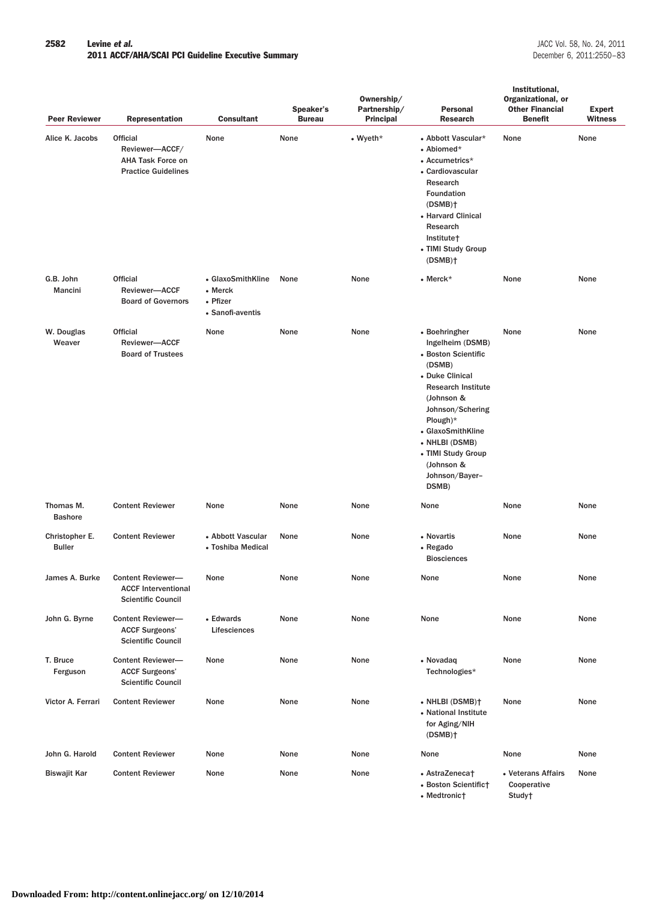|                                 |                                                                                             |                                                              |                            |                                         |                                                                                                                                                                                                                                                                           | Institutional,                                                 |                                 |
|---------------------------------|---------------------------------------------------------------------------------------------|--------------------------------------------------------------|----------------------------|-----------------------------------------|---------------------------------------------------------------------------------------------------------------------------------------------------------------------------------------------------------------------------------------------------------------------------|----------------------------------------------------------------|---------------------------------|
| <b>Peer Reviewer</b>            | Representation                                                                              | <b>Consultant</b>                                            | Speaker's<br><b>Bureau</b> | Ownership/<br>Partnership/<br>Principal | <b>Personal</b><br><b>Research</b>                                                                                                                                                                                                                                        | Organizational, or<br><b>Other Financial</b><br><b>Benefit</b> | <b>Expert</b><br><b>Witness</b> |
| Alice K. Jacobs                 | <b>Official</b><br>Reviewer-ACCF/<br><b>AHA Task Force on</b><br><b>Practice Guidelines</b> | None                                                         | None                       | $\bullet$ Wyeth*                        | • Abbott Vascular*<br>• Abiomed $*$<br>• Accumetrics $*$<br>• Cardiovascular<br>Research<br>Foundation<br>$(DSMB)$ <sup>+</sup><br>• Harvard Clinical<br>Research<br>Institute <sup>+</sup><br>• TIMI Study Group<br>$(DSMB)$ <sup>+</sup>                                | None                                                           | None                            |
| G.B. John<br>Mancini            | Official<br>Reviewer-ACCF<br><b>Board of Governors</b>                                      | • GlaxoSmithKline<br>• Merck<br>• Pfizer<br>• Sanofi-aventis | None                       | None                                    | $\bullet$ Merck*                                                                                                                                                                                                                                                          | None                                                           | None                            |
| W. Douglas<br>Weaver            | Official<br>Reviewer-ACCF<br><b>Board of Trustees</b>                                       | None                                                         | None                       | None                                    | • Boehringher<br>Ingelheim (DSMB)<br>• Boston Scientific<br>(DSMB)<br>• Duke Clinical<br><b>Research Institute</b><br>(Johnson &<br>Johnson/Schering<br>Plough) $*$<br>• GlaxoSmithKline<br>• NHLBI (DSMB)<br>• TIMI Study Group<br>(Johnson &<br>Johnson/Bayer-<br>DSMB) | None                                                           | None                            |
| Thomas M.<br><b>Bashore</b>     | <b>Content Reviewer</b>                                                                     | None                                                         | None                       | None                                    | None                                                                                                                                                                                                                                                                      | None                                                           | None                            |
| Christopher E.<br><b>Buller</b> | <b>Content Reviewer</b>                                                                     | • Abbott Vascular<br>• Toshiba Medical                       | None                       | None                                    | • Novartis<br>• Regado<br><b>Biosciences</b>                                                                                                                                                                                                                              | None                                                           | None                            |
| James A. Burke                  | <b>Content Reviewer-</b><br><b>ACCF Interventional</b><br><b>Scientific Council</b>         | None                                                         | None                       | None                                    | None                                                                                                                                                                                                                                                                      | None                                                           | None                            |
| John G. Byrne                   | <b>Content Reviewer-</b><br><b>ACCF Surgeons'</b><br><b>Scientific Council</b>              | • Edwards<br>Lifesciences                                    | None                       | None                                    | None                                                                                                                                                                                                                                                                      | None                                                           | None                            |
| T. Bruce<br>Ferguson            | Content Reviewer-<br><b>ACCF Surgeons'</b><br><b>Scientific Council</b>                     | None                                                         | None                       | None                                    | • Novadaq<br>Technologies*                                                                                                                                                                                                                                                | None                                                           | None                            |
| Victor A. Ferrari               | <b>Content Reviewer</b>                                                                     | None                                                         | None                       | None                                    | • NHLBI (DSMB)+<br>• National Institute<br>for Aging/NIH<br>$(DSMB)$ <sup>+</sup>                                                                                                                                                                                         | None                                                           | None                            |
| John G. Harold                  | <b>Content Reviewer</b>                                                                     | None                                                         | None                       | None                                    | None                                                                                                                                                                                                                                                                      | None                                                           | None                            |
| <b>Biswajit Kar</b>             | <b>Content Reviewer</b>                                                                     | None                                                         | None                       | None                                    | • AstraZeneca†<br>• Boston Scientific†<br>• Medtronic†                                                                                                                                                                                                                    | • Veterans Affairs<br>Cooperative<br>Study†                    | None                            |